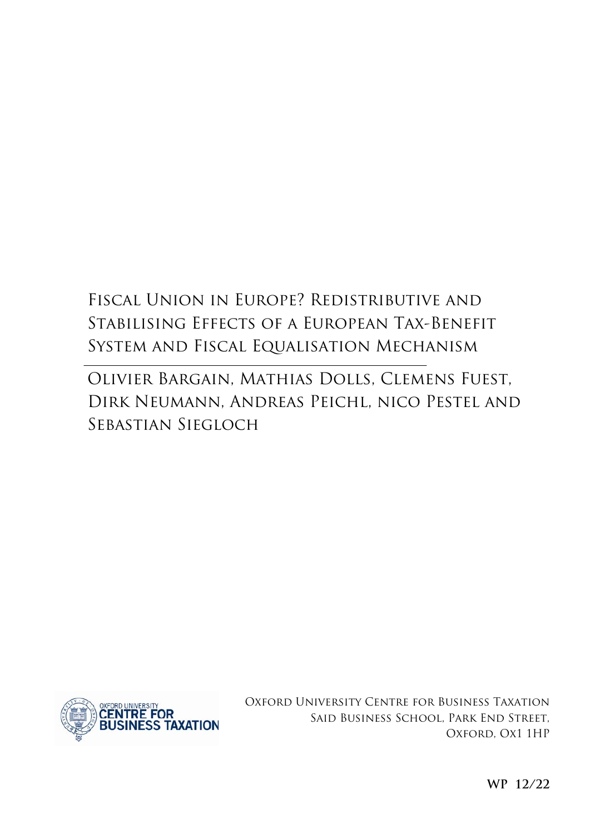# Fiscal Union in Europe? Redistributive and Stabilising Effects of a European Tax-Benefit System and Fiscal Equalisation Mechanism

Olivier Bargain, Mathias Dolls, Clemens Fuest, Dirk Neumann, Andreas Peichl, nico Pestel and Sebastian Siegloch



Oxford University Centre for Business Taxation Said Business School, Park End Street, Oxford, Ox1 1HP

**WP 12/22**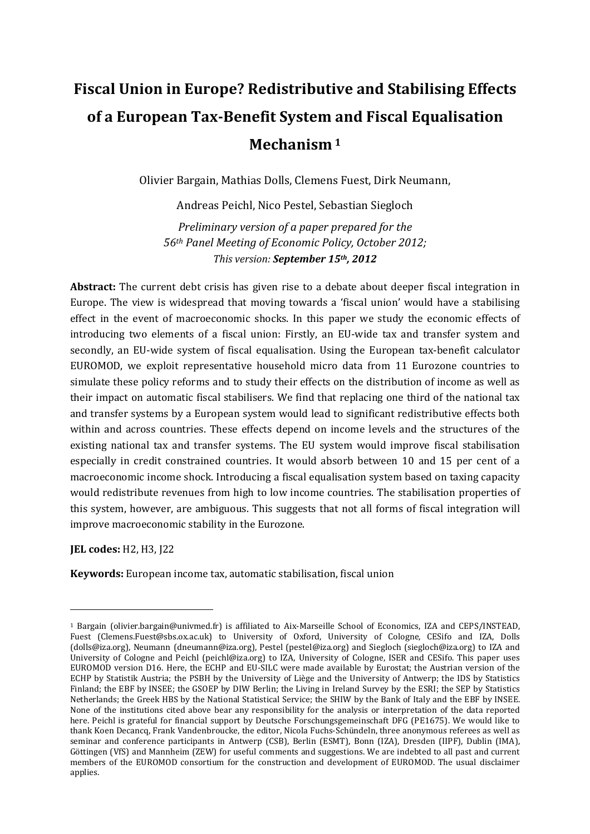# **Fiscal Union in Europe? Redistributive and Stabilising Effects of a European Tax-Benefit System and Fiscal Equalisation Mechanism<sup>1</sup>**

Olivier Bargain, Mathias Dolls, Clemens Fuest, Dirk Neumann,

Andreas Peichl, Nico Pestel, Sebastian Siegloch

*Preliminary version of a paper prepared for the 56th Panel Meeting of Economic Policy, October 2012; This version: September 15th, 2012*

**Abstract:** The current debt crisis has given rise to a debate about deeper fiscal integration in Europe. The view is widespread that moving towards a 'fiscal union' would have a stabilising effect in the event of macroeconomic shocks. In this paper we study the economic effects of introducing two elements of a fiscal union: Firstly, an EU-wide tax and transfer system and secondly, an EU-wide system of fiscal equalisation. Using the European tax-benefit calculator EUROMOD, we exploit representative household micro data from 11 Eurozone countries to simulate these policy reforms and to study their effects on the distribution of income as well as their impact on automatic fiscal stabilisers. We find that replacing one third of the national tax and transfer systems by a European system would lead to significant redistributive effects both within and across countries. These effects depend on income levels and the structures of the existing national tax and transfer systems. The EU system would improve fiscal stabilisation especially in credit constrained countries. It would absorb between 10 and 15 per cent of a macroeconomic income shock. Introducing a fiscal equalisation system based on taxing capacity would redistribute revenues from high to low income countries. The stabilisation properties of this system, however, are ambiguous. This suggests that not all forms of fiscal integration will improve macroeconomic stability in the Eurozone.

**JEL codes:** H2, H3, J22

 $\overline{a}$ 

**Keywords:** European income tax, automatic stabilisation, fiscal union

<sup>1</sup> Bargain (olivier.bargain@univmed.fr) is affiliated to Aix-Marseille School of Economics, IZA and CEPS/INSTEAD, Fuest (Clemens.Fuest@sbs.ox.ac.uk) to University of Oxford, University of Cologne, CESifo and IZA, Dolls (dolls@iza.org), Neumann (dneumann@iza.org), Pestel (pestel@iza.org) and Siegloch (siegloch@iza.org) to IZA and University of Cologne and Peichl (peichl@iza.org) to IZA, University of Cologne, ISER and CESifo. This paper uses EUROMOD version D16. Here, the ECHP and EU-SILC were made available by Eurostat; the Austrian version of the ECHP by Statistik Austria; the PSBH by the University of Liège and the University of Antwerp; the IDS by Statistics Finland; the EBF by INSEE; the GSOEP by DIW Berlin; the Living in Ireland Survey by the ESRI; the SEP by Statistics Netherlands; the Greek HBS by the National Statistical Service; the SHIW by the Bank of Italy and the EBF by INSEE. None of the institutions cited above bear any responsibility for the analysis or interpretation of the data reported here. Peichl is grateful for financial support by Deutsche Forschungsgemeinschaft DFG (PE1675). We would like to thank Koen Decancq, Frank Vandenbroucke, the editor, Nicola Fuchs-Schündeln, three anonymous referees as well as seminar and conference participants in Antwerp (CSB), Berlin (ESMT), Bonn (IZA), Dresden (IIPF), Dublin (IMA), Göttingen (VfS) and Mannheim (ZEW) for useful comments and suggestions. We are indebted to all past and current members of the EUROMOD consortium for the construction and development of EUROMOD. The usual disclaimer applies.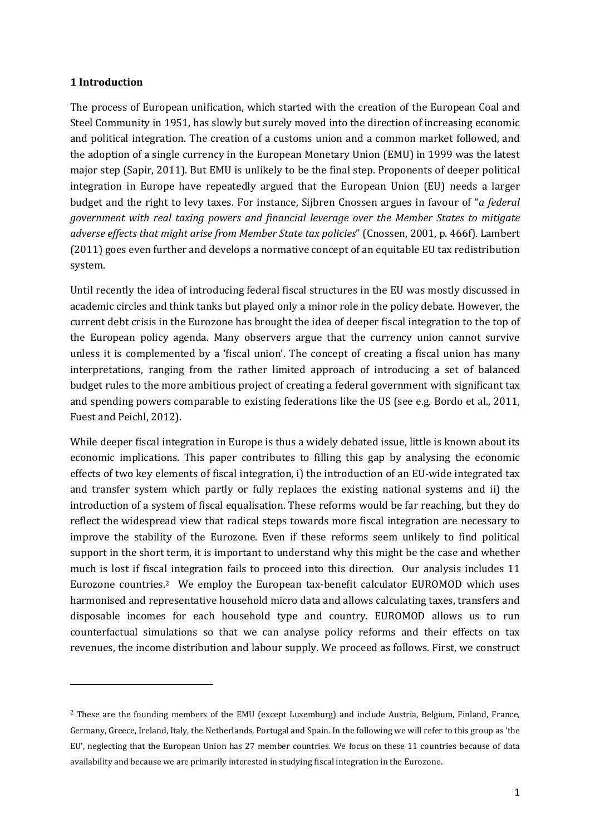### **1 Introduction**

The process of European unification, which started with the creation of the European Coal and Steel Community in 1951, has slowly but surely moved into the direction of increasing economic and political integration. The creation of a customs union and a common market followed, and the adoption of a single currency in the European Monetary Union (EMU) in 1999 was the latest major step (Sapir, 2011). But EMU is unlikely to be the final step. Proponents of deeper political integration in Europe have repeatedly argued that the European Union (EU) needs a larger budget and the right to levy taxes. For instance, Sijbren Cnossen argues in favour of "*a federal government with real taxing powers and financial leverage over the Member States to mitigate adverse effects that might arise from Member State tax policies*" (Cnossen, 2001, p. 466f). Lambert (2011) goes even further and develops a normative concept of an equitable EU tax redistribution system.

Until recently the idea of introducing federal fiscal structures in the EU was mostly discussed in academic circles and think tanks but played only a minor role in the policy debate. However, the current debt crisis in the Eurozone has brought the idea of deeper fiscal integration to the top of the European policy agenda. Many observers argue that the currency union cannot survive unless it is complemented by a 'fiscal union'. The concept of creating a fiscal union has many interpretations, ranging from the rather limited approach of introducing a set of balanced budget rules to the more ambitious project of creating a federal government with significant tax and spending powers comparable to existing federations like the US (see e.g. Bordo et al., 2011, Fuest and Peichl, 2012).

While deeper fiscal integration in Europe is thus a widely debated issue, little is known about its economic implications. This paper contributes to filling this gap by analysing the economic effects of two key elements of fiscal integration, i) the introduction of an EU-wide integrated tax and transfer system which partly or fully replaces the existing national systems and ii) the introduction of a system of fiscal equalisation. These reforms would be far reaching, but they do reflect the widespread view that radical steps towards more fiscal integration are necessary to improve the stability of the Eurozone. Even if these reforms seem unlikely to find political support in the short term, it is important to understand why this might be the case and whether much is lost if fiscal integration fails to proceed into this direction. Our analysis includes 11 Eurozone countries.2 We employ the European tax-benefit calculator EUROMOD which uses harmonised and representative household micro data and allows calculating taxes, transfers and disposable incomes for each household type and country. EUROMOD allows us to run counterfactual simulations so that we can analyse policy reforms and their effects on tax revenues, the income distribution and labour supply. We proceed as follows. First, we construct

<sup>2</sup> These are the founding members of the EMU (except Luxemburg) and include Austria, Belgium, Finland, France, Germany, Greece, Ireland, Italy, the Netherlands, Portugal and Spain. In the following we will refer to this group as 'the EU', neglecting that the European Union has 27 member countries. We focus on these 11 countries because of data availability and because we are primarily interested in studying fiscal integration in the Eurozone.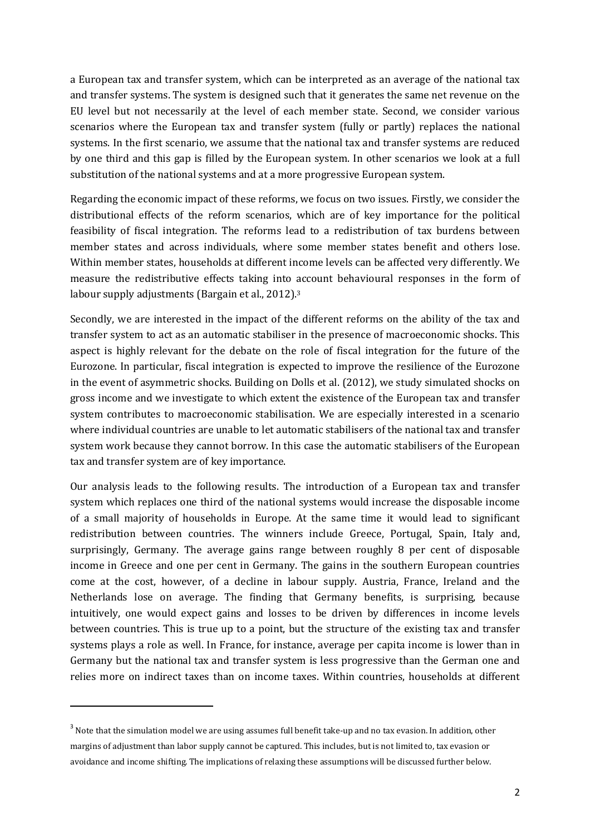a European tax and transfer system, which can be interpreted as an average of the national tax and transfer systems. The system is designed such that it generates the same net revenue on the EU level but not necessarily at the level of each member state. Second, we consider various scenarios where the European tax and transfer system (fully or partly) replaces the national systems. In the first scenario, we assume that the national tax and transfer systems are reduced by one third and this gap is filled by the European system. In other scenarios we look at a full substitution of the national systems and at a more progressive European system.

Regarding the economic impact of these reforms, we focus on two issues. Firstly, we consider the distributional effects of the reform scenarios, which are of key importance for the political feasibility of fiscal integration. The reforms lead to a redistribution of tax burdens between member states and across individuals, where some member states benefit and others lose. Within member states, households at different income levels can be affected very differently. We measure the redistributive effects taking into account behavioural responses in the form of labour supply adjustments (Bargain et al., 2012).<sup>3</sup>

Secondly, we are interested in the impact of the different reforms on the ability of the tax and transfer system to act as an automatic stabiliser in the presence of macroeconomic shocks. This aspect is highly relevant for the debate on the role of fiscal integration for the future of the Eurozone. In particular, fiscal integration is expected to improve the resilience of the Eurozone in the event of asymmetric shocks. Building on Dolls et al. (2012), we study simulated shocks on gross income and we investigate to which extent the existence of the European tax and transfer system contributes to macroeconomic stabilisation. We are especially interested in a scenario where individual countries are unable to let automatic stabilisers of the national tax and transfer system work because they cannot borrow. In this case the automatic stabilisers of the European tax and transfer system are of key importance.

Our analysis leads to the following results. The introduction of a European tax and transfer system which replaces one third of the national systems would increase the disposable income of a small majority of households in Europe. At the same time it would lead to significant redistribution between countries. The winners include Greece, Portugal, Spain, Italy and, surprisingly, Germany. The average gains range between roughly 8 per cent of disposable income in Greece and one per cent in Germany. The gains in the southern European countries come at the cost, however, of a decline in labour supply. Austria, France, Ireland and the Netherlands lose on average. The finding that Germany benefits, is surprising, because intuitively, one would expect gains and losses to be driven by differences in income levels between countries. This is true up to a point, but the structure of the existing tax and transfer systems plays a role as well. In France, for instance, average per capita income is lower than in Germany but the national tax and transfer system is less progressive than the German one and relies more on indirect taxes than on income taxes. Within countries, households at different

 $\overline{a}$ 

<sup>&</sup>lt;sup>3</sup> Note that the simulation model we are using assumes full benefit take-up and no tax evasion. In addition, other margins of adjustment than labor supply cannot be captured. This includes, but is not limited to, tax evasion or avoidance and income shifting. The implications of relaxing these assumptions will be discussed further below.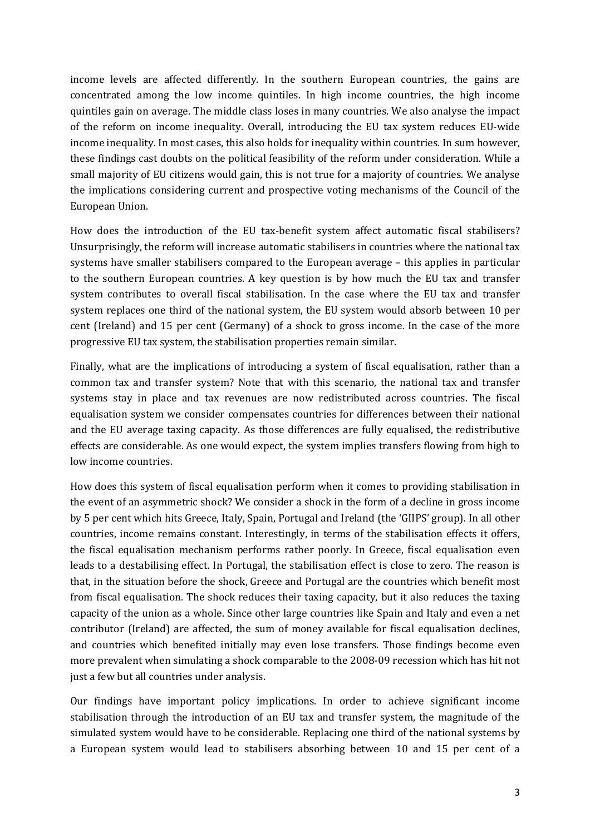income levels are affected differently. In the southern European countries, the gains are concentrated among the low income quintiles. In high income countries, the high income quintiles gain on average. The middle class loses in many countries. We also analyse the impact of the reform on income inequality. Overall, introducing the EU tax system reduces EU-wide income inequality. In most cases, this also holds for inequality within countries. In sum however, these findings cast doubts on the political feasibility of the reform under consideration. While a small majority of EU citizens would gain, this is not true for a majority of countries. We analyse the implications considering current and prospective voting mechanisms of the Council of the European Union.

How does the introduction of the EU tax-benefit system affect automatic fiscal stabilisers? Unsurprisingly, the reform will increase automatic stabilisers in countries where the national tax systems have smaller stabilisers compared to the European average – this applies in particular to the southern European countries. A key question is by how much the EU tax and transfer system contributes to overall fiscal stabilisation. In the case where the EU tax and transfer system replaces one third of the national system, the EU system would absorb between 10 per cent (Ireland) and 15 per cent (Germany) of a shock to gross income. In the case of the more progressive EU tax system, the stabilisation properties remain similar.

Finally, what are the implications of introducing a system of fiscal equalisation, rather than a common tax and transfer system? Note that with this scenario, the national tax and transfer systems stay in place and tax revenues are now redistributed across countries. The fiscal equalisation system we consider compensates countries for differences between their national and the EU average taxing capacity. As those differences are fully equalised, the redistributive effects are considerable. As one would expect, the system implies transfers flowing from high to low income countries.

How does this system of fiscal equalisation perform when it comes to providing stabilisation in the event of an asymmetric shock? We consider a shock in the form of a decline in gross income by 5 per cent which hits Greece, Italy, Spain, Portugal and Ireland (the 'GIIPS' group). In all other countries, income remains constant. Interestingly, in terms of the stabilisation effects it offers, the fiscal equalisation mechanism performs rather poorly. In Greece, fiscal equalisation even leads to a destabilising effect. In Portugal, the stabilisation effect is close to zero. The reason is that, in the situation before the shock, Greece and Portugal are the countries which benefit most from fiscal equalisation. The shock reduces their taxing capacity, but it also reduces the taxing capacity of the union as a whole. Since other large countries like Spain and Italy and even a net contributor (Ireland) are affected, the sum of money available for fiscal equalisation declines, and countries which benefited initially may even lose transfers. Those findings become even more prevalent when simulating a shock comparable to the 2008-09 recession which has hit not just a few but all countries under analysis.

Our findings have important policy implications. In order to achieve significant income stabilisation through the introduction of an EU tax and transfer system, the magnitude of the simulated system would have to be considerable. Replacing one third of the national systems by a European system would lead to stabilisers absorbing between 10 and 15 per cent of a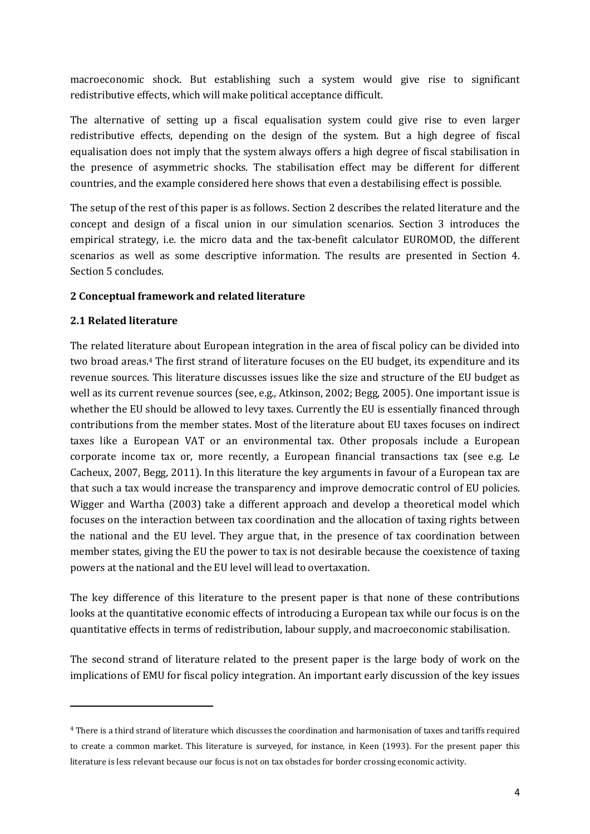macroeconomic shock. But establishing such a system would give rise to significant redistributive effects, which will make political acceptance difficult.

The alternative of setting up a fiscal equalisation system could give rise to even larger redistributive effects, depending on the design of the system. But a high degree of fiscal equalisation does not imply that the system always offers a high degree of fiscal stabilisation in the presence of asymmetric shocks. The stabilisation effect may be different for different countries, and the example considered here shows that even a destabilising effect is possible.

The setup of the rest of this paper is as follows. Section 2 describes the related literature and the concept and design of a fiscal union in our simulation scenarios. Section 3 introduces the empirical strategy, i.e. the micro data and the tax-benefit calculator EUROMOD, the different scenarios as well as some descriptive information. The results are presented in Section 4. Section 5 concludes.

# **2 Conceptual framework and related literature**

# **2.1 Related literature**

 $\overline{a}$ 

The related literature about European integration in the area of fiscal policy can be divided into two broad areas.4 The first strand of literature focuses on the EU budget, its expenditure and its revenue sources. This literature discusses issues like the size and structure of the EU budget as well as its current revenue sources (see, e.g., Atkinson, 2002; Begg, 2005). One important issue is whether the EU should be allowed to levy taxes. Currently the EU is essentially financed through contributions from the member states. Most of the literature about EU taxes focuses on indirect taxes like a European VAT or an environmental tax. Other proposals include a European corporate income tax or, more recently, a European financial transactions tax (see e.g. Le Cacheux, 2007, Begg, 2011). In this literature the key arguments in favour of a European tax are that such a tax would increase the transparency and improve democratic control of EU policies. Wigger and Wartha (2003) take a different approach and develop a theoretical model which focuses on the interaction between tax coordination and the allocation of taxing rights between the national and the EU level. They argue that, in the presence of tax coordination between member states, giving the EU the power to tax is not desirable because the coexistence of taxing powers at the national and the EU level will lead to overtaxation.

The key difference of this literature to the present paper is that none of these contributions looks at the quantitative economic effects of introducing a European tax while our focus is on the quantitative effects in terms of redistribution, labour supply, and macroeconomic stabilisation.

The second strand of literature related to the present paper is the large body of work on the implications of EMU for fiscal policy integration. An important early discussion of the key issues

<sup>4</sup> There is a third strand of literature which discusses the coordination and harmonisation of taxes and tariffs required to create a common market. This literature is surveyed, for instance, in Keen (1993). For the present paper this literature is less relevant because our focus is not on tax obstacles for border crossing economic activity.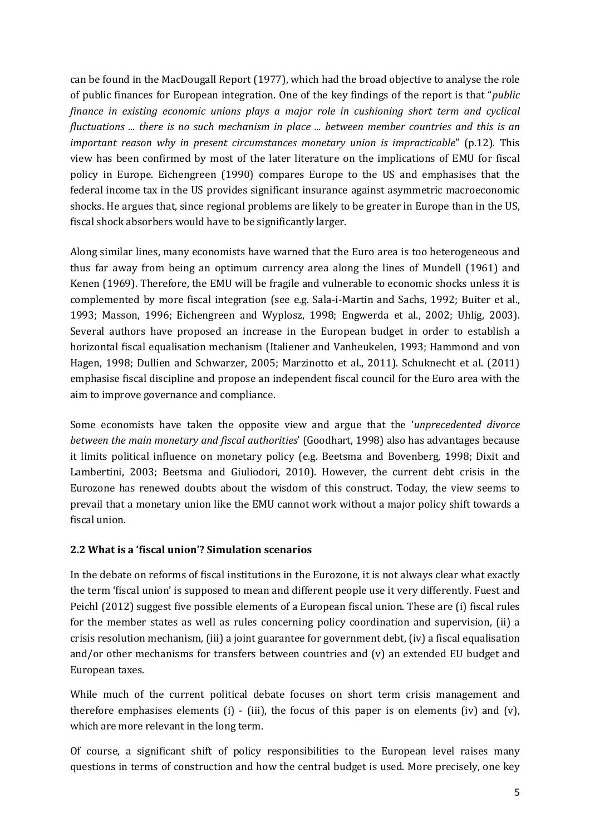can be found in the MacDougall Report (1977), which had the broad objective to analyse the role of public finances for European integration. One of the key findings of the report is that "*public finance in existing economic unions plays a major role in cushioning short term and cyclical fluctuations ... there is no such mechanism in place ... between member countries and this is an important reason why in present circumstances monetary union is impracticable*" (p.12). This view has been confirmed by most of the later literature on the implications of EMU for fiscal policy in Europe. Eichengreen (1990) compares Europe to the US and emphasises that the federal income tax in the US provides significant insurance against asymmetric macroeconomic shocks. He argues that, since regional problems are likely to be greater in Europe than in the US, fiscal shock absorbers would have to be significantly larger.

Along similar lines, many economists have warned that the Euro area is too heterogeneous and thus far away from being an optimum currency area along the lines of Mundell (1961) and Kenen (1969). Therefore, the EMU will be fragile and vulnerable to economic shocks unless it is complemented by more fiscal integration (see e.g. Sala-i-Martin and Sachs, 1992; Buiter et al., 1993; Masson, 1996; Eichengreen and Wyplosz, 1998; Engwerda et al., 2002; Uhlig, 2003). Several authors have proposed an increase in the European budget in order to establish a horizontal fiscal equalisation mechanism (Italiener and Vanheukelen, 1993; Hammond and von Hagen, 1998; Dullien and Schwarzer, 2005; Marzinotto et al., 2011). Schuknecht et al. (2011) emphasise fiscal discipline and propose an independent fiscal council for the Euro area with the aim to improve governance and compliance.

Some economists have taken the opposite view and argue that the '*unprecedented divorce between the main monetary and fiscal authorities*' (Goodhart, 1998) also has advantages because it limits political influence on monetary policy (e.g. Beetsma and Bovenberg, 1998; Dixit and Lambertini, 2003; Beetsma and Giuliodori, 2010). However, the current debt crisis in the Eurozone has renewed doubts about the wisdom of this construct. Today, the view seems to prevail that a monetary union like the EMU cannot work without a major policy shift towards a fiscal union.

# **2.2 What is a 'fiscal union'? Simulation scenarios**

In the debate on reforms of fiscal institutions in the Eurozone, it is not always clear what exactly the term 'fiscal union' is supposed to mean and different people use it very differently. Fuest and Peichl (2012) suggest five possible elements of a European fiscal union. These are (i) fiscal rules for the member states as well as rules concerning policy coordination and supervision, (ii) a crisis resolution mechanism, (iii) a joint guarantee for government debt, (iv) a fiscal equalisation and/or other mechanisms for transfers between countries and (v) an extended EU budget and European taxes.

While much of the current political debate focuses on short term crisis management and therefore emphasises elements (i)  $-$  (iii), the focus of this paper is on elements (iv) and (v), which are more relevant in the long term.

Of course, a significant shift of policy responsibilities to the European level raises many questions in terms of construction and how the central budget is used. More precisely, one key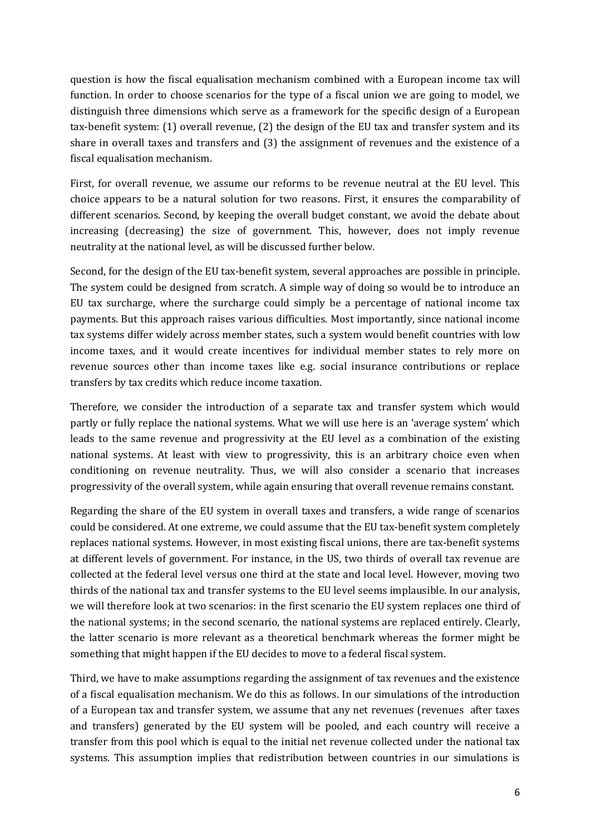question is how the fiscal equalisation mechanism combined with a European income tax will function. In order to choose scenarios for the type of a fiscal union we are going to model, we distinguish three dimensions which serve as a framework for the specific design of a European tax-benefit system: (1) overall revenue, (2) the design of the EU tax and transfer system and its share in overall taxes and transfers and (3) the assignment of revenues and the existence of a fiscal equalisation mechanism.

First, for overall revenue, we assume our reforms to be revenue neutral at the EU level. This choice appears to be a natural solution for two reasons. First, it ensures the comparability of different scenarios. Second, by keeping the overall budget constant, we avoid the debate about increasing (decreasing) the size of government. This, however, does not imply revenue neutrality at the national level, as will be discussed further below.

Second, for the design of the EU tax-benefit system, several approaches are possible in principle. The system could be designed from scratch. A simple way of doing so would be to introduce an EU tax surcharge, where the surcharge could simply be a percentage of national income tax payments. But this approach raises various difficulties. Most importantly, since national income tax systems differ widely across member states, such a system would benefit countries with low income taxes, and it would create incentives for individual member states to rely more on revenue sources other than income taxes like e.g. social insurance contributions or replace transfers by tax credits which reduce income taxation.

Therefore, we consider the introduction of a separate tax and transfer system which would partly or fully replace the national systems. What we will use here is an 'average system' which leads to the same revenue and progressivity at the EU level as a combination of the existing national systems. At least with view to progressivity, this is an arbitrary choice even when conditioning on revenue neutrality. Thus, we will also consider a scenario that increases progressivity of the overall system, while again ensuring that overall revenue remains constant.

Regarding the share of the EU system in overall taxes and transfers, a wide range of scenarios could be considered. At one extreme, we could assume that the EU tax-benefit system completely replaces national systems. However, in most existing fiscal unions, there are tax-benefit systems at different levels of government. For instance, in the US, two thirds of overall tax revenue are collected at the federal level versus one third at the state and local level. However, moving two thirds of the national tax and transfer systems to the EU level seems implausible. In our analysis, we will therefore look at two scenarios: in the first scenario the EU system replaces one third of the national systems; in the second scenario, the national systems are replaced entirely. Clearly, the latter scenario is more relevant as a theoretical benchmark whereas the former might be something that might happen if the EU decides to move to a federal fiscal system.

Third, we have to make assumptions regarding the assignment of tax revenues and the existence of a fiscal equalisation mechanism. We do this as follows. In our simulations of the introduction of a European tax and transfer system, we assume that any net revenues (revenues after taxes and transfers) generated by the EU system will be pooled, and each country will receive a transfer from this pool which is equal to the initial net revenue collected under the national tax systems. This assumption implies that redistribution between countries in our simulations is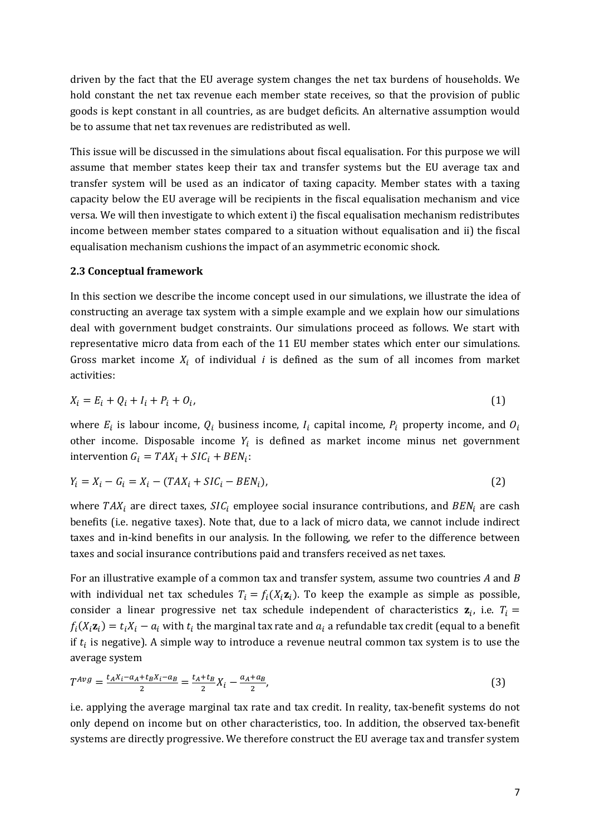driven by the fact that the EU average system changes the net tax burdens of households. We hold constant the net tax revenue each member state receives, so that the provision of public goods is kept constant in all countries, as are budget deficits. An alternative assumption would be to assume that net tax revenues are redistributed as well.

This issue will be discussed in the simulations about fiscal equalisation. For this purpose we will assume that member states keep their tax and transfer systems but the EU average tax and transfer system will be used as an indicator of taxing capacity. Member states with a taxing capacity below the EU average will be recipients in the fiscal equalisation mechanism and vice versa. We will then investigate to which extent i) the fiscal equalisation mechanism redistributes income between member states compared to a situation without equalisation and ii) the fiscal equalisation mechanism cushions the impact of an asymmetric economic shock.

#### **2.3 Conceptual framework**

In this section we describe the income concept used in our simulations, we illustrate the idea of constructing an average tax system with a simple example and we explain how our simulations deal with government budget constraints. Our simulations proceed as follows. We start with representative micro data from each of the 11 EU member states which enter our simulations. Gross market income  $X_i$  of individual *i* is defined as the sum of all incomes from market activities:

$$
X_i = E_i + Q_i + I_i + P_i + O_i,\tag{1}
$$

where  $E_i$  is labour income,  $Q_i$  business income,  $I_i$  capital income,  $P_i$  property income, and  $O_i$ other income. Disposable income  $Y_i$  is defined as market income minus net government intervention  $G_i = TAX_i + SIC_i + BEN_i$ :

$$
Y_i = X_i - G_i = X_i - (TAX_i + SIC_i - BEN_i),
$$
\n<sup>(2)</sup>

where  $TAX_i$  are direct taxes,  $SIC_i$  employee social insurance contributions, and  $BEN_i$  are cash benefits (i.e. negative taxes). Note that, due to a lack of micro data, we cannot include indirect taxes and in-kind benefits in our analysis. In the following, we refer to the difference between taxes and social insurance contributions paid and transfers received as net taxes.

For an illustrative example of a common tax and transfer system, assume two countries *A* and *B* with individual net tax schedules  $T_i = f_i(X_i \mathbf{z}_i)$ . To keep the example as simple as possible, consider a linear progressive net tax schedule independent of characteristics  $z_i$ , i.e.  $T_i =$  $f_i(X_i \mathbf{z}_i) = t_i X_i - a_i$  with  $t_i$  the marginal tax rate and  $a_i$  a refundable tax credit (equal to a benefit if  $t_i$  is negative). A simple way to introduce a revenue neutral common tax system is to use the average system

$$
T^{Avg} = \frac{t_A X_i - a_A + t_B X_i - a_B}{2} = \frac{t_A + t_B}{2} X_i - \frac{a_A + a_B}{2},
$$
\n(3)

i.e. applying the average marginal tax rate and tax credit. In reality, tax-benefit systems do not only depend on income but on other characteristics, too. In addition, the observed tax-benefit systems are directly progressive. We therefore construct the EU average tax and transfer system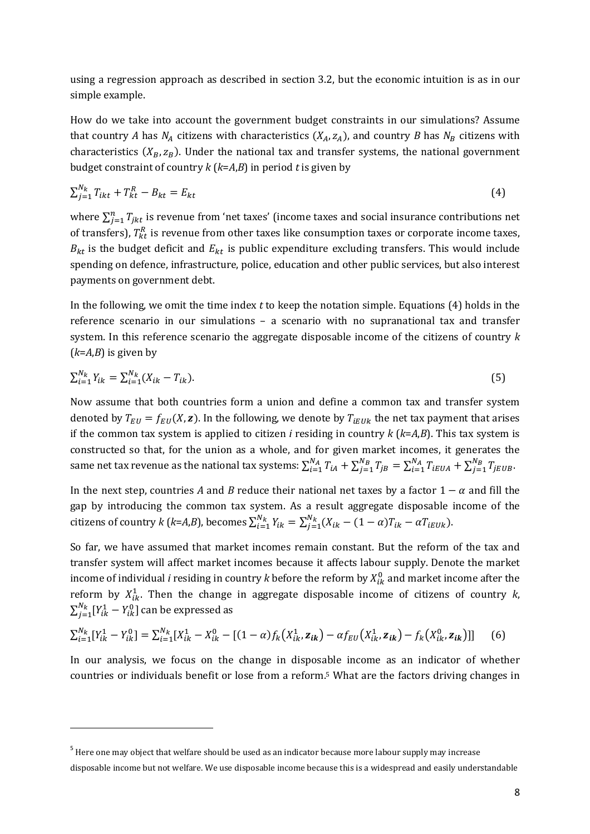using a regression approach as described in section 3.2, but the economic intuition is as in our simple example.

How do we take into account the government budget constraints in our simulations? Assume that country *A* has  $N_A$  citizens with characteristics  $(X_A, z_A)$ , and country *B* has  $N_B$  citizens with characteristics  $(X_B, z_B)$ . Under the national tax and transfer systems, the national government budget constraint of country *k* (*k*=*A*,*B*) in period *t* is given by

$$
\sum_{j=1}^{N_k} T_{ikt} + T_{kt}^R - B_{kt} = E_{kt}
$$
\n(4)

where  $\sum_{j=1}^{n} T_{jkt}$  is revenue from 'net taxes' (income taxes and social insurance contributions net of transfers),  $T_{kt}^{R}$  is revenue from other taxes like consumption taxes or corporate income taxes,  $B_{kt}$  is the budget deficit and  $E_{kt}$  is public expenditure excluding transfers. This would include spending on defence, infrastructure, police, education and other public services, but also interest payments on government debt.

In the following, we omit the time index *t* to keep the notation simple. Equations (4) holds in the reference scenario in our simulations – a scenario with no supranational tax and transfer system. In this reference scenario the aggregate disposable income of the citizens of country *k*  $(k=A,B)$  is given by

$$
\sum_{i=1}^{N_k} Y_{ik} = \sum_{i=1}^{N_k} (X_{ik} - T_{ik}).
$$
\n(5)

Now assume that both countries form a union and define a common tax and transfer system denoted by  $T_{EU} = f_{EU}(X, \mathbf{z})$ . In the following, we denote by  $T_{iEUk}$  the net tax payment that arises if the common tax system is applied to citizen *i* residing in country *k* (*k*=*A*,*B*). This tax system is constructed so that, for the union as a whole, and for given market incomes, it generates the same net tax revenue as the national tax systems:  $\sum_{i=1}^{N_A}T_{iA}+\sum_{j=1}^{N_B}T_{jB}=\sum_{i=1}^{N_A}T_{iEUA}+\sum_{j=1}^{N_B}T_{jEUB}$  $j=1$  $N_{\boldsymbol{A}}$  $i = 1$  $N_{B}$  $j=1$  $N_{\overline{A}}$  $\sum_{i=1}^{N_A} T_{iA} + \sum_{j=1}^{N_B} T_{jB} = \sum_{i=1}^{N_A} T_{iEUA} + \sum_{j=1}^{N_B} T_{jEUB}.$ 

In the next step, countries *A* and *B* reduce their national net taxes by a factor  $1 - \alpha$  and fill the gap by introducing the common tax system. As a result aggregate disposable income of the citizens of country *k* (*k*=*A*,*B*), becomes  $\sum_{i=1}^{N_k} Y_{ik} = \sum_{j=1}^{N_k} (X_{ik} - (1 - \alpha)T_{ik} - \alpha T_{iEUk})$  $j=1$  $N_k$  $N_k N_{ik} = \sum_{j=1}^{N_k} (X_{ik} - (1 - \alpha)T_{ik} - \alpha T_{iE}N_{ik}).$ 

So far, we have assumed that market incomes remain constant. But the reform of the tax and transfer system will affect market incomes because it affects labour supply. Denote the market income of individual *i* residing in country *k* before the reform by  $X_{ik}^0$  and market income after the reform by  $X_{ik}^1$ . Then the change in aggregate disposable income of citizens of country  $k$ ,  $\sum_{j=1}^{N_k} [Y_{ik}^1 - Y_{ik}^0]$  can be expressed as

$$
\sum_{i=1}^{N_k} [Y_{ik}^1 - Y_{ik}^0] = \sum_{i=1}^{N_k} [X_{ik}^1 - X_{ik}^0 - [(1-\alpha)f_k(X_{ik}^1, \mathbf{z}_{ik}) - \alpha f_{EU}(X_{ik}^1, \mathbf{z}_{ik}) - f_k(X_{ik}^0, \mathbf{z}_{ik})]] \tag{6}
$$

In our analysis, we focus on the change in disposable income as an indicator of whether countries or individuals benefit or lose from a reform.5 What are the factors driving changes in

 $\overline{a}$ 

<sup>&</sup>lt;sup>5</sup> Here one may object that welfare should be used as an indicator because more labour supply may increase disposable income but not welfare. We use disposable income because this is a widespread and easily understandable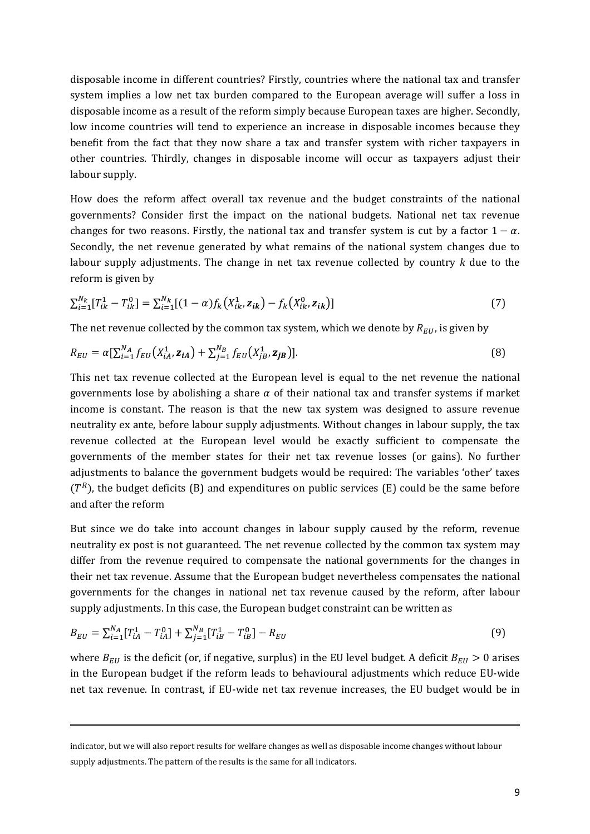disposable income in different countries? Firstly, countries where the national tax and transfer system implies a low net tax burden compared to the European average will suffer a loss in disposable income as a result of the reform simply because European taxes are higher. Secondly, low income countries will tend to experience an increase in disposable incomes because they benefit from the fact that they now share a tax and transfer system with richer taxpayers in other countries. Thirdly, changes in disposable income will occur as taxpayers adjust their labour supply.

How does the reform affect overall tax revenue and the budget constraints of the national governments? Consider first the impact on the national budgets. National net tax revenue changes for two reasons. Firstly, the national tax and transfer system is cut by a factor  $1 - \alpha$ . Secondly, the net revenue generated by what remains of the national system changes due to labour supply adjustments. The change in net tax revenue collected by country *k* due to the reform is given by

$$
\sum_{i=1}^{N_k} [T_{ik}^1 - T_{ik}^0] = \sum_{i=1}^{N_k} [(1-\alpha)f_k(X_{ik}^1, \mathbf{z}_{ik}) - f_k(X_{ik}^0, \mathbf{z}_{ik})] \tag{7}
$$

The net revenue collected by the common tax system, which we denote by  $R_{EU}$ , is given by

$$
R_{EU} = \alpha \left[ \sum_{i=1}^{N_A} f_{EU} \left( X_{iA}^1, \mathbf{z}_{iA} \right) + \sum_{j=1}^{N_B} f_{EU} \left( X_{jB}^1, \mathbf{z}_{jB} \right) \right]. \tag{8}
$$

This net tax revenue collected at the European level is equal to the net revenue the national governments lose by abolishing a share  $\alpha$  of their national tax and transfer systems if market income is constant. The reason is that the new tax system was designed to assure revenue neutrality ex ante, before labour supply adjustments. Without changes in labour supply, the tax revenue collected at the European level would be exactly sufficient to compensate the governments of the member states for their net tax revenue losses (or gains). No further adjustments to balance the government budgets would be required: The variables 'other' taxes  $(T<sup>R</sup>)$ , the budget deficits (B) and expenditures on public services (E) could be the same before and after the reform

But since we do take into account changes in labour supply caused by the reform, revenue neutrality ex post is not guaranteed. The net revenue collected by the common tax system may differ from the revenue required to compensate the national governments for the changes in their net tax revenue. Assume that the European budget nevertheless compensates the national governments for the changes in national net tax revenue caused by the reform, after labour supply adjustments. In this case, the European budget constraint can be written as

$$
B_{EU} = \sum_{i=1}^{N_A} [T_{iA}^1 - T_{iA}^0] + \sum_{j=1}^{N_B} [T_{iB}^1 - T_{iB}^0] - R_{EU}
$$
\n(9)

where  $B_{EU}$  is the deficit (or, if negative, surplus) in the EU level budget. A deficit  $B_{EU} > 0$  arises in the European budget if the reform leads to behavioural adjustments which reduce EU-wide net tax revenue. In contrast, if EU-wide net tax revenue increases, the EU budget would be in

<u>.</u>

indicator, but we will also report results for welfare changes as well as disposable income changes without labour supply adjustments. The pattern of the results is the same for all indicators.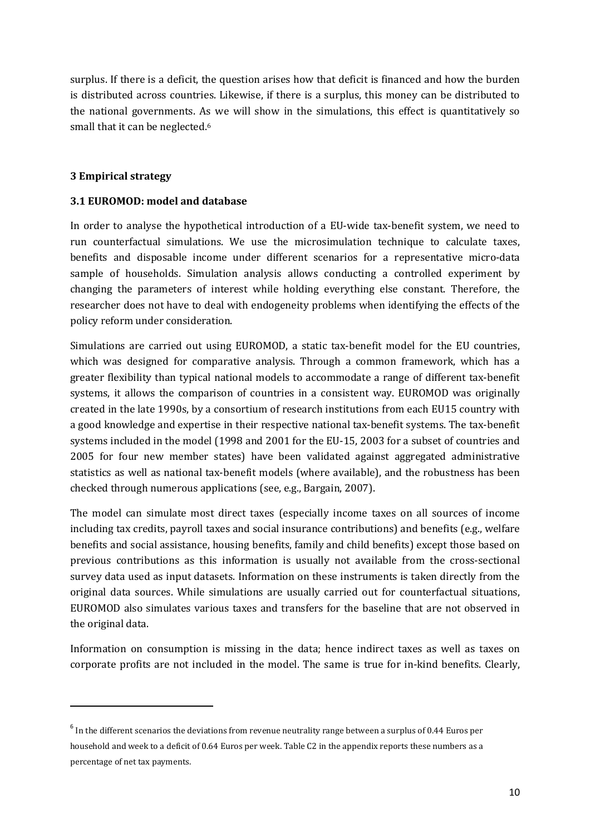surplus. If there is a deficit, the question arises how that deficit is financed and how the burden is distributed across countries. Likewise, if there is a surplus, this money can be distributed to the national governments. As we will show in the simulations, this effect is quantitatively so small that it can be neglected.<sup>6</sup>

### **3 Empirical strategy**

 $\overline{a}$ 

#### **3.1 EUROMOD: model and database**

In order to analyse the hypothetical introduction of a EU-wide tax-benefit system, we need to run counterfactual simulations. We use the microsimulation technique to calculate taxes, benefits and disposable income under different scenarios for a representative micro-data sample of households. Simulation analysis allows conducting a controlled experiment by changing the parameters of interest while holding everything else constant. Therefore, the researcher does not have to deal with endogeneity problems when identifying the effects of the policy reform under consideration.

Simulations are carried out using EUROMOD, a static tax-benefit model for the EU countries, which was designed for comparative analysis. Through a common framework, which has a greater flexibility than typical national models to accommodate a range of different tax-benefit systems, it allows the comparison of countries in a consistent way. EUROMOD was originally created in the late 1990s, by a consortium of research institutions from each EU15 country with a good knowledge and expertise in their respective national tax-benefit systems. The tax-benefit systems included in the model (1998 and 2001 for the EU-15, 2003 for a subset of countries and 2005 for four new member states) have been validated against aggregated administrative statistics as well as national tax-benefit models (where available), and the robustness has been checked through numerous applications (see, e.g., Bargain, 2007).

The model can simulate most direct taxes (especially income taxes on all sources of income including tax credits, payroll taxes and social insurance contributions) and benefits (e.g., welfare benefits and social assistance, housing benefits, family and child benefits) except those based on previous contributions as this information is usually not available from the cross-sectional survey data used as input datasets. Information on these instruments is taken directly from the original data sources. While simulations are usually carried out for counterfactual situations, EUROMOD also simulates various taxes and transfers for the baseline that are not observed in the original data.

Information on consumption is missing in the data; hence indirect taxes as well as taxes on corporate profits are not included in the model. The same is true for in-kind benefits. Clearly,

 $^6$  In the different scenarios the deviations from revenue neutrality range between a surplus of 0.44 Euros per household and week to a deficit of 0.64 Euros per week. Table C2 in the appendix reports these numbers as a percentage of net tax payments.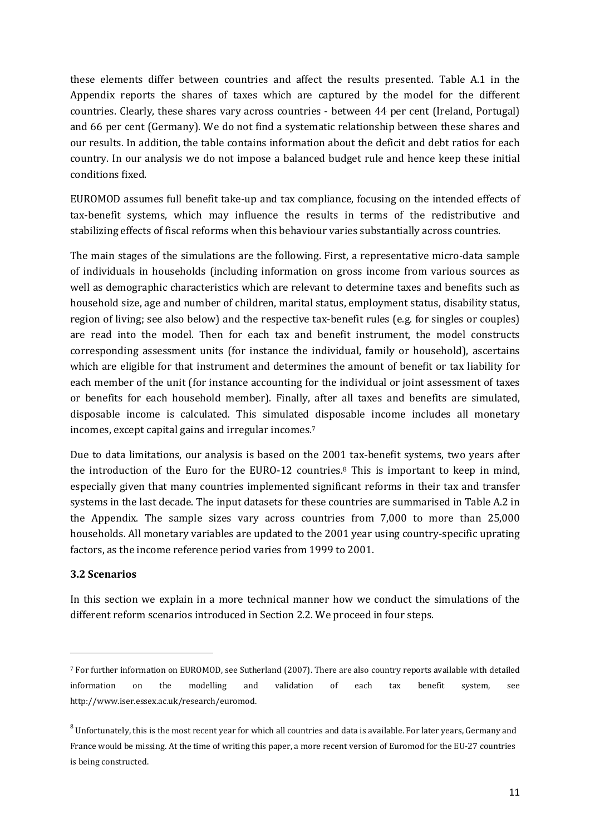these elements differ between countries and affect the results presented. Table A.1 in the Appendix reports the shares of taxes which are captured by the model for the different countries. Clearly, these shares vary across countries - between 44 per cent (Ireland, Portugal) and 66 per cent (Germany). We do not find a systematic relationship between these shares and our results. In addition, the table contains information about the deficit and debt ratios for each country. In our analysis we do not impose a balanced budget rule and hence keep these initial conditions fixed.

EUROMOD assumes full benefit take-up and tax compliance, focusing on the intended effects of tax-benefit systems, which may influence the results in terms of the redistributive and stabilizing effects of fiscal reforms when this behaviour varies substantially across countries.

The main stages of the simulations are the following. First, a representative micro-data sample of individuals in households (including information on gross income from various sources as well as demographic characteristics which are relevant to determine taxes and benefits such as household size, age and number of children, marital status, employment status, disability status, region of living; see also below) and the respective tax-benefit rules (e.g. for singles or couples) are read into the model. Then for each tax and benefit instrument, the model constructs corresponding assessment units (for instance the individual, family or household), ascertains which are eligible for that instrument and determines the amount of benefit or tax liability for each member of the unit (for instance accounting for the individual or joint assessment of taxes or benefits for each household member). Finally, after all taxes and benefits are simulated, disposable income is calculated. This simulated disposable income includes all monetary incomes, except capital gains and irregular incomes.<sup>7</sup>

Due to data limitations, our analysis is based on the 2001 tax-benefit systems, two years after the introduction of the Euro for the EURO-12 countries.8 This is important to keep in mind, especially given that many countries implemented significant reforms in their tax and transfer systems in the last decade. The input datasets for these countries are summarised in Table A.2 in the Appendix. The sample sizes vary across countries from 7,000 to more than 25,000 households. All monetary variables are updated to the 2001 year using country-specific uprating factors, as the income reference period varies from 1999 to 2001.

# **3.2 Scenarios**

In this section we explain in a more technical manner how we conduct the simulations of the different reform scenarios introduced in Section 2.2. We proceed in four steps.

<sup>7</sup> For further information on EUROMOD, see Sutherland (2007). There are also country reports available with detailed information on the modelling and validation of each tax benefit system, see http://www.iser.essex.ac.uk/research/euromod.

 $^8$  Unfortunately, this is the most recent year for which all countries and data is available. For later years, Germany and France would be missing. At the time of writing this paper, a more recent version of Euromod for the EU-27 countries is being constructed.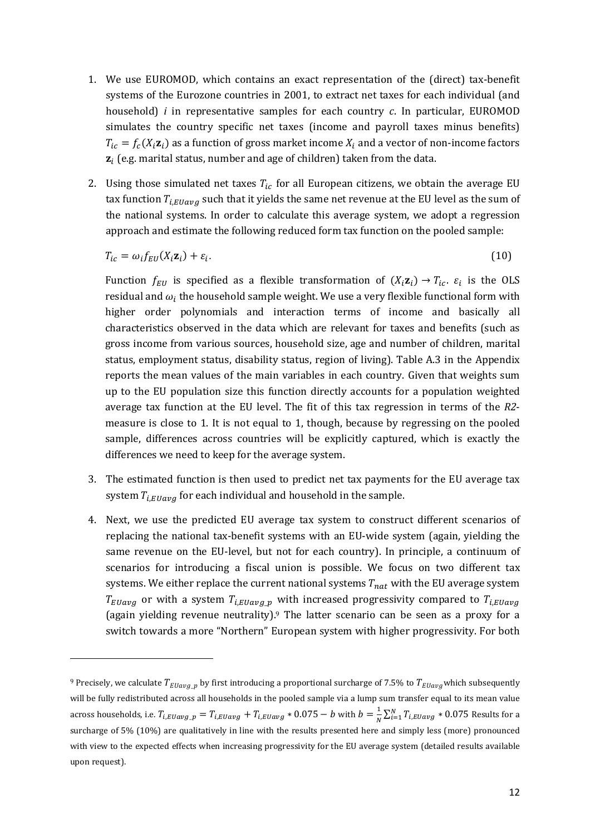- 1. We use EUROMOD, which contains an exact representation of the (direct) tax-benefit systems of the Eurozone countries in 2001, to extract net taxes for each individual (and household) *i* in representative samples for each country *c*. In particular, EUROMOD simulates the country specific net taxes (income and payroll taxes minus benefits)  $T_{ic} = f_c(X_i \mathbf{z}_i)$  as a function of gross market income  $X_i$  and a vector of non-income factors  $\mathbf{z}_i$  (e.g. marital status, number and age of children) taken from the data.
- 2. Using those simulated net taxes  $T_{ic}$  for all European citizens, we obtain the average EU tax function  $T_{i, Elavg}$  such that it yields the same net revenue at the EU level as the sum of the national systems. In order to calculate this average system, we adopt a regression approach and estimate the following reduced form tax function on the pooled sample:

$$
T_{ic} = \omega_i f_{EU}(X_i \mathbf{z}_i) + \varepsilon_i. \tag{10}
$$

Function  $f_{EU}$  is specified as a flexible transformation of  $(X_i \mathbf{z}_i) \rightarrow T_{ic}$ .  $\varepsilon_i$  is the OLS residual and  $\omega_i$  the household sample weight. We use a very flexible functional form with higher order polynomials and interaction terms of income and basically all characteristics observed in the data which are relevant for taxes and benefits (such as gross income from various sources, household size, age and number of children, marital status, employment status, disability status, region of living). Table A.3 in the Appendix reports the mean values of the main variables in each country. Given that weights sum up to the EU population size this function directly accounts for a population weighted average tax function at the EU level. The fit of this tax regression in terms of the *R2* measure is close to 1. It is not equal to 1, though, because by regressing on the pooled sample, differences across countries will be explicitly captured, which is exactly the differences we need to keep for the average system.

- 3. The estimated function is then used to predict net tax payments for the EU average tax system  $T_{i, Eluavg}$  for each individual and household in the sample.
- 4. Next, we use the predicted EU average tax system to construct different scenarios of replacing the national tax-benefit systems with an EU-wide system (again, yielding the same revenue on the EU-level, but not for each country). In principle, a continuum of scenarios for introducing a fiscal union is possible. We focus on two different tax systems. We either replace the current national systems  $T_{nat}$  with the EU average system  $T_{EUavg}$  or with a system  $T_{i,EUavg\_p}$  with increased progressivity compared to  $T_{i,EUavg}$ (again yielding revenue neutrality).<sup>9</sup> The latter scenario can be seen as a proxy for a switch towards a more "Northern" European system with higher progressivity. For both

 $\overline{a}$ 

<sup>&</sup>lt;sup>9</sup> Precisely, we calculate  $T_{EUavg,p}$  by first introducing a proportional surcharge of 7.5% to  $T_{EUavg}$  which subsequently will be fully redistributed across all households in the pooled sample via a lump sum transfer equal to its mean value across households, i.e.  $T_{i, Elavg} = T_{i, Elavg} + T_{i, Elavg} * 0.075 - b$  with  $b = \frac{1}{N} \sum_{i=1}^{N} T_{i, Elavg} * 0.075$  Results for a surcharge of 5% (10%) are qualitatively in line with the results presented here and simply less (more) pronounced with view to the expected effects when increasing progressivity for the EU average system (detailed results available upon request).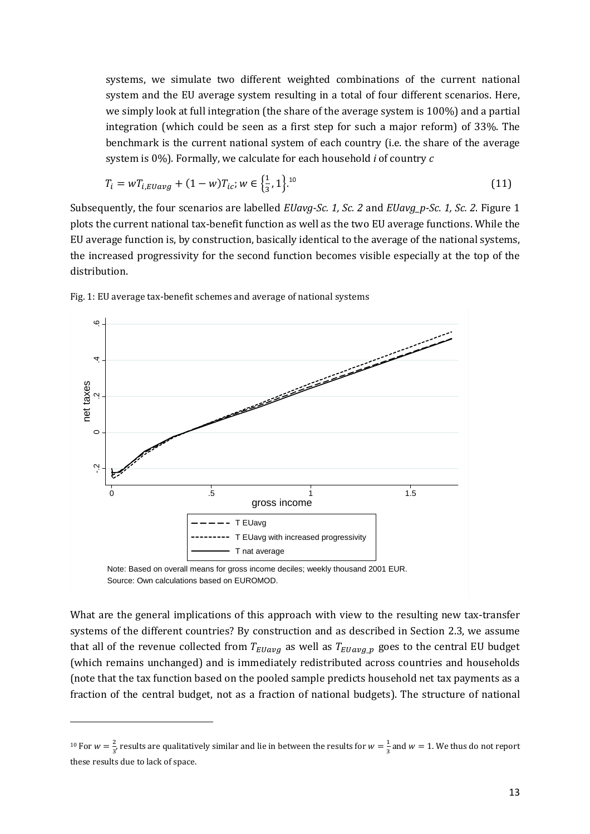systems, we simulate two different weighted combinations of the current national system and the EU average system resulting in a total of four different scenarios. Here, we simply look at full integration (the share of the average system is 100%) and a partial integration (which could be seen as a first step for such a major reform) of 33%. The benchmark is the current national system of each country (i.e. the share of the average system is 0%). Formally, we calculate for each household *i* of country *c*

$$
T_i = wT_{i,Euavg} + (1 - w)T_{ic}; w \in \left\{\frac{1}{3}, 1\right\}^{10}
$$
\n(11)

Subsequently, the four scenarios are labelled *EUavg-Sc. 1, Sc. 2* and *EUavg\_p-Sc. 1, Sc. 2*. Figure 1 plots the current national tax-benefit function as well as the two EU average functions. While the EU average function is, by construction, basically identical to the average of the national systems, the increased progressivity for the second function becomes visible especially at the top of the distribution.



Fig. 1: EU average tax-benefit schemes and average of national systems

What are the general implications of this approach with view to the resulting new tax-transfer systems of the different countries? By construction and as described in Section 2.3, we assume that all of the revenue collected from  $T_{EUavg}$  as well as  $T_{EUavg,p}$  goes to the central EU budget (which remains unchanged) and is immediately redistributed across countries and households (note that the tax function based on the pooled sample predicts household net tax payments as a fraction of the central budget, not as a fraction of national budgets). The structure of national

 $\overline{a}$ 

<sup>&</sup>lt;sup>10</sup> For  $w = \frac{2}{3}$  $\frac{2}{3}$ , results are qualitatively similar and lie in between the results for  $w = \frac{1}{3}$  $\frac{1}{3}$  and  $w = 1$ . We thus do not report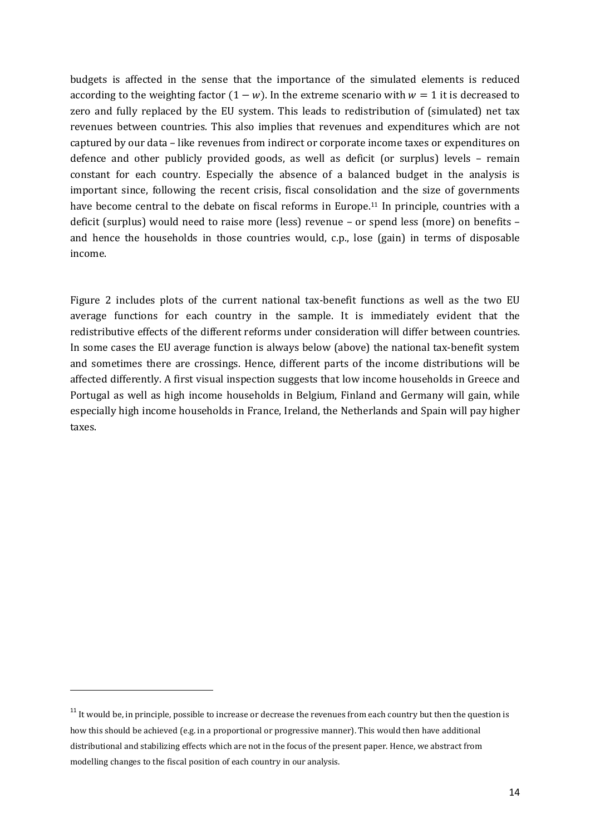budgets is affected in the sense that the importance of the simulated elements is reduced according to the weighting factor  $(1 - w)$ . In the extreme scenario with  $w = 1$  it is decreased to zero and fully replaced by the EU system. This leads to redistribution of (simulated) net tax revenues between countries. This also implies that revenues and expenditures which are not captured by our data – like revenues from indirect or corporate income taxes or expenditures on defence and other publicly provided goods, as well as deficit (or surplus) levels – remain constant for each country. Especially the absence of a balanced budget in the analysis is important since, following the recent crisis, fiscal consolidation and the size of governments have become central to the debate on fiscal reforms in Europe.<sup>11</sup> In principle, countries with a deficit (surplus) would need to raise more (less) revenue – or spend less (more) on benefits – and hence the households in those countries would, c.p., lose (gain) in terms of disposable income.

Figure 2 includes plots of the current national tax-benefit functions as well as the two EU average functions for each country in the sample. It is immediately evident that the redistributive effects of the different reforms under consideration will differ between countries. In some cases the EU average function is always below (above) the national tax-benefit system and sometimes there are crossings. Hence, different parts of the income distributions will be affected differently. A first visual inspection suggests that low income households in Greece and Portugal as well as high income households in Belgium, Finland and Germany will gain, while especially high income households in France, Ireland, the Netherlands and Spain will pay higher taxes.

 $11$  It would be, in principle, possible to increase or decrease the revenues from each country but then the question is how this should be achieved (e.g. in a proportional or progressive manner). This would then have additional distributional and stabilizing effects which are not in the focus of the present paper. Hence, we abstract from modelling changes to the fiscal position of each country in our analysis.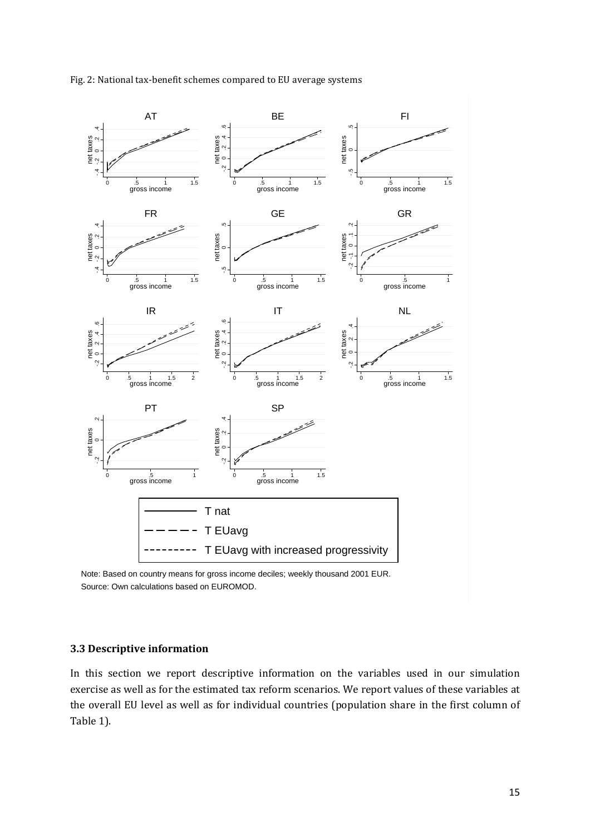

#### Fig. 2: National tax-benefit schemes compared to EU average systems

Note: Based on country means for gross income deciles; weekly thousand 2001 EUR. Source: Own calculations based on EUROMOD.

#### **3.3 Descriptive information**

In this section we report descriptive information on the variables used in our simulation exercise as well as for the estimated tax reform scenarios. We report values of these variables at the overall EU level as well as for individual countries (population share in the first column of Table 1).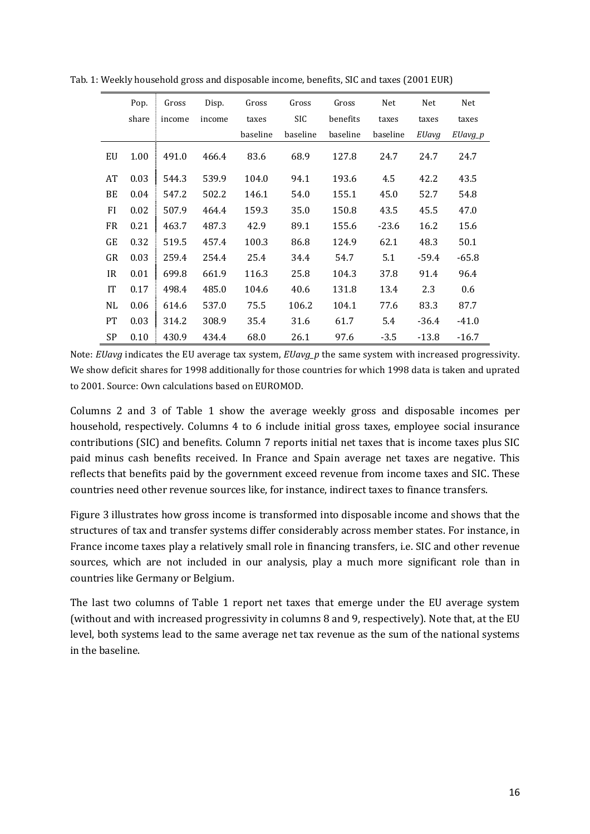|           | Pop.  | Gross  | Disp.  | Gross    | Gross      | Gross    | Net      | Net     | Net     |
|-----------|-------|--------|--------|----------|------------|----------|----------|---------|---------|
|           | share | income | income | taxes    | <b>SIC</b> | benefits | taxes    | taxes   | taxes   |
|           |       |        |        | baseline | baseline   | baseline | baseline | EUavg   | EUavg_p |
| EU        | 1.00  | 491.0  | 466.4  | 83.6     | 68.9       | 127.8    | 24.7     | 24.7    | 24.7    |
| AT        | 0.03  | 544.3  | 539.9  | 104.0    | 94.1       | 193.6    | 4.5      | 42.2    | 43.5    |
| BE        | 0.04  | 547.2  | 502.2  | 146.1    | 54.0       | 155.1    | 45.0     | 52.7    | 54.8    |
| FI        | 0.02  | 507.9  | 464.4  | 159.3    | 35.0       | 150.8    | 43.5     | 45.5    | 47.0    |
| <b>FR</b> | 0.21  | 463.7  | 487.3  | 42.9     | 89.1       | 155.6    | $-23.6$  | 16.2    | 15.6    |
| GE        | 0.32  | 519.5  | 457.4  | 100.3    | 86.8       | 124.9    | 62.1     | 48.3    | 50.1    |
| GR        | 0.03  | 259.4  | 254.4  | 25.4     | 34.4       | 54.7     | 5.1      | $-59.4$ | $-65.8$ |
| IR.       | 0.01  | 699.8  | 661.9  | 116.3    | 25.8       | 104.3    | 37.8     | 91.4    | 96.4    |
| IT        | 0.17  | 498.4  | 485.0  | 104.6    | 40.6       | 131.8    | 13.4     | 2.3     | 0.6     |
| NL        | 0.06  | 614.6  | 537.0  | 75.5     | 106.2      | 104.1    | 77.6     | 83.3    | 87.7    |
| <b>PT</b> | 0.03  | 314.2  | 308.9  | 35.4     | 31.6       | 61.7     | 5.4      | $-36.4$ | $-41.0$ |
| SP        | 0.10  | 430.9  | 434.4  | 68.0     | 26.1       | 97.6     | $-3.5$   | $-13.8$ | $-16.7$ |

Tab. 1: Weekly household gross and disposable income, benefits, SIC and taxes (2001 EUR)

Note: *EUavg* indicates the EU average tax system, *EUavg\_p* the same system with increased progressivity. We show deficit shares for 1998 additionally for those countries for which 1998 data is taken and uprated to 2001. Source: Own calculations based on EUROMOD.

Columns 2 and 3 of Table 1 show the average weekly gross and disposable incomes per household, respectively. Columns 4 to 6 include initial gross taxes, employee social insurance contributions (SIC) and benefits. Column 7 reports initial net taxes that is income taxes plus SIC paid minus cash benefits received. In France and Spain average net taxes are negative. This reflects that benefits paid by the government exceed revenue from income taxes and SIC. These countries need other revenue sources like, for instance, indirect taxes to finance transfers.

Figure 3 illustrates how gross income is transformed into disposable income and shows that the structures of tax and transfer systems differ considerably across member states. For instance, in France income taxes play a relatively small role in financing transfers, i.e. SIC and other revenue sources, which are not included in our analysis, play a much more significant role than in countries like Germany or Belgium.

The last two columns of Table 1 report net taxes that emerge under the EU average system (without and with increased progressivity in columns 8 and 9, respectively). Note that, at the EU level, both systems lead to the same average net tax revenue as the sum of the national systems in the baseline.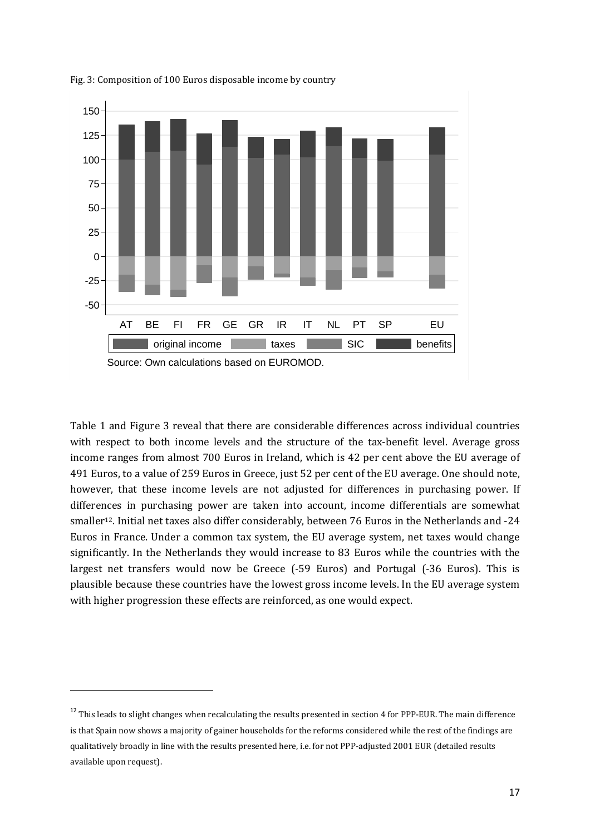

Fig. 3: Composition of 100 Euros disposable income by country

Table 1 and Figure 3 reveal that there are considerable differences across individual countries with respect to both income levels and the structure of the tax-benefit level. Average gross income ranges from almost 700 Euros in Ireland, which is 42 per cent above the EU average of 491 Euros, to a value of 259 Euros in Greece, just 52 per cent of the EU average. One should note, however, that these income levels are not adjusted for differences in purchasing power. If differences in purchasing power are taken into account, income differentials are somewhat smaller12. Initial net taxes also differ considerably, between 76 Euros in the Netherlands and -24 Euros in France. Under a common tax system, the EU average system, net taxes would change significantly. In the Netherlands they would increase to 83 Euros while the countries with the largest net transfers would now be Greece (-59 Euros) and Portugal (-36 Euros). This is plausible because these countries have the lowest gross income levels. In the EU average system with higher progression these effects are reinforced, as one would expect.

<sup>&</sup>lt;sup>12</sup> This leads to slight changes when recalculating the results presented in section 4 for PPP-EUR. The main difference is that Spain now shows a majority of gainer households for the reforms considered while the rest of the findings are qualitatively broadly in line with the results presented here, i.e. for not PPP-adjusted 2001 EUR (detailed results available upon request).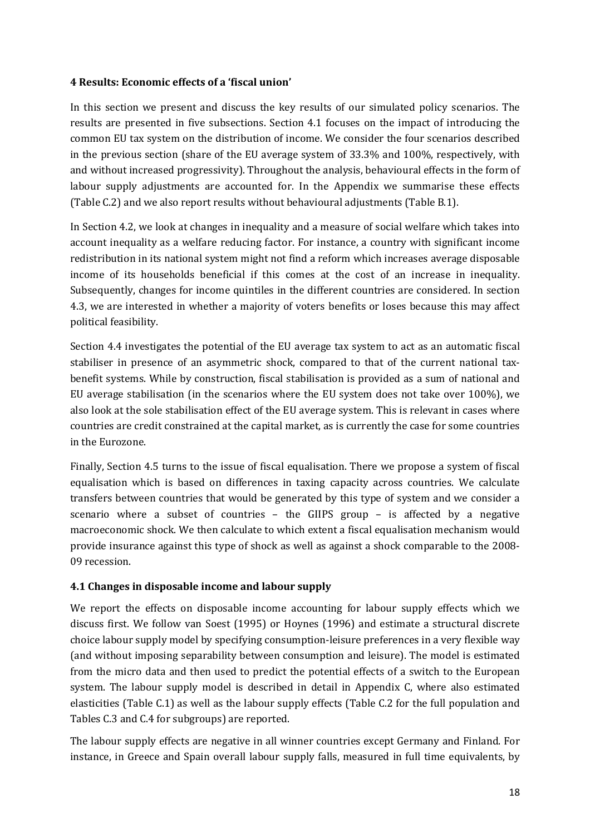# **4 Results: Economic effects of a 'fiscal union'**

In this section we present and discuss the key results of our simulated policy scenarios. The results are presented in five subsections. Section 4.1 focuses on the impact of introducing the common EU tax system on the distribution of income. We consider the four scenarios described in the previous section (share of the EU average system of 33.3% and 100%, respectively, with and without increased progressivity). Throughout the analysis, behavioural effects in the form of labour supply adjustments are accounted for. In the Appendix we summarise these effects (Table C.2) and we also report results without behavioural adjustments (Table B.1).

In Section 4.2, we look at changes in inequality and a measure of social welfare which takes into account inequality as a welfare reducing factor. For instance, a country with significant income redistribution in its national system might not find a reform which increases average disposable income of its households beneficial if this comes at the cost of an increase in inequality. Subsequently, changes for income quintiles in the different countries are considered. In section 4.3, we are interested in whether a majority of voters benefits or loses because this may affect political feasibility.

Section 4.4 investigates the potential of the EU average tax system to act as an automatic fiscal stabiliser in presence of an asymmetric shock, compared to that of the current national taxbenefit systems. While by construction, fiscal stabilisation is provided as a sum of national and EU average stabilisation (in the scenarios where the EU system does not take over 100%), we also look at the sole stabilisation effect of the EU average system. This is relevant in cases where countries are credit constrained at the capital market, as is currently the case for some countries in the Eurozone.

Finally, Section 4.5 turns to the issue of fiscal equalisation. There we propose a system of fiscal equalisation which is based on differences in taxing capacity across countries. We calculate transfers between countries that would be generated by this type of system and we consider a scenario where a subset of countries – the GIIPS group – is affected by a negative macroeconomic shock. We then calculate to which extent a fiscal equalisation mechanism would provide insurance against this type of shock as well as against a shock comparable to the 2008- 09 recession.

# **4.1 Changes in disposable income and labour supply**

We report the effects on disposable income accounting for labour supply effects which we discuss first. We follow van Soest (1995) or Hoynes (1996) and estimate a structural discrete choice labour supply model by specifying consumption-leisure preferences in a very flexible way (and without imposing separability between consumption and leisure). The model is estimated from the micro data and then used to predict the potential effects of a switch to the European system. The labour supply model is described in detail in Appendix C, where also estimated elasticities (Table C.1) as well as the labour supply effects (Table C.2 for the full population and Tables C.3 and C.4 for subgroups) are reported.

The labour supply effects are negative in all winner countries except Germany and Finland. For instance, in Greece and Spain overall labour supply falls, measured in full time equivalents, by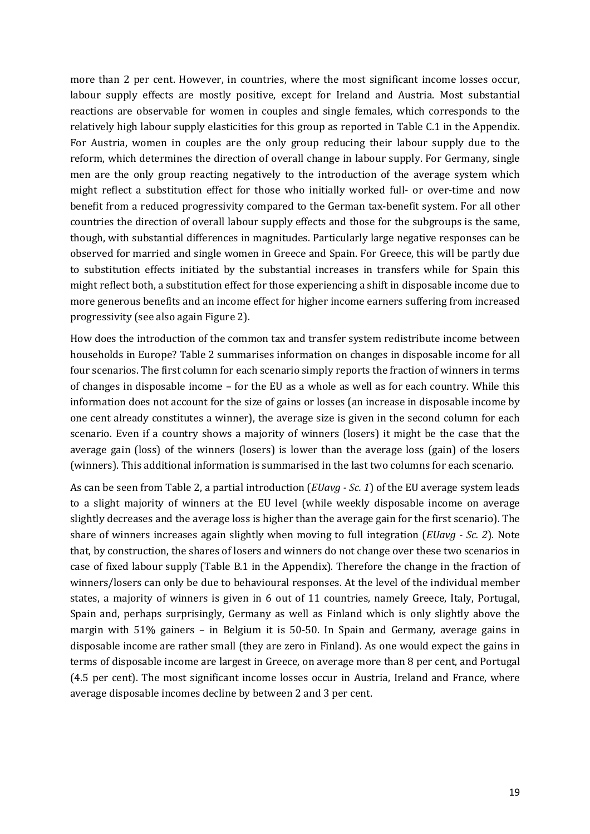more than 2 per cent. However, in countries, where the most significant income losses occur, labour supply effects are mostly positive, except for Ireland and Austria. Most substantial reactions are observable for women in couples and single females, which corresponds to the relatively high labour supply elasticities for this group as reported in Table C.1 in the Appendix. For Austria, women in couples are the only group reducing their labour supply due to the reform, which determines the direction of overall change in labour supply. For Germany, single men are the only group reacting negatively to the introduction of the average system which might reflect a substitution effect for those who initially worked full- or over-time and now benefit from a reduced progressivity compared to the German tax-benefit system. For all other countries the direction of overall labour supply effects and those for the subgroups is the same, though, with substantial differences in magnitudes. Particularly large negative responses can be observed for married and single women in Greece and Spain. For Greece, this will be partly due to substitution effects initiated by the substantial increases in transfers while for Spain this might reflect both, a substitution effect for those experiencing a shift in disposable income due to more generous benefits and an income effect for higher income earners suffering from increased progressivity (see also again Figure 2).

How does the introduction of the common tax and transfer system redistribute income between households in Europe? Table 2 summarises information on changes in disposable income for all four scenarios. The first column for each scenario simply reports the fraction of winners in terms of changes in disposable income – for the EU as a whole as well as for each country. While this information does not account for the size of gains or losses (an increase in disposable income by one cent already constitutes a winner), the average size is given in the second column for each scenario. Even if a country shows a majority of winners (losers) it might be the case that the average gain (loss) of the winners (losers) is lower than the average loss (gain) of the losers (winners). This additional information is summarised in the last two columns for each scenario.

As can be seen from Table 2, a partial introduction (*EUavg - Sc. 1*) of the EU average system leads to a slight majority of winners at the EU level (while weekly disposable income on average slightly decreases and the average loss is higher than the average gain for the first scenario). The share of winners increases again slightly when moving to full integration (*EUavg - Sc. 2*). Note that, by construction, the shares of losers and winners do not change over these two scenarios in case of fixed labour supply (Table B.1 in the Appendix). Therefore the change in the fraction of winners/losers can only be due to behavioural responses. At the level of the individual member states, a majority of winners is given in 6 out of 11 countries, namely Greece, Italy, Portugal, Spain and, perhaps surprisingly, Germany as well as Finland which is only slightly above the margin with 51% gainers – in Belgium it is 50-50. In Spain and Germany, average gains in disposable income are rather small (they are zero in Finland). As one would expect the gains in terms of disposable income are largest in Greece, on average more than 8 per cent, and Portugal (4.5 per cent). The most significant income losses occur in Austria, Ireland and France, where average disposable incomes decline by between 2 and 3 per cent.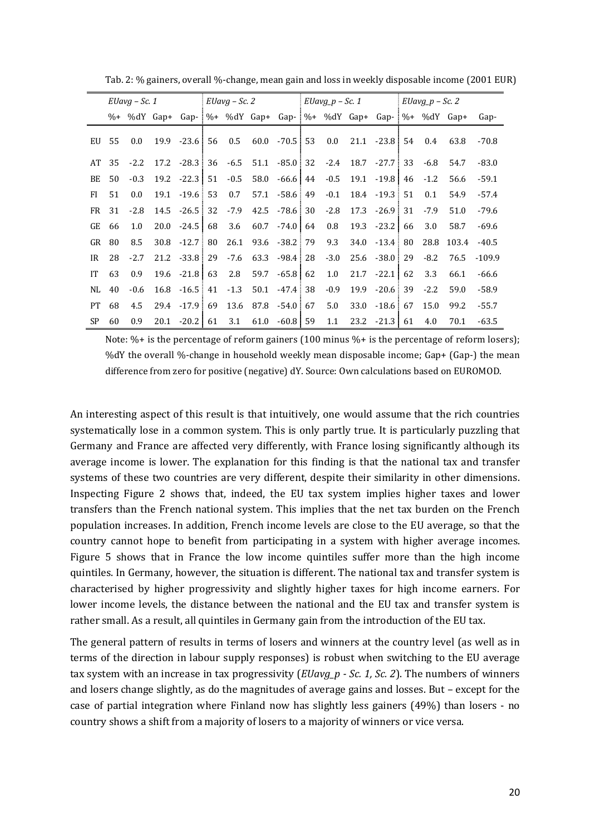|           | $EUavg - Sc.1$<br>%+ %dY Gap+ Gap- %+ %dY Gap+ Gap- %+ %dY Gap+ Gap- %+ %dY Gap+ |         |  | $EUavg - Sc.2$                                                  |        | $EUavg_p - Sc.1$         |         | $EUavg_p - Sc.2$                                                     |  |        |       |          |
|-----------|----------------------------------------------------------------------------------|---------|--|-----------------------------------------------------------------|--------|--------------------------|---------|----------------------------------------------------------------------|--|--------|-------|----------|
|           |                                                                                  |         |  |                                                                 |        |                          |         |                                                                      |  |        |       | Gap-     |
|           | EU 55                                                                            | $0.0\,$ |  | $19.9 - 23.6$ 56                                                | 0.5    | $60.0$ $-70.5$ 53        |         | $0.0$ 21.1 -23.8 54                                                  |  | 0.4    | 63.8  | $-70.8$  |
| AT        | 35                                                                               | $-2.2$  |  | $17.2$ $-28.3$ 36 $-6.5$ 51.1 $-85.0$ 32 $-2.4$ 18.7 $-27.7$ 33 |        |                          |         |                                                                      |  | -6.8   | 54.7  | $-83.0$  |
| BE        | 50                                                                               | $-0.3$  |  | $19.2 -22.3$ 51                                                 | $-0.5$ |                          |         | $58.0 \quad -66.6 \mid 44 \quad -0.5 \quad 19.1 \quad -19.8 \mid 46$ |  | $-1.2$ | 56.6  | $-59.1$  |
| FI        | 51                                                                               | 0.0     |  | 19.1 - 19.6 53                                                  | 0.7    | $57.1 - 58.6 + 49$       | $-0.1$  | 18.4 - 19.3 51                                                       |  | 0.1    | 54.9  | $-57.4$  |
|           | FR 31                                                                            | $-2.8$  |  | $14.5 - 26.5$ 32                                                |        | $-7.9$ $42.5$ $-78.6$ 30 | $-2.8$  | 17.3 - 26.9 31                                                       |  | $-7.9$ | 51.0  | $-79.6$  |
| GE        | 66                                                                               | 1.0     |  | $20.0 -24.5$ 68                                                 | 3.6    | $60.7 -74.0$ 64          | $0.8\,$ | $19.3 -23.2 \mid 66$                                                 |  | 3.0    | 58.7  | $-69.6$  |
| GR        | -80                                                                              | 8.5     |  | 30.8 -12.7 80                                                   |        | 26.1 93.6 -38.2 79       | 9.3     | $34.0 -13.4$ 80                                                      |  | 28.8   | 103.4 | $-40.5$  |
| IR        | 28                                                                               | $-2.7$  |  | $21.2 -33.8$ 29                                                 |        | $-7.6$ 63.3 $-98.4$ 28   | $-3.0$  | $25.6 - 38.0$ 29                                                     |  | $-8.2$ | 76.5  | $-109.9$ |
| IT        | 63                                                                               | 0.9     |  | $19.6$ $-21.8$ 63                                               | 2.8    | $59.7 -65.8$ 62          | 1.0     | $21.7 - 22.1$ 62                                                     |  | 3.3    | 66.1  | $-66.6$  |
| NL.       | 40                                                                               | $-0.6$  |  | $16.8 - 16.5$ 41                                                | $-1.3$ | 50.1 -47.4 38            | $-0.9$  | $19.9 - 20.6$ 39                                                     |  | $-2.2$ | 59.0  | $-58.9$  |
| <b>PT</b> | 68                                                                               | 4.5     |  | 29.4 -17.9 69                                                   |        | 13.6 87.8 -54.0 67       | 5.0     | $33.0 - 18.6$ 67                                                     |  | 15.0   | 99.2  | $-55.7$  |
| <b>SP</b> | 60                                                                               | 0.9     |  | $20.1 \quad 20.2 \quad 61$                                      | 3.1    | 61.0 -60.8 59            | 1.1     | $23.2 -21.3$ 61                                                      |  | 4.0    | 70.1  | $-63.5$  |

Tab. 2: % gainers, overall %-change, mean gain and loss in weekly disposable income (2001 EUR)

Note: %+ is the percentage of reform gainers (100 minus %+ is the percentage of reform losers); %dY the overall %-change in household weekly mean disposable income; Gap+ (Gap-) the mean difference from zero for positive (negative) dY. Source: Own calculations based on EUROMOD.

An interesting aspect of this result is that intuitively, one would assume that the rich countries systematically lose in a common system. This is only partly true. It is particularly puzzling that Germany and France are affected very differently, with France losing significantly although its average income is lower. The explanation for this finding is that the national tax and transfer systems of these two countries are very different, despite their similarity in other dimensions. Inspecting Figure 2 shows that, indeed, the EU tax system implies higher taxes and lower transfers than the French national system. This implies that the net tax burden on the French population increases. In addition, French income levels are close to the EU average, so that the country cannot hope to benefit from participating in a system with higher average incomes. Figure 5 shows that in France the low income quintiles suffer more than the high income quintiles. In Germany, however, the situation is different. The national tax and transfer system is characterised by higher progressivity and slightly higher taxes for high income earners. For lower income levels, the distance between the national and the EU tax and transfer system is rather small. As a result, all quintiles in Germany gain from the introduction of the EU tax.

The general pattern of results in terms of losers and winners at the country level (as well as in terms of the direction in labour supply responses) is robust when switching to the EU average tax system with an increase in tax progressivity (*EUavg\_p - Sc. 1, Sc. 2*). The numbers of winners and losers change slightly, as do the magnitudes of average gains and losses. But – except for the case of partial integration where Finland now has slightly less gainers (49%) than losers - no country shows a shift from a majority of losers to a majority of winners or vice versa.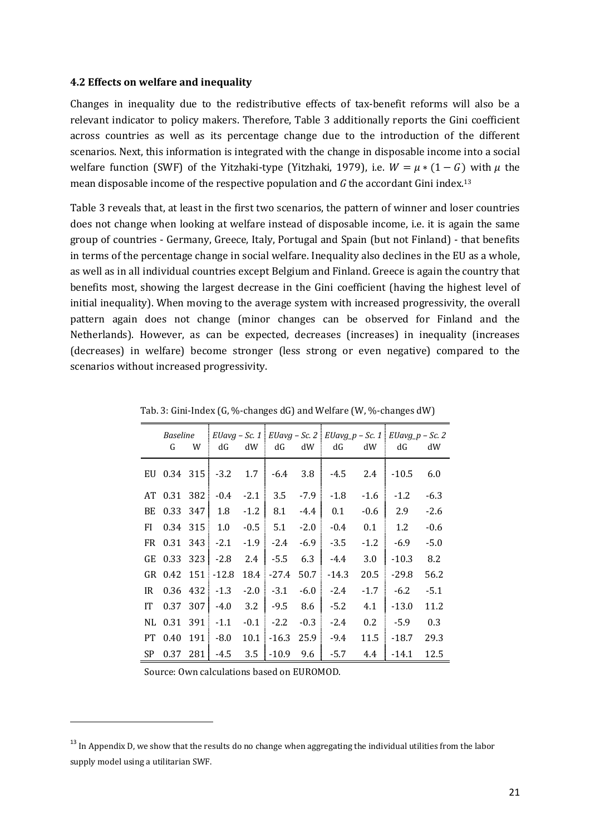#### **4.2 Effects on welfare and inequality**

Changes in inequality due to the redistributive effects of tax-benefit reforms will also be a relevant indicator to policy makers. Therefore, Table 3 additionally reports the Gini coefficient across countries as well as its percentage change due to the introduction of the different scenarios. Next, this information is integrated with the change in disposable income into a social welfare function (SWF) of the Yitzhaki-type (Yitzhaki, 1979), i.e.  $W = \mu * (1 - G)$  with  $\mu$  the mean disposable income of the respective population and *G* the accordant Gini index.<sup>13</sup>

Table 3 reveals that, at least in the first two scenarios, the pattern of winner and loser countries does not change when looking at welfare instead of disposable income, i.e. it is again the same group of countries - Germany, Greece, Italy, Portugal and Spain (but not Finland) - that benefits in terms of the percentage change in social welfare. Inequality also declines in the EU as a whole, as well as in all individual countries except Belgium and Finland. Greece is again the country that benefits most, showing the largest decrease in the Gini coefficient (having the highest level of initial inequality). When moving to the average system with increased progressivity, the overall pattern again does not change (minor changes can be observed for Finland and the Netherlands). However, as can be expected, decreases (increases) in inequality (increases (decreases) in welfare) become stronger (less strong or even negative) compared to the scenarios without increased progressivity.

|     | Baseline<br>G | W | dG                       | dW     | dG dW                          |        | dG            | dW  | EUavg – Sc. 1   EUavg – Sc. 2   EUavg_p – Sc. 1   EUavg_p – Sc. 2<br>dG | dW     |
|-----|---------------|---|--------------------------|--------|--------------------------------|--------|---------------|-----|-------------------------------------------------------------------------|--------|
|     |               |   | EU $0.34$ 315 -3.2       |        | $1.7 \div 6.4$ 3.8             |        | -4.5          |     | $2.4$ -10.5                                                             | 6.0    |
|     |               |   |                          |        | AT 0.31 382 -0.4 -2.1 3.5 -7.9 |        | $-1.8$        |     | $-1.6$ $-1.2$                                                           | $-6.3$ |
| BE  |               |   | $0.33$ 347 1.8           | $-1.2$ | 8.1                            | $-4.4$ | 0.1           |     | $-0.6$ 2.9                                                              | $-2.6$ |
| FI  |               |   | $0.34$ 315 1.0 - 0.5 5.1 |        |                                | $-2.0$ | $-0.4$        |     | $0.1 \quad 1.2$                                                         | $-0.6$ |
| FR  |               |   | $0.31$ 343 -2.1          |        | $-1.9 - 2.4$                   |        | $-6.9$ $-3.5$ |     | $-1.2$ $-6.9$                                                           | $-5.0$ |
| GE  |               |   | $0.33$ 323 - 2.8         |        | $2.4 - 5.5$                    | 6.3    | $-4.4$        | 3.0 | $-10.3$                                                                 | 8.2    |
|     |               |   | GR 0.42 151 -12.8        |        | 18.4 - 27.4                    | 50.7   | $-14.3$       |     | $20.5 - 29.8$                                                           | 56.2   |
| IR  |               |   | $0.36$ 432 $-1.3$        |        | $-2.0$ $-3.1$                  | $-6.0$ | $-2.4$        |     | $-1.7 -6.2$                                                             | $-5.1$ |
| IT  |               |   | $0.37$ 307 $-4.0$        |        | $3.2$ $-9.5$ 8.6               |        | $-5.2$        |     | $4.1 \quad -13.0$                                                       | 11.2   |
|     |               |   | NL 0.31 391 -1.1         |        | $-0.1$ $-2.2$                  | $-0.3$ | $-2.4$        |     | $0.2$ -5.9                                                              | 0.3    |
|     |               |   | PT $0.40$ 191 $-8.0$     |        | $10.1 - 16.3$ 25.9             |        | -9.4          |     | $11.5$ -18.7                                                            | 29.3   |
| SP. |               |   | $0.37$ 281 -4.5          |        | $3.5 - 10.9$                   | 9.6    | $-5.7$        |     | 4.4 - 14.1                                                              | 12.5   |

Tab. 3: Gini-Index (G, %-changes dG) and Welfare (W, %-changes dW)

Source: Own calculations based on EUROMOD.

 $\overline{a}$ 

<sup>&</sup>lt;sup>13</sup> In Appendix D, we show that the results do no change when aggregating the individual utilities from the labor supply model using a utilitarian SWF.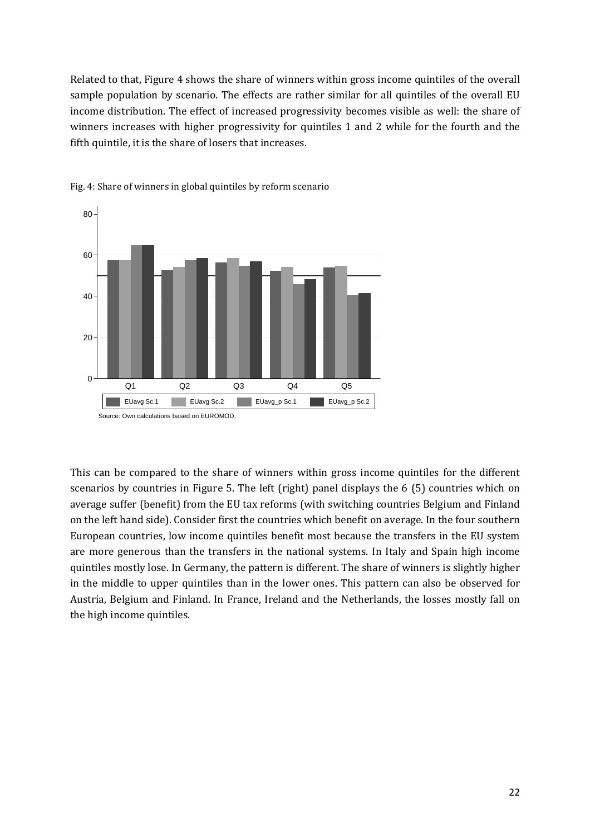Related to that, Figure 4 shows the share of winners within gross income quintiles of the overall sample population by scenario. The effects are rather similar for all quintiles of the overall EU income distribution. The effect of increased progressivity becomes visible as well: the share of winners increases with higher progressivity for quintiles 1 and 2 while for the fourth and the fifth quintile, it is the share of losers that increases.



Fig. 4: Share of winners in global quintiles by reform scenario

This can be compared to the share of winners within gross income quintiles for the different scenarios by countries in Figure 5. The left (right) panel displays the 6 (5) countries which on average suffer (benefit) from the EU tax reforms (with switching countries Belgium and Finland on the left hand side). Consider first the countries which benefit on average. In the four southern European countries, low income quintiles benefit most because the transfers in the EU system are more generous than the transfers in the national systems. In Italy and Spain high income quintiles mostly lose. In Germany, the pattern is different. The share of winners is slightly higher in the middle to upper quintiles than in the lower ones. This pattern can also be observed for Austria, Belgium and Finland. In France, Ireland and the Netherlands, the losses mostly fall on the high income quintiles.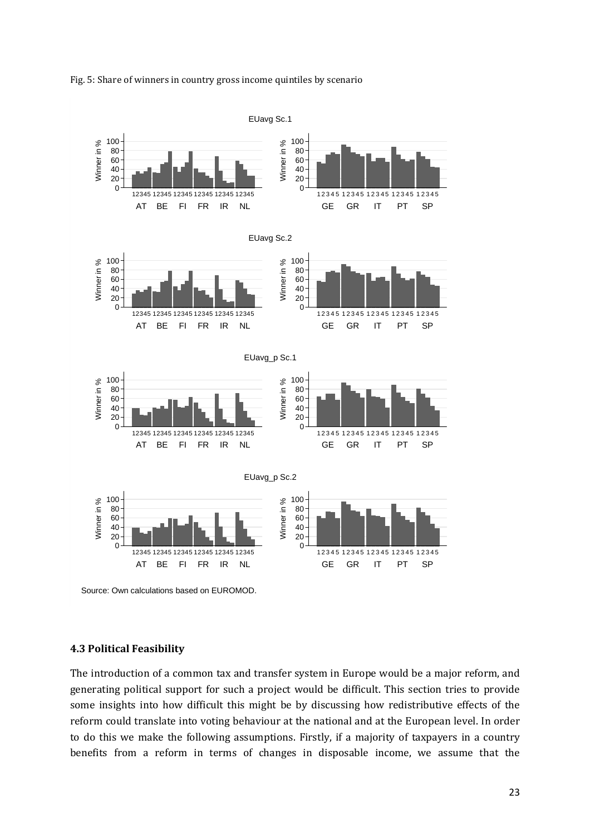



Source: Own calculations based on EUROMOD.

#### **4.3 Political Feasibility**

The introduction of a common tax and transfer system in Europe would be a major reform, and generating political support for such a project would be difficult. This section tries to provide some insights into how difficult this might be by discussing how redistributive effects of the reform could translate into voting behaviour at the national and at the European level. In order to do this we make the following assumptions. Firstly, if a majority of taxpayers in a country benefits from a reform in terms of changes in disposable income, we assume that the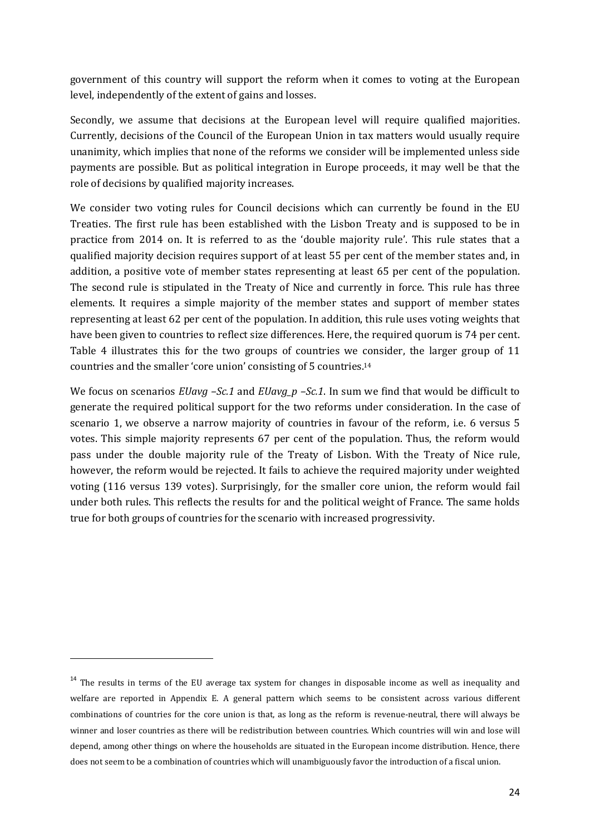government of this country will support the reform when it comes to voting at the European level, independently of the extent of gains and losses.

Secondly, we assume that decisions at the European level will require qualified majorities. Currently, decisions of the Council of the European Union in tax matters would usually require unanimity, which implies that none of the reforms we consider will be implemented unless side payments are possible. But as political integration in Europe proceeds, it may well be that the role of decisions by qualified majority increases.

We consider two voting rules for Council decisions which can currently be found in the EU Treaties. The first rule has been established with the Lisbon Treaty and is supposed to be in practice from 2014 on. It is referred to as the 'double majority rule'. This rule states that a qualified majority decision requires support of at least 55 per cent of the member states and, in addition, a positive vote of member states representing at least 65 per cent of the population. The second rule is stipulated in the Treaty of Nice and currently in force. This rule has three elements. It requires a simple majority of the member states and support of member states representing at least 62 per cent of the population. In addition, this rule uses voting weights that have been given to countries to reflect size differences. Here, the required quorum is 74 per cent. Table 4 illustrates this for the two groups of countries we consider, the larger group of 11 countries and the smaller 'core union' consisting of 5 countries.<sup>14</sup>

We focus on scenarios *EUavg –Sc.1* and *EUavg\_p –Sc.1*. In sum we find that would be difficult to generate the required political support for the two reforms under consideration. In the case of scenario 1, we observe a narrow majority of countries in favour of the reform, i.e. 6 versus 5 votes. This simple majority represents 67 per cent of the population. Thus, the reform would pass under the double majority rule of the Treaty of Lisbon. With the Treaty of Nice rule, however, the reform would be rejected. It fails to achieve the required majority under weighted voting (116 versus 139 votes). Surprisingly, for the smaller core union, the reform would fail under both rules. This reflects the results for and the political weight of France. The same holds true for both groups of countries for the scenario with increased progressivity.

 $\overline{a}$ 

 $14$  The results in terms of the EU average tax system for changes in disposable income as well as inequality and welfare are reported in Appendix E. A general pattern which seems to be consistent across various different combinations of countries for the core union is that, as long as the reform is revenue-neutral, there will always be winner and loser countries as there will be redistribution between countries. Which countries will win and lose will depend, among other things on where the households are situated in the European income distribution. Hence, there does not seem to be a combination of countries which will unambiguously favor the introduction of a fiscal union.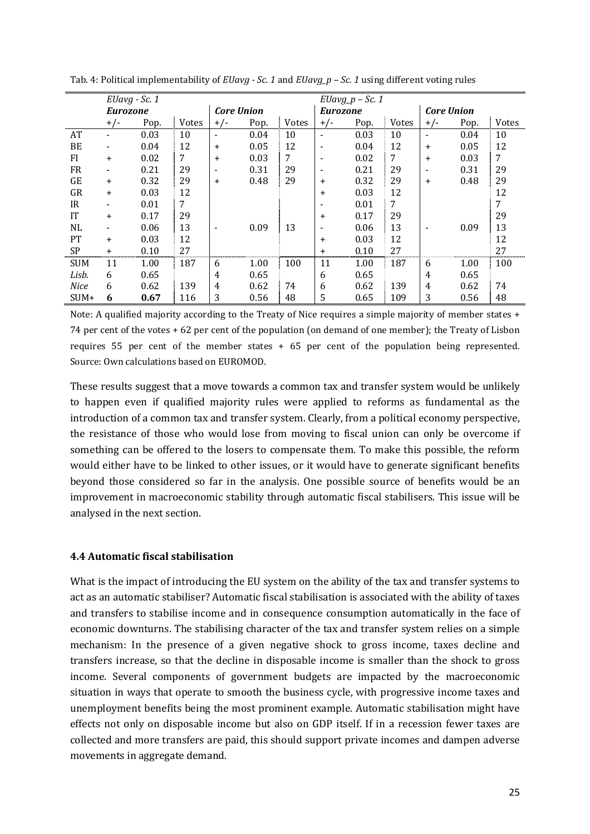|            | EUavg - Sc. 1   |      |              |                          |      |       |                 | $EUavg_p - Sc.$ 1 |       |                          |      |              |
|------------|-----------------|------|--------------|--------------------------|------|-------|-----------------|-------------------|-------|--------------------------|------|--------------|
|            | <b>Eurozone</b> |      |              | <b>Core Union</b>        |      |       | <b>Eurozone</b> |                   |       | <b>Core Union</b>        |      |              |
|            | $+/-$           | Pop. | <b>Votes</b> | $+/-$                    | Pop. | Votes | $+/-$           | Pop.              | Votes | $+/-$                    | Pop. | <b>Votes</b> |
| AT         |                 | 0.03 | 10           | $\overline{\phantom{a}}$ | 0.04 | 10    | ٠               | 0.03              | 10    | $\overline{\phantom{a}}$ | 0.04 | 10           |
| BE         |                 | 0.04 | 12           | $\ddot{}$                | 0.05 | 12    | ٠               | 0.04              | 12    | $\ddot{}$                | 0.05 | 12           |
| FI         | $\ddot{}$       | 0.02 | 7            | $\ddot{}$                | 0.03 | 7     |                 | 0.02              | 7     | $\ddot{}$                | 0.03 | 7            |
| <b>FR</b>  |                 | 0.21 | 29           | $\overline{\phantom{a}}$ | 0.31 | 29    |                 | 0.21              | 29    |                          | 0.31 | 29           |
| <b>GE</b>  | $\ddot{}$       | 0.32 | 29           | $\ddot{}$                | 0.48 | 29    | $\ddot{}$       | 0.32              | 29    | +                        | 0.48 | 29           |
| GR         | $\ddot{}$       | 0.03 | 12           |                          |      |       | $\ddot{}$       | 0.03              | 12    |                          |      | 12           |
| IR.        |                 | 0.01 | 7            |                          |      |       |                 | 0.01              | 7     |                          |      | 7            |
| <b>IT</b>  | $\ddot{}$       | 0.17 | 29           |                          |      |       | $\ddot{}$       | 0.17              | 29    |                          |      | 29           |
| NL         |                 | 0.06 | 13           | $\overline{\phantom{a}}$ | 0.09 | 13    |                 | 0.06              | 13    |                          | 0.09 | 13           |
| PT         | $+$             | 0.03 | 12           |                          |      |       | $\ddot{}$       | 0.03              | 12    |                          |      | 12           |
| <b>SP</b>  | $\overline{+}$  | 0.10 | 27           |                          |      |       | $\ddot{}$       | 0.10              | 27    |                          |      | 27           |
| <b>SUM</b> | 11              | 1.00 | 187          | 6                        | 1.00 | 100   | 11              | 1.00              | 187   | <sub>b</sub>             | 1.00 | 100          |
| Lisb.      | 6               | 0.65 |              | 4                        | 0.65 |       | 6               | 0.65              |       | 4                        | 0.65 |              |
| Nice       | 6               | 0.62 | 139          | 4                        | 0.62 | 74    | 6               | 0.62              | 139   | 4                        | 0.62 | 74           |
| SUM+       | 6               | 0.67 | 116          | 3                        | 0.56 | 48    | 5               | 0.65              | 109   | 3                        | 0.56 | 48           |

Tab. 4: Political implementability of *EUavg - Sc. 1* and *EUavg\_p – Sc. 1* using different voting rules

Note: A qualified majority according to the Treaty of Nice requires a simple majority of member states + 74 per cent of the votes + 62 per cent of the population (on demand of one member); the Treaty of Lisbon requires 55 per cent of the member states + 65 per cent of the population being represented. Source: Own calculations based on EUROMOD.

These results suggest that a move towards a common tax and transfer system would be unlikely to happen even if qualified majority rules were applied to reforms as fundamental as the introduction of a common tax and transfer system. Clearly, from a political economy perspective, the resistance of those who would lose from moving to fiscal union can only be overcome if something can be offered to the losers to compensate them. To make this possible, the reform would either have to be linked to other issues, or it would have to generate significant benefits beyond those considered so far in the analysis. One possible source of benefits would be an improvement in macroeconomic stability through automatic fiscal stabilisers. This issue will be analysed in the next section.

# **4.4 Automatic fiscal stabilisation**

What is the impact of introducing the EU system on the ability of the tax and transfer systems to act as an automatic stabiliser? Automatic fiscal stabilisation is associated with the ability of taxes and transfers to stabilise income and in consequence consumption automatically in the face of economic downturns. The stabilising character of the tax and transfer system relies on a simple mechanism: In the presence of a given negative shock to gross income, taxes decline and transfers increase, so that the decline in disposable income is smaller than the shock to gross income. Several components of government budgets are impacted by the macroeconomic situation in ways that operate to smooth the business cycle, with progressive income taxes and unemployment benefits being the most prominent example. Automatic stabilisation might have effects not only on disposable income but also on GDP itself. If in a recession fewer taxes are collected and more transfers are paid, this should support private incomes and dampen adverse movements in aggregate demand.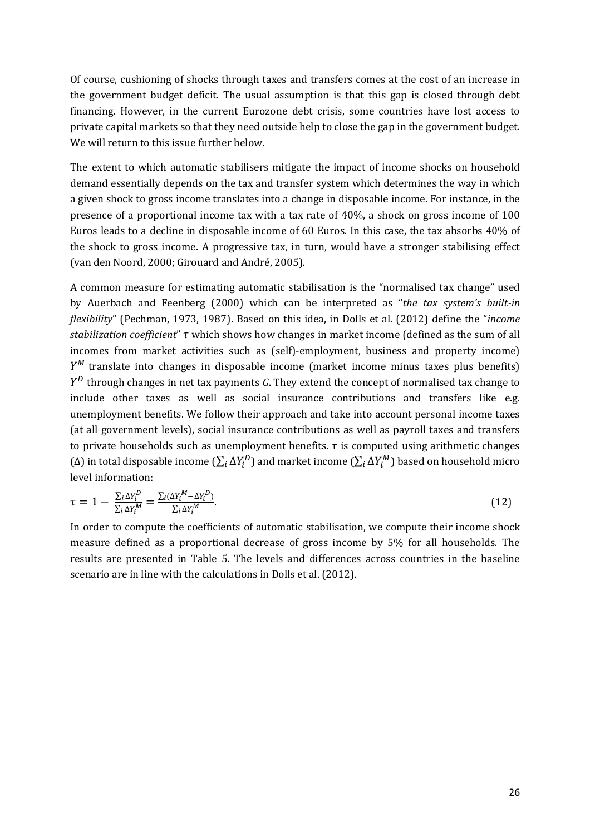Of course, cushioning of shocks through taxes and transfers comes at the cost of an increase in the government budget deficit. The usual assumption is that this gap is closed through debt financing. However, in the current Eurozone debt crisis, some countries have lost access to private capital markets so that they need outside help to close the gap in the government budget. We will return to this issue further below.

The extent to which automatic stabilisers mitigate the impact of income shocks on household demand essentially depends on the tax and transfer system which determines the way in which a given shock to gross income translates into a change in disposable income. For instance, in the presence of a proportional income tax with a tax rate of 40%, a shock on gross income of 100 Euros leads to a decline in disposable income of 60 Euros. In this case, the tax absorbs 40% of the shock to gross income. A progressive tax, in turn, would have a stronger stabilising effect (van den Noord, 2000; Girouard and André, 2005).

A common measure for estimating automatic stabilisation is the "normalised tax change" used by Auerbach and Feenberg (2000) which can be interpreted as "*the tax system's built-in flexibility*" (Pechman, 1973, 1987). Based on this idea, in Dolls et al. (2012) define the "*income stabilization coefficient"*  $\tau$  which shows how changes in market income (defined as the sum of all incomes from market activities such as (self)-employment, business and property income)  $\,^M$  translate into changes in disposable income (market income minus taxes plus benefits) ] through changes in net tax payments *G*. They extend the concept of normalised tax change to include other taxes as well as social insurance contributions and transfers like e.g. unemployment benefits. We follow their approach and take into account personal income taxes (at all government levels), social insurance contributions as well as payroll taxes and transfers to private households such as unemployment benefits. τ is computed using arithmetic changes (Δ) in total disposable income  $(\sum_i \Delta Y_i^D)$  and market income  $(\sum_i \Delta Y_i^M)$  based on household micro level information:

$$
\tau = 1 - \frac{\sum_{i} \Delta Y_{i}^{D}}{\sum_{i} \Delta Y_{i}^{M}} = \frac{\sum_{i} (\Delta Y_{i}^{M} - \Delta Y_{i}^{D})}{\sum_{i} \Delta Y_{i}^{M}}.
$$
\n(12)

In order to compute the coefficients of automatic stabilisation, we compute their income shock measure defined as a proportional decrease of gross income by 5% for all households. The results are presented in Table 5. The levels and differences across countries in the baseline scenario are in line with the calculations in Dolls et al. (2012).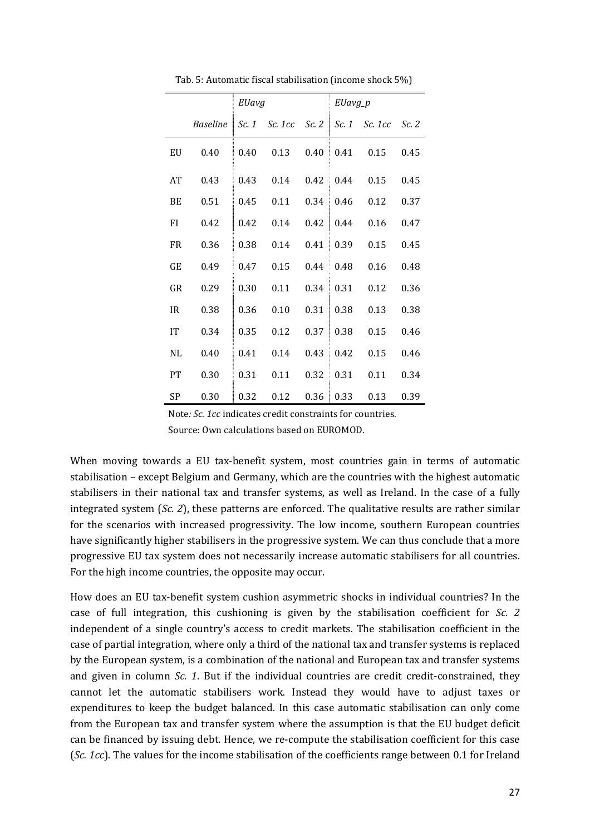|           |          | EUavg |                               |      | EUavg_p           |      |       |
|-----------|----------|-------|-------------------------------|------|-------------------|------|-------|
|           | Baseline | Sc. 1 | Sc. 1cc Sc. 2   Sc. 1 Sc. 1cc |      |                   |      | Sc. 2 |
| EU        | 0.40     | 0.40  | 0.13                          | 0.40 | 0.41              | 0.15 | 0.45  |
| AT        | 0.43     | 0.43  | 0.14                          |      | $0.42 \quad 0.44$ | 0.15 | 0.45  |
| BE        | 0.51     | 0.45  | 0.11                          | 0.34 | 0.46              | 0.12 | 0.37  |
| FI        | 0.42     | 0.42  | 0.14                          | 0.42 | 0.44              | 0.16 | 0.47  |
| <b>FR</b> | 0.36     | 0.38  | 0.14                          | 0.41 | 0.39              | 0.15 | 0.45  |
| GE        | 0.49     | 0.47  | 0.15                          | 0.44 | 0.48              | 0.16 | 0.48  |
| GR        | 0.29     | 0.30  | 0.11                          | 0.34 | 0.31              | 0.12 | 0.36  |
| <b>IR</b> | 0.38     | 0.36  | 0.10                          | 0.31 | 0.38              | 0.13 | 0.38  |
| IT        | 0.34     | 0.35  | 0.12                          | 0.37 | 0.38              | 0.15 | 0.46  |
| NL        | 0.40     | 0.41  | 0.14                          | 0.43 | 0.42              | 0.15 | 0.46  |
| PT        | 0.30     | 0.31  | 0.11                          | 0.32 | 0.31              | 0.11 | 0.34  |
| SP        | 0.30     | 0.32  | 0.12                          | 0.36 | 0.33              | 0.13 | 0.39  |

Tab. 5: Automatic fiscal stabilisation (income shock 5%)

Note*: Sc. 1cc* indicates credit constraints for countries. Source: Own calculations based on EUROMOD.

When moving towards a EU tax-benefit system, most countries gain in terms of automatic stabilisation – except Belgium and Germany, which are the countries with the highest automatic stabilisers in their national tax and transfer systems, as well as Ireland. In the case of a fully integrated system (*Sc. 2*), these patterns are enforced. The qualitative results are rather similar for the scenarios with increased progressivity. The low income, southern European countries have significantly higher stabilisers in the progressive system. We can thus conclude that a more progressive EU tax system does not necessarily increase automatic stabilisers for all countries. For the high income countries, the opposite may occur.

How does an EU tax-benefit system cushion asymmetric shocks in individual countries? In the case of full integration, this cushioning is given by the stabilisation coefficient for *Sc. 2* independent of a single country's access to credit markets. The stabilisation coefficient in the case of partial integration, where only a third of the national tax and transfer systems is replaced by the European system, is a combination of the national and European tax and transfer systems and given in column *Sc. 1*. But if the individual countries are credit credit-constrained, they cannot let the automatic stabilisers work. Instead they would have to adjust taxes or expenditures to keep the budget balanced. In this case automatic stabilisation can only come from the European tax and transfer system where the assumption is that the EU budget deficit can be financed by issuing debt. Hence, we re-compute the stabilisation coefficient for this case (*Sc. 1cc*). The values for the income stabilisation of the coefficients range between 0.1 for Ireland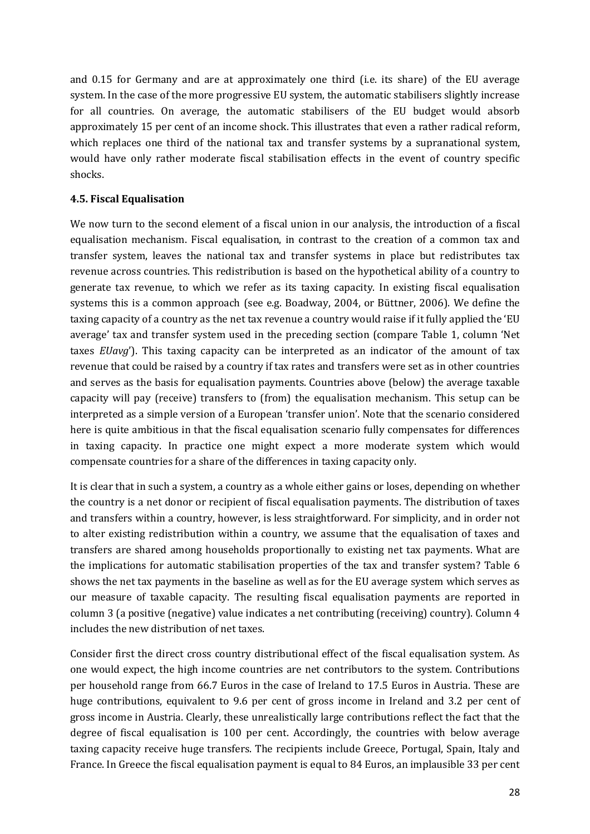and 0.15 for Germany and are at approximately one third (i.e. its share) of the EU average system. In the case of the more progressive EU system, the automatic stabilisers slightly increase for all countries. On average, the automatic stabilisers of the EU budget would absorb approximately 15 per cent of an income shock. This illustrates that even a rather radical reform, which replaces one third of the national tax and transfer systems by a supranational system, would have only rather moderate fiscal stabilisation effects in the event of country specific shocks.

# **4.5. Fiscal Equalisation**

We now turn to the second element of a fiscal union in our analysis, the introduction of a fiscal equalisation mechanism. Fiscal equalisation, in contrast to the creation of a common tax and transfer system, leaves the national tax and transfer systems in place but redistributes tax revenue across countries. This redistribution is based on the hypothetical ability of a country to generate tax revenue, to which we refer as its taxing capacity. In existing fiscal equalisation systems this is a common approach (see e.g. Boadway, 2004, or Büttner, 2006). We define the taxing capacity of a country as the net tax revenue a country would raise if it fully applied the 'EU average' tax and transfer system used in the preceding section (compare Table 1, column 'Net taxes *EUavg*'). This taxing capacity can be interpreted as an indicator of the amount of tax revenue that could be raised by a country if tax rates and transfers were set as in other countries and serves as the basis for equalisation payments. Countries above (below) the average taxable capacity will pay (receive) transfers to (from) the equalisation mechanism. This setup can be interpreted as a simple version of a European 'transfer union'. Note that the scenario considered here is quite ambitious in that the fiscal equalisation scenario fully compensates for differences in taxing capacity. In practice one might expect a more moderate system which would compensate countries for a share of the differences in taxing capacity only.

It is clear that in such a system, a country as a whole either gains or loses, depending on whether the country is a net donor or recipient of fiscal equalisation payments. The distribution of taxes and transfers within a country, however, is less straightforward. For simplicity, and in order not to alter existing redistribution within a country, we assume that the equalisation of taxes and transfers are shared among households proportionally to existing net tax payments. What are the implications for automatic stabilisation properties of the tax and transfer system? Table 6 shows the net tax payments in the baseline as well as for the EU average system which serves as our measure of taxable capacity. The resulting fiscal equalisation payments are reported in column 3 (a positive (negative) value indicates a net contributing (receiving) country). Column 4 includes the new distribution of net taxes.

Consider first the direct cross country distributional effect of the fiscal equalisation system. As one would expect, the high income countries are net contributors to the system. Contributions per household range from 66.7 Euros in the case of Ireland to 17.5 Euros in Austria. These are huge contributions, equivalent to 9.6 per cent of gross income in Ireland and 3.2 per cent of gross income in Austria. Clearly, these unrealistically large contributions reflect the fact that the degree of fiscal equalisation is 100 per cent. Accordingly, the countries with below average taxing capacity receive huge transfers. The recipients include Greece, Portugal, Spain, Italy and France. In Greece the fiscal equalisation payment is equal to 84 Euros, an implausible 33 per cent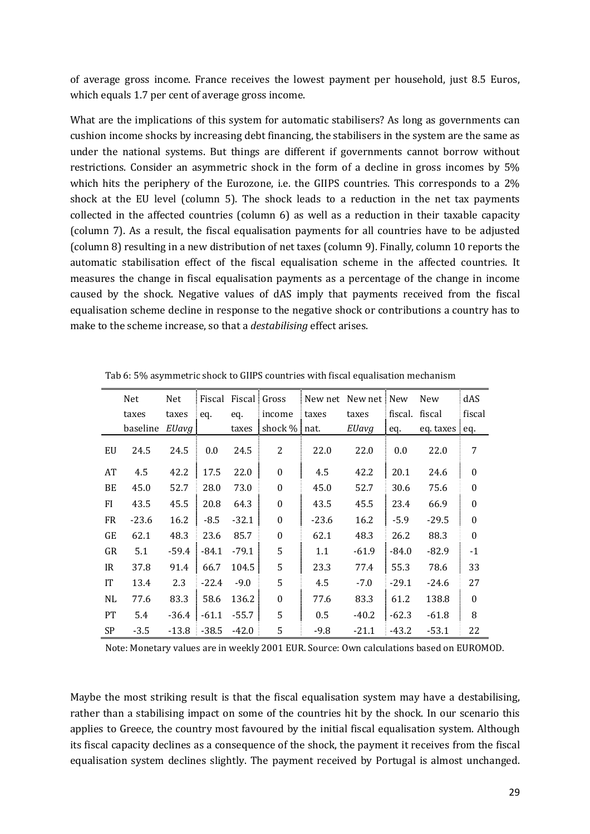of average gross income. France receives the lowest payment per household, just 8.5 Euros, which equals 1.7 per cent of average gross income.

What are the implications of this system for automatic stabilisers? As long as governments can cushion income shocks by increasing debt financing, the stabilisers in the system are the same as under the national systems. But things are different if governments cannot borrow without restrictions. Consider an asymmetric shock in the form of a decline in gross incomes by 5% which hits the periphery of the Eurozone, i.e. the GIIPS countries. This corresponds to a 2% shock at the EU level (column 5). The shock leads to a reduction in the net tax payments collected in the affected countries (column 6) as well as a reduction in their taxable capacity (column 7). As a result, the fiscal equalisation payments for all countries have to be adjusted (column 8) resulting in a new distribution of net taxes (column 9). Finally, column 10 reports the automatic stabilisation effect of the fiscal equalisation scheme in the affected countries. It measures the change in fiscal equalisation payments as a percentage of the change in income caused by the shock. Negative values of dAS imply that payments received from the fiscal equalisation scheme decline in response to the negative shock or contributions a country has to make to the scheme increase, so that a *destabilising* effect arises.

|           | Net      | Net     |         | Fiscal Fiscal Gross |                  | New net New net New |         |                | <b>New</b>    | dAS              |
|-----------|----------|---------|---------|---------------------|------------------|---------------------|---------|----------------|---------------|------------------|
|           | taxes    | taxes   | eq.     | eq.                 | income           | taxes               | taxes   | fiscal. fiscal |               | fiscal           |
|           | baseline | EUavg   |         | taxes               | shock % nat.     |                     | EUavg   | eq.            | eq. taxes eq. |                  |
| EU        | 24.5     | 24.5    | 0.0     | 24.5                | 2                | 22.0                | 22.0    | 0.0            | 22.0          | 7                |
| AT        | 4.5      | 42.2    | 17.5    | 22.0                | $\boldsymbol{0}$ | 4.5                 | 42.2    | 20.1           | 24.6          | $\boldsymbol{0}$ |
| BE        | 45.0     | 52.7    | 28.0    | 73.0                | $\boldsymbol{0}$ | 45.0                | 52.7    | 30.6           | 75.6          | $\boldsymbol{0}$ |
| FI        | 43.5     | 45.5    | 20.8    | 64.3                | $\boldsymbol{0}$ | 43.5                | 45.5    | 23.4           | 66.9          | $\boldsymbol{0}$ |
| <b>FR</b> | $-23.6$  | 16.2    | $-8.5$  | $-32.1$             | $\boldsymbol{0}$ | $-23.6$             | 16.2    | $-5.9$         | $-29.5$       | $\boldsymbol{0}$ |
| <b>GE</b> | 62.1     | 48.3    | 23.6    | 85.7                | $\boldsymbol{0}$ | 62.1                | 48.3    | 26.2           | 88.3          | $\boldsymbol{0}$ |
| GR        | 5.1      | $-59.4$ | $-84.1$ | $-79.1$             | 5                | 1.1                 | $-61.9$ | $-84.0$        | $-82.9$       | $-1$             |
| IR.       | 37.8     | 91.4    | 66.7    | 104.5               | 5                | 23.3                | 77.4    | 55.3           | 78.6          | 33               |
| <b>IT</b> | 13.4     | 2.3     | $-22.4$ | $-9.0$              | 5                | 4.5                 | $-7.0$  | $-29.1$        | $-24.6$       | 27               |
| NL        | 77.6     | 83.3    | 58.6    | 136.2               | $\boldsymbol{0}$ | 77.6                | 83.3    | 61.2           | 138.8         | $\boldsymbol{0}$ |
| <b>PT</b> | 5.4      | $-36.4$ | $-61.1$ | $-55.7$             | 5                | 0.5                 | $-40.2$ | $-62.3$        | $-61.8$       | 8                |
| <b>SP</b> | $-3.5$   | -13.8   | $-38.5$ | $-42.0$             | 5                | $-9.8$              | $-21.1$ | $-43.2$        | -53.1         | 22               |

Tab 6: 5% asymmetric shock to GIIPS countries with fiscal equalisation mechanism

Note: Monetary values are in weekly 2001 EUR. Source: Own calculations based on EUROMOD.

Maybe the most striking result is that the fiscal equalisation system may have a destabilising, rather than a stabilising impact on some of the countries hit by the shock. In our scenario this applies to Greece, the country most favoured by the initial fiscal equalisation system. Although its fiscal capacity declines as a consequence of the shock, the payment it receives from the fiscal equalisation system declines slightly. The payment received by Portugal is almost unchanged.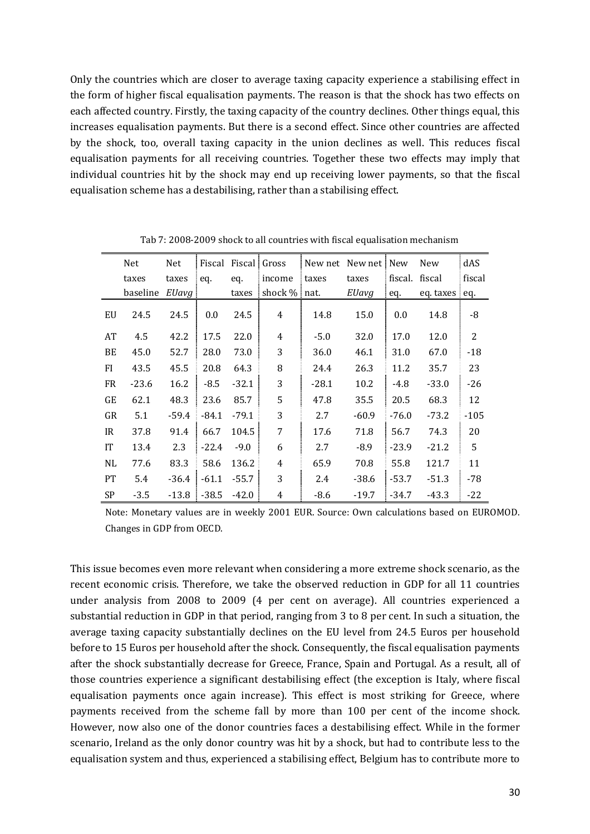Only the countries which are closer to average taxing capacity experience a stabilising effect in the form of higher fiscal equalisation payments. The reason is that the shock has two effects on each affected country. Firstly, the taxing capacity of the country declines. Other things equal, this increases equalisation payments. But there is a second effect. Since other countries are affected by the shock, too, overall taxing capacity in the union declines as well. This reduces fiscal equalisation payments for all receiving countries. Together these two effects may imply that individual countries hit by the shock may end up receiving lower payments, so that the fiscal equalisation scheme has a destabilising, rather than a stabilising effect.

|           | Net      | Net     |         | Fiscal Fiscal Gross |                | New net New net New |         |                | New           | dAS            |
|-----------|----------|---------|---------|---------------------|----------------|---------------------|---------|----------------|---------------|----------------|
|           | taxes    | taxes   | eq.     | eq.                 | income         | taxes               | taxes   | fiscal. fiscal |               | fiscal         |
|           | baseline | EUavg   |         | taxes               | shock $%$ nat  |                     | EUavg   | eq.            | eq. taxes eq. |                |
| EU        | 24.5     | 24.5    | 0.0     | 24.5                | 4              | 14.8                | 15.0    | 0.0            | 14.8          | -8             |
| AT        | 4.5      | 42.2    | 17.5    | 22.0                | $\overline{4}$ | $-5.0$              | 32.0    | 17.0           | 12.0          | $\overline{2}$ |
| BE        | 45.0     | 52.7    | 28.0    | 73.0                | 3              | 36.0                | 46.1    | 31.0           | 67.0          | $-18$          |
| FI        | 43.5     | 45.5    | 20.8    | 64.3                | 8              | 24.4                | 26.3    | 11.2           | 35.7          | 23             |
| <b>FR</b> | $-23.6$  | 16.2    | $-8.5$  | $-32.1$             | 3              | $-28.1$             | 10.2    | $-4.8$         | $-33.0$       | $-26$          |
| GE        | 62.1     | 48.3    | 23.6    | 85.7                | 5              | 47.8                | 35.5    | 20.5           | 68.3          | 12             |
| GR        | 5.1      | $-59.4$ | $-84.1$ | $-79.1$             | 3              | 2.7                 | $-60.9$ | $-76.0$        | -73.2         | $-105$         |
| IR        | 37.8     | 91.4    | 66.7    | 104.5               | 7              | 17.6                | 71.8    | 56.7           | 74.3          | 20             |
| <b>IT</b> | 13.4     | 2.3     | $-22.4$ | $-9.0$              | 6              | 2.7                 | $-8.9$  | $-23.9$        | $-21.2$       | 5              |
| NL        | 77.6     | 83.3    | 58.6    | 136.2               | 4              | 65.9                | 70.8    | 55.8           | 121.7         | 11             |
| <b>PT</b> | 5.4      | -36.4   | $-61.1$ | $-55.7$             | 3              | 2.4                 | $-38.6$ | $-53.7$        | $-51.3$       | $-78$          |
| <b>SP</b> | $-3.5$   | $-13.8$ | $-38.5$ | $-42.0$             | 4              | $-8.6$              | $-19.7$ | $-34.7$        | $-43.3$       | $-22$          |

Tab 7: 2008-2009 shock to all countries with fiscal equalisation mechanism

Note: Monetary values are in weekly 2001 EUR. Source: Own calculations based on EUROMOD. Changes in GDP from OECD.

This issue becomes even more relevant when considering a more extreme shock scenario, as the recent economic crisis. Therefore, we take the observed reduction in GDP for all 11 countries under analysis from 2008 to 2009 (4 per cent on average). All countries experienced a substantial reduction in GDP in that period, ranging from 3 to 8 per cent. In such a situation, the average taxing capacity substantially declines on the EU level from 24.5 Euros per household before to 15 Euros per household after the shock. Consequently, the fiscal equalisation payments after the shock substantially decrease for Greece, France, Spain and Portugal. As a result, all of those countries experience a significant destabilising effect (the exception is Italy, where fiscal equalisation payments once again increase). This effect is most striking for Greece, where payments received from the scheme fall by more than 100 per cent of the income shock. However, now also one of the donor countries faces a destabilising effect. While in the former scenario, Ireland as the only donor country was hit by a shock, but had to contribute less to the equalisation system and thus, experienced a stabilising effect, Belgium has to contribute more to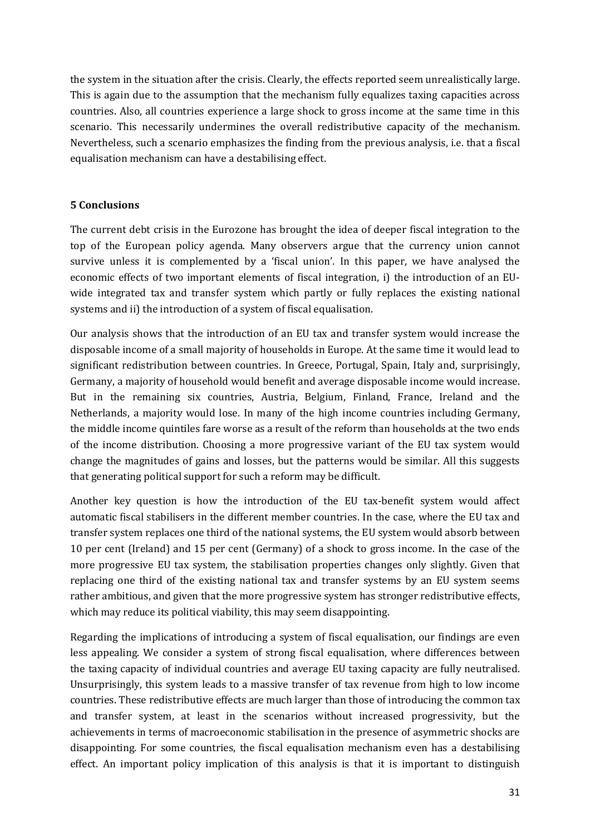the system in the situation after the crisis. Clearly, the effects reported seem unrealistically large. This is again due to the assumption that the mechanism fully equalizes taxing capacities across countries. Also, all countries experience a large shock to gross income at the same time in this scenario. This necessarily undermines the overall redistributive capacity of the mechanism. Nevertheless, such a scenario emphasizes the finding from the previous analysis, i.e. that a fiscal equalisation mechanism can have a destabilising effect.

# **5 Conclusions**

The current debt crisis in the Eurozone has brought the idea of deeper fiscal integration to the top of the European policy agenda. Many observers argue that the currency union cannot survive unless it is complemented by a 'fiscal union'. In this paper, we have analysed the economic effects of two important elements of fiscal integration, i) the introduction of an EUwide integrated tax and transfer system which partly or fully replaces the existing national systems and ii) the introduction of a system of fiscal equalisation.

Our analysis shows that the introduction of an EU tax and transfer system would increase the disposable income of a small majority of households in Europe. At the same time it would lead to significant redistribution between countries. In Greece, Portugal, Spain, Italy and, surprisingly, Germany, a majority of household would benefit and average disposable income would increase. But in the remaining six countries, Austria, Belgium, Finland, France, Ireland and the Netherlands, a majority would lose. In many of the high income countries including Germany, the middle income quintiles fare worse as a result of the reform than households at the two ends of the income distribution. Choosing a more progressive variant of the EU tax system would change the magnitudes of gains and losses, but the patterns would be similar. All this suggests that generating political support for such a reform may be difficult.

Another key question is how the introduction of the EU tax-benefit system would affect automatic fiscal stabilisers in the different member countries. In the case, where the EU tax and transfer system replaces one third of the national systems, the EU system would absorb between 10 per cent (Ireland) and 15 per cent (Germany) of a shock to gross income. In the case of the more progressive EU tax system, the stabilisation properties changes only slightly. Given that replacing one third of the existing national tax and transfer systems by an EU system seems rather ambitious, and given that the more progressive system has stronger redistributive effects, which may reduce its political viability, this may seem disappointing.

Regarding the implications of introducing a system of fiscal equalisation, our findings are even less appealing. We consider a system of strong fiscal equalisation, where differences between the taxing capacity of individual countries and average EU taxing capacity are fully neutralised. Unsurprisingly, this system leads to a massive transfer of tax revenue from high to low income countries. These redistributive effects are much larger than those of introducing the common tax and transfer system, at least in the scenarios without increased progressivity, but the achievements in terms of macroeconomic stabilisation in the presence of asymmetric shocks are disappointing. For some countries, the fiscal equalisation mechanism even has a destabilising effect. An important policy implication of this analysis is that it is important to distinguish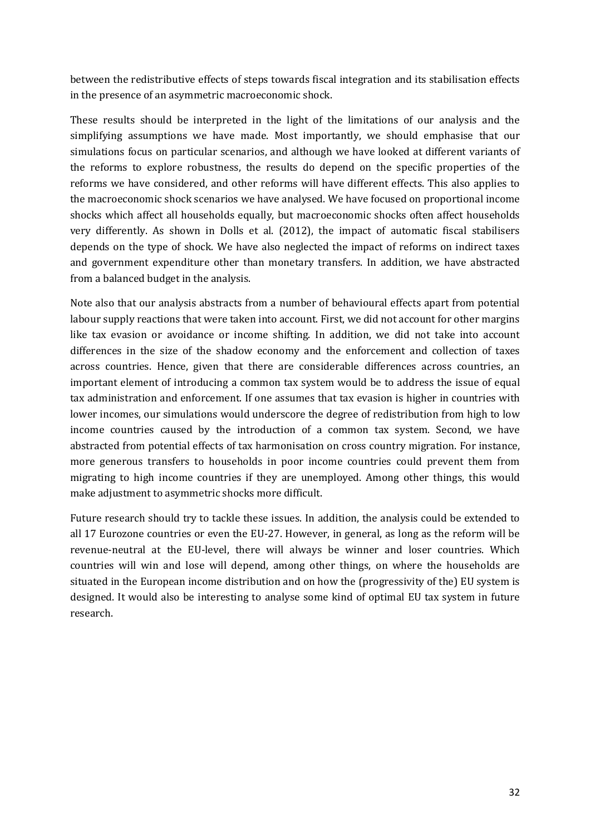between the redistributive effects of steps towards fiscal integration and its stabilisation effects in the presence of an asymmetric macroeconomic shock.

These results should be interpreted in the light of the limitations of our analysis and the simplifying assumptions we have made. Most importantly, we should emphasise that our simulations focus on particular scenarios, and although we have looked at different variants of the reforms to explore robustness, the results do depend on the specific properties of the reforms we have considered, and other reforms will have different effects. This also applies to the macroeconomic shock scenarios we have analysed. We have focused on proportional income shocks which affect all households equally, but macroeconomic shocks often affect households very differently. As shown in Dolls et al. (2012), the impact of automatic fiscal stabilisers depends on the type of shock. We have also neglected the impact of reforms on indirect taxes and government expenditure other than monetary transfers. In addition, we have abstracted from a balanced budget in the analysis.

Note also that our analysis abstracts from a number of behavioural effects apart from potential labour supply reactions that were taken into account. First, we did not account for other margins like tax evasion or avoidance or income shifting. In addition, we did not take into account differences in the size of the shadow economy and the enforcement and collection of taxes across countries. Hence, given that there are considerable differences across countries, an important element of introducing a common tax system would be to address the issue of equal tax administration and enforcement. If one assumes that tax evasion is higher in countries with lower incomes, our simulations would underscore the degree of redistribution from high to low income countries caused by the introduction of a common tax system. Second, we have abstracted from potential effects of tax harmonisation on cross country migration. For instance, more generous transfers to households in poor income countries could prevent them from migrating to high income countries if they are unemployed. Among other things, this would make adjustment to asymmetric shocks more difficult.

Future research should try to tackle these issues. In addition, the analysis could be extended to all 17 Eurozone countries or even the EU-27. However, in general, as long as the reform will be revenue-neutral at the EU-level, there will always be winner and loser countries. Which countries will win and lose will depend, among other things, on where the households are situated in the European income distribution and on how the (progressivity of the) EU system is designed. It would also be interesting to analyse some kind of optimal EU tax system in future research.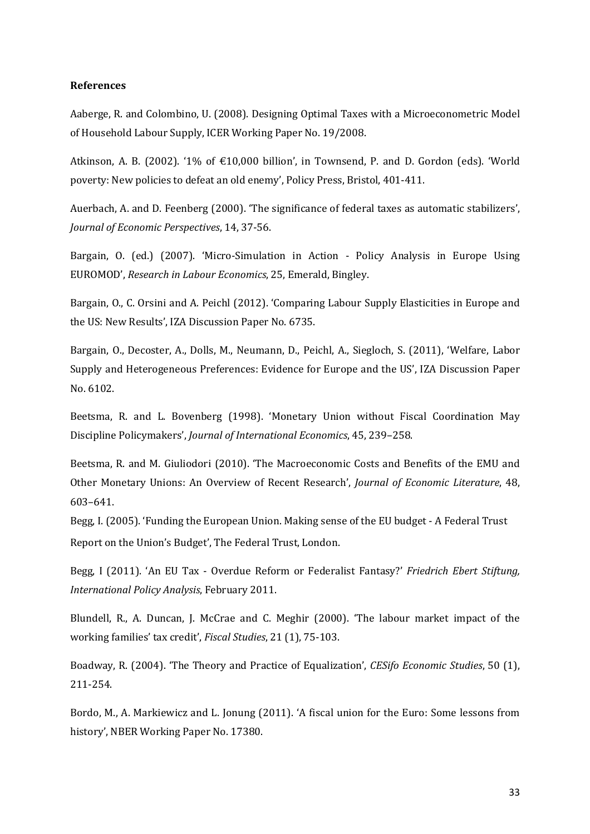#### **References**

Aaberge, R. and Colombino, U. (2008). Designing Optimal Taxes with a Microeconometric Model of Household Labour Supply, ICER Working Paper No. 19/2008.

Atkinson, A. B. (2002). '1% of  $\epsilon$ 10,000 billion', in Townsend, P. and D. Gordon (eds). 'World poverty: New policies to defeat an old enemy', Policy Press, Bristol, 401-411.

Auerbach, A. and D. Feenberg (2000). 'The significance of federal taxes as automatic stabilizers', *Journal of Economic Perspectives*, 14, 37-56.

Bargain, O. (ed.) (2007). 'Micro-Simulation in Action - Policy Analysis in Europe Using EUROMOD', *Research in Labour Economics*, 25, Emerald, Bingley.

Bargain, O., C. Orsini and A. Peichl (2012). 'Comparing Labour Supply Elasticities in Europe and the US: New Results', IZA Discussion Paper No. 6735.

Bargain, O., Decoster, A., Dolls, M., Neumann, D., Peichl, A., Siegloch, S. (2011), 'Welfare, Labor Supply and Heterogeneous Preferences: Evidence for Europe and the US', IZA Discussion Paper No. 6102.

Beetsma, R. and L. Bovenberg (1998). 'Monetary Union without Fiscal Coordination May Discipline Policymakers', *Journal of International Economics*, 45, 239–258.

Beetsma, R. and M. Giuliodori (2010). 'The Macroeconomic Costs and Benefits of the EMU and Other Monetary Unions: An Overview of Recent Research', *Journal of Economic Literature*, 48, 603–641.

Begg, I. (2005). 'Funding the European Union. Making sense of the EU budget - A Federal Trust Report on the Union's Budget', The Federal Trust, London.

Begg, I (2011). 'An EU Tax - Overdue Reform or Federalist Fantasy?' *Friedrich Ebert Stiftung, International Policy Analysis*, February 2011.

Blundell, R., A. Duncan, J. McCrae and C. Meghir (2000). 'The labour market impact of the working families' tax credit', *Fiscal Studies*, 21 (1), 75-103.

Boadway, R. (2004). 'The Theory and Practice of Equalization', *CESifo Economic Studies*, 50 (1), 211-254.

Bordo, M., A. Markiewicz and L. Jonung (2011). 'A fiscal union for the Euro: Some lessons from history', NBER Working Paper No. 17380.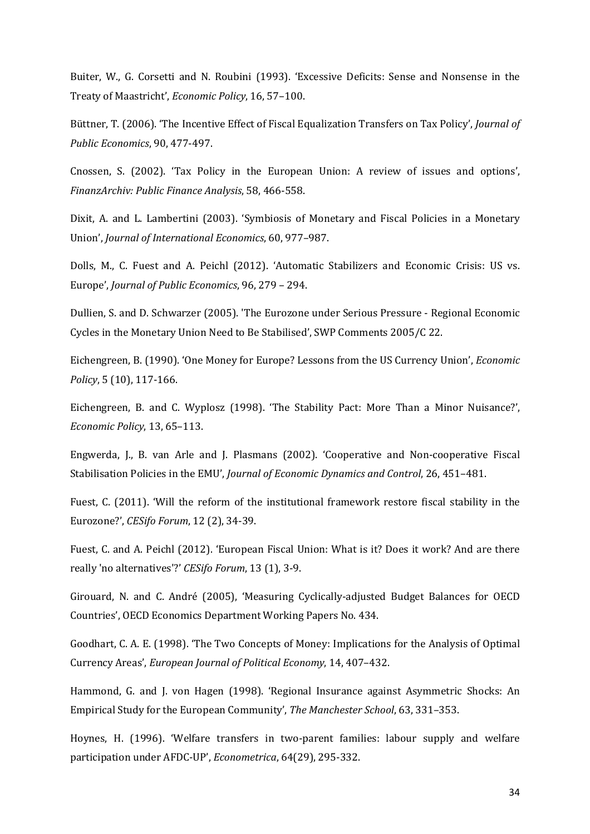Buiter, W., G. Corsetti and N. Roubini (1993). 'Excessive Deficits: Sense and Nonsense in the Treaty of Maastricht', *Economic Policy*, 16, 57–100.

Büttner, T. (2006). 'The Incentive Effect of Fiscal Equalization Transfers on Tax Policy', *Journal of Public Economics*, 90, 477-497.

Cnossen, S. (2002). 'Tax Policy in the European Union: A review of issues and options', *FinanzArchiv: Public Finance Analysis*, 58, 466-558.

Dixit, A. and L. Lambertini (2003). 'Symbiosis of Monetary and Fiscal Policies in a Monetary Union', *Journal of International Economics*, 60, 977–987.

Dolls, M., C. Fuest and A. Peichl (2012). 'Automatic Stabilizers and Economic Crisis: US vs. Europe', *Journal of Public Economics*, 96, 279 – 294.

Dullien, S. and D. Schwarzer (2005). 'The Eurozone under Serious Pressure - Regional Economic Cycles in the Monetary Union Need to Be Stabilised', SWP Comments 2005/C 22.

Eichengreen, B. (1990). 'One Money for Europe? Lessons from the US Currency Union', *Economic Policy*, 5 (10), 117-166.

Eichengreen, B. and C. Wyplosz (1998). 'The Stability Pact: More Than a Minor Nuisance?', *Economic Policy*, 13, 65–113.

Engwerda, J., B. van Arle and J. Plasmans (2002). 'Cooperative and Non-cooperative Fiscal Stabilisation Policies in the EMU', *Journal of Economic Dynamics and Control*, 26, 451–481.

Fuest, C. (2011). 'Will the reform of the institutional framework restore fiscal stability in the Eurozone?', *CESifo Forum*, 12 (2), 34-39.

Fuest, C. and A. Peichl (2012). 'European Fiscal Union: What is it? Does it work? And are there really 'no alternatives'?' *CESifo Forum*, 13 (1), 3-9.

Girouard, N. and C. André (2005), 'Measuring Cyclically-adjusted Budget Balances for OECD Countries', OECD Economics Department Working Papers No. 434.

Goodhart, C. A. E. (1998). 'The Two Concepts of Money: Implications for the Analysis of Optimal Currency Areas', *European Journal of Political Economy*, 14, 407–432.

Hammond, G. and J. von Hagen (1998). 'Regional Insurance against Asymmetric Shocks: An Empirical Study for the European Community', *The Manchester School*, 63, 331–353.

Hoynes, H. (1996). 'Welfare transfers in two-parent families: labour supply and welfare participation under AFDC-UP', *Econometrica*, 64(29), 295-332.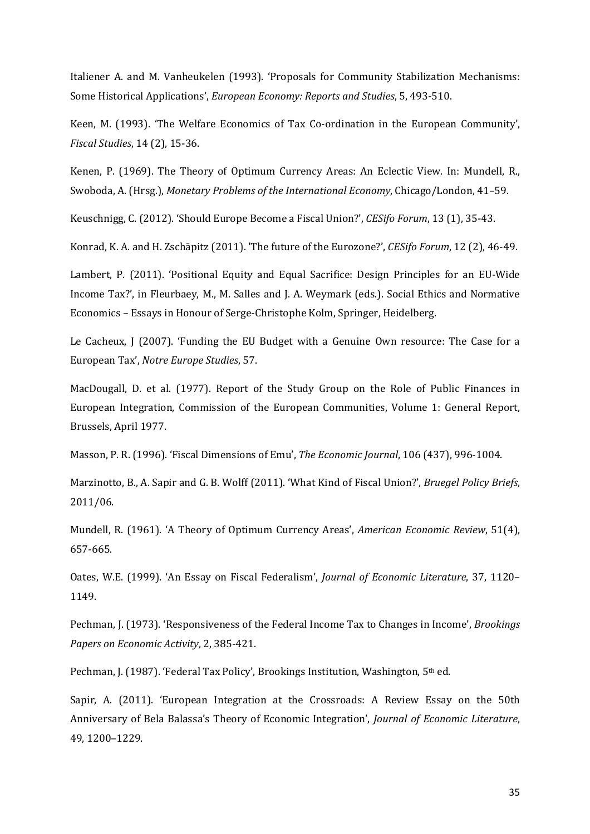Italiener A. and M. Vanheukelen (1993). 'Proposals for Community Stabilization Mechanisms: Some Historical Applications', *European Economy: Reports and Studies*, 5, 493-510.

Keen, M. (1993). 'The Welfare Economics of Tax Co-ordination in the European Community', *Fiscal Studies*, 14 (2), 15-36.

Kenen, P. (1969). The Theory of Optimum Currency Areas: An Eclectic View. In: Mundell, R., Swoboda, A. (Hrsg.), *Monetary Problems of the International Economy*, Chicago/London, 41–59.

Keuschnigg, C. (2012). 'Should Europe Become a Fiscal Union?', *CESifo Forum*, 13 (1), 35-43.

Konrad, K. A. and H. Zschäpitz (2011). 'The future of the Eurozone?', *CESifo Forum*, 12 (2), 46-49.

Lambert, P. (2011). 'Positional Equity and Equal Sacrifice: Design Principles for an EU-Wide Income Tax?', in Fleurbaey, M., M. Salles and J. A. Weymark (eds.). Social Ethics and Normative Economics – Essays in Honour of Serge-Christophe Kolm, Springer, Heidelberg.

Le Cacheux, J (2007). 'Funding the EU Budget with a Genuine Own resource: The Case for a European Tax', *Notre Europe Studies*, 57.

MacDougall, D. et al. (1977). Report of the Study Group on the Role of Public Finances in European Integration, Commission of the European Communities, Volume 1: General Report, Brussels, April 1977.

Masson, P. R. (1996). 'Fiscal Dimensions of Emu', *The Economic Journal*, 106 (437), 996-1004.

Marzinotto, B., A. Sapir and G. B. Wolff (2011). 'What Kind of Fiscal Union?', *Bruegel Policy Briefs*, 2011/06.

Mundell, R. (1961). 'A Theory of Optimum Currency Areas', *American Economic Review*, 51(4), 657-665.

Oates, W.E. (1999). 'An Essay on Fiscal Federalism', *Journal of Economic Literature*, 37, 1120– 1149.

Pechman, J. (1973). 'Responsiveness of the Federal Income Tax to Changes in Income', *Brookings Papers on Economic Activity*, 2, 385-421.

Pechman, J. (1987). 'Federal Tax Policy', Brookings Institution, Washington, 5<sup>th</sup> ed.

Sapir, A. (2011). 'European Integration at the Crossroads: A Review Essay on the 50th Anniversary of Bela Balassa's Theory of Economic Integration', *Journal of Economic Literature*, 49, 1200–1229.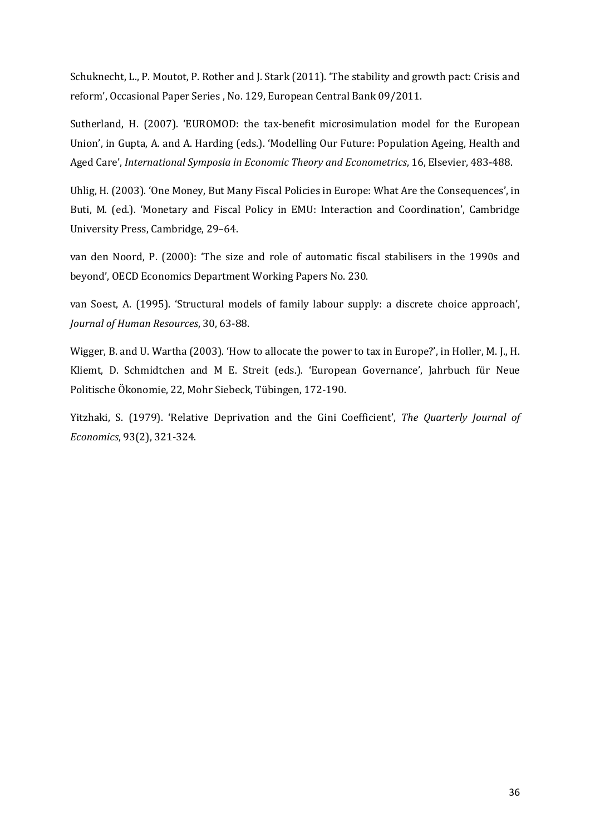Schuknecht, L., P. Moutot, P. Rother and J. Stark (2011). 'The stability and growth pact: Crisis and reform', Occasional Paper Series , No. 129, European Central Bank 09/2011.

Sutherland, H. (2007). 'EUROMOD: the tax-benefit microsimulation model for the European Union', in Gupta, A. and A. Harding (eds.). 'Modelling Our Future: Population Ageing, Health and Aged Care', *International Symposia in Economic Theory and Econometrics*, 16, Elsevier, 483-488.

Uhlig, H. (2003). 'One Money, But Many Fiscal Policies in Europe: What Are the Consequences', in Buti, M. (ed.). 'Monetary and Fiscal Policy in EMU: Interaction and Coordination', Cambridge University Press, Cambridge, 29–64.

van den Noord, P. (2000): 'The size and role of automatic fiscal stabilisers in the 1990s and beyond', OECD Economics Department Working Papers No. 230.

van Soest, A. (1995). 'Structural models of family labour supply: a discrete choice approach', *Journal of Human Resources*, 30, 63-88.

Wigger, B. and U. Wartha (2003). 'How to allocate the power to tax in Europe?', in Holler, M. J., H. Kliemt, D. Schmidtchen and M E. Streit (eds.). 'European Governance', Jahrbuch für Neue Politische Ökonomie, 22, Mohr Siebeck, Tübingen, 172-190.

Yitzhaki, S. (1979). 'Relative Deprivation and the Gini Coefficient', *The Quarterly Journal of Economics*, 93(2), 321-324.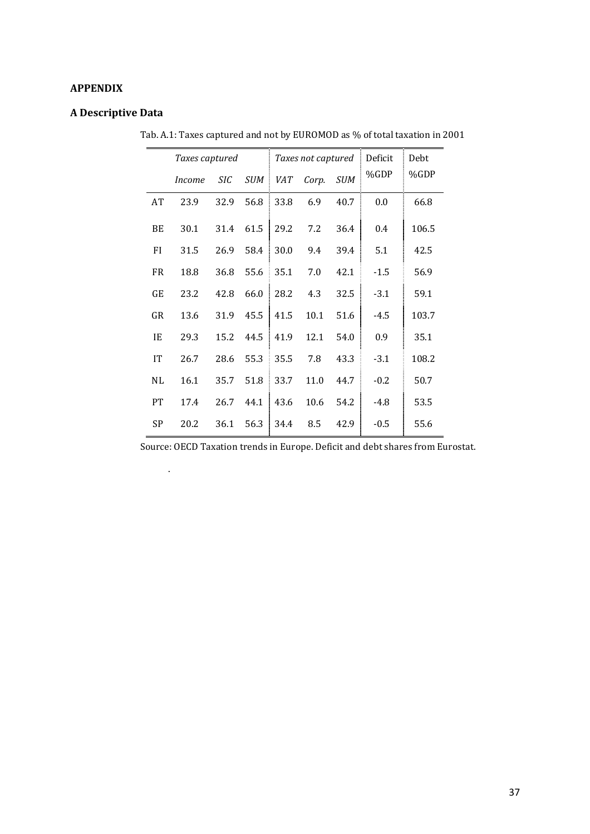# **APPENDIX**

# **A Descriptive Data**

.

|           | Taxes captured |      |            |      |       |            | Taxes not captured Deficit | Debt  |
|-----------|----------------|------|------------|------|-------|------------|----------------------------|-------|
|           | <i>Income</i>  | SIC  | <b>SUM</b> | VAT  | Corp. | <b>SUM</b> | %GDP                       | %GDP  |
| AT        | 23.9           | 32.9 | 56.8       | 33.8 | 6.9   | 40.7       | 0.0                        | 66.8  |
| BE        | 30.1           | 31.4 | 61.5       | 29.2 | 7.2   | 36.4       | 0.4                        | 106.5 |
| FI        | 31.5           | 26.9 | 58.4       | 30.0 | 9.4   | 39.4       | 5.1                        | 42.5  |
| FR.       | 18.8           | 36.8 | 55.6       | 35.1 | 7.0   | 42.1       | $-1.5$                     | 56.9  |
| GE        | 23.2           | 42.8 | 66.0       | 28.2 | 4.3   | 32.5       | $-3.1$                     | 59.1  |
| GR        | 13.6           | 31.9 | 45.5       | 41.5 | 10.1  | 51.6       | -4.5                       | 103.7 |
| IE        | 29.3           | 15.2 | 44.5       | 41.9 | 12.1  | 54.0       | 0.9                        | 35.1  |
| <b>IT</b> | 26.7           | 28.6 | 55.3       | 35.5 | 7.8   | 43.3       | $-3.1$                     | 108.2 |
| <b>NL</b> | 16.1           | 35.7 | 51.8       | 33.7 | 11.0  | 44.7       | $-0.2$                     | 50.7  |
| PT        | 17.4           | 26.7 | 44.1       | 43.6 | 10.6  | 54.2       | $-4.8$                     | 53.5  |
| SP        | 20.2           | 36.1 | 56.3       | 34.4 | 8.5   | 42.9       | $-0.5$                     | 55.6  |

Tab. A.1: Taxes captured and not by EUROMOD as % of total taxation in 2001

Source: OECD Taxation trends in Europe. Deficit and debt shares from Eurostat.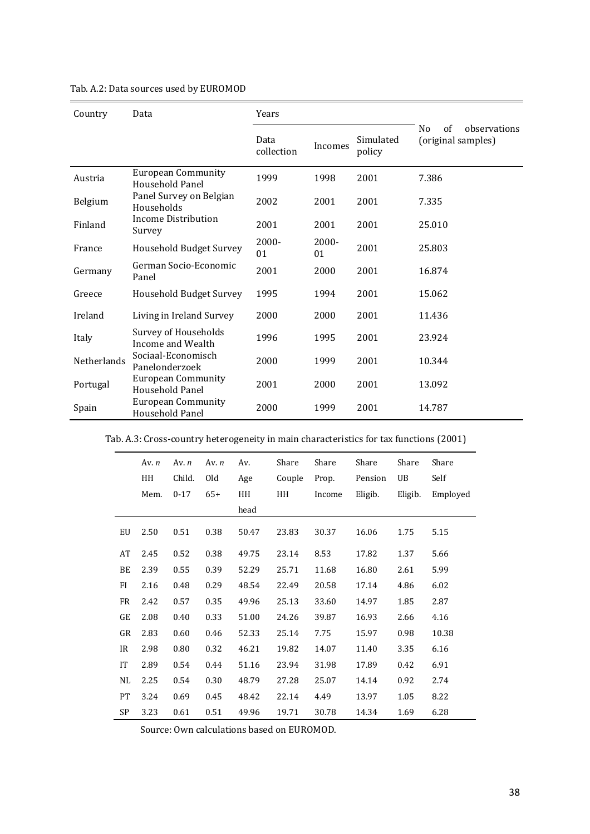| Country            | Data                                         | Years              |             |                     |                                                            |
|--------------------|----------------------------------------------|--------------------|-------------|---------------------|------------------------------------------------------------|
|                    |                                              | Data<br>collection | Incomes     | Simulated<br>policy | of<br>N <sub>0</sub><br>observations<br>(original samples) |
| Austria            | <b>European Community</b><br>Household Panel | 1999               | 1998        | 2001                | 7.386                                                      |
| Belgium            | Panel Survey on Belgian<br>Households        | 2002               | 2001        | 2001                | 7.335                                                      |
| Finland            | Income Distribution<br>Survey                | 2001               | 2001        | 2001                | 25.010                                                     |
| France             | Household Budget Survey                      | 2000-<br>01        | 2000-<br>01 | 2001                | 25.803                                                     |
| Germany            | German Socio-Economic<br>Panel               | 2001               | 2000        | 2001                | 16.874                                                     |
| Greece             | Household Budget Survey                      | 1995               | 1994        | 2001                | 15.062                                                     |
| Ireland            | Living in Ireland Survey                     | 2000               | 2000        | 2001                | 11.436                                                     |
| Italy              | Survey of Households<br>Income and Wealth    | 1996               | 1995        | 2001                | 23.924                                                     |
| <b>Netherlands</b> | Sociaal-Economisch<br>Panelonderzoek         | 2000               | 1999        | 2001                | 10.344                                                     |
| Portugal           | <b>European Community</b><br>Household Panel | 2001               | 2000        | 2001                | 13.092                                                     |
| Spain              | <b>European Community</b><br>Household Panel | 2000               | 1999        | 2001                | 14.787                                                     |

# Tab. A.2: Data sources used by EUROMOD

Tab. A.3: Cross-country heterogeneity in main characteristics for tax functions (2001)

|           | Av. $n$ | Av. $n$  | Av. $n$ | Av.   | Share  | Share  | Share   | Share   | Share    |
|-----------|---------|----------|---------|-------|--------|--------|---------|---------|----------|
|           | HH      | Child.   | Old     | Age   | Couple | Prop.  | Pension | UB      | Self     |
|           | Mem.    | $0 - 17$ | $65+$   | HH    | HH     | Income | Eligib. | Eligib. | Employed |
|           |         |          |         | head  |        |        |         |         |          |
| EU        | 2.50    | 0.51     | 0.38    | 50.47 | 23.83  | 30.37  | 16.06   | 1.75    | 5.15     |
| AT        | 2.45    | 0.52     | 0.38    | 49.75 | 23.14  | 8.53   | 17.82   | 1.37    | 5.66     |
| BE        | 2.39    | 0.55     | 0.39    | 52.29 | 25.71  | 11.68  | 16.80   | 2.61    | 5.99     |
| FI        | 2.16    | 0.48     | 0.29    | 48.54 | 22.49  | 20.58  | 17.14   | 4.86    | 6.02     |
| <b>FR</b> | 2.42    | 0.57     | 0.35    | 49.96 | 25.13  | 33.60  | 14.97   | 1.85    | 2.87     |
| GE        | 2.08    | 0.40     | 0.33    | 51.00 | 24.26  | 39.87  | 16.93   | 2.66    | 4.16     |
| GR        | 2.83    | 0.60     | 0.46    | 52.33 | 25.14  | 7.75   | 15.97   | 0.98    | 10.38    |
| IR        | 2.98    | 0.80     | 0.32    | 46.21 | 19.82  | 14.07  | 11.40   | 3.35    | 6.16     |
| IT        | 2.89    | 0.54     | 0.44    | 51.16 | 23.94  | 31.98  | 17.89   | 0.42    | 6.91     |
| NL        | 2.25    | 0.54     | 0.30    | 48.79 | 27.28  | 25.07  | 14.14   | 0.92    | 2.74     |
| PT        | 3.24    | 0.69     | 0.45    | 48.42 | 22.14  | 4.49   | 13.97   | 1.05    | 8.22     |
| <b>SP</b> | 3.23    | 0.61     | 0.51    | 49.96 | 19.71  | 30.78  | 14.34   | 1.69    | 6.28     |

Source: Own calculations based on EUROMOD.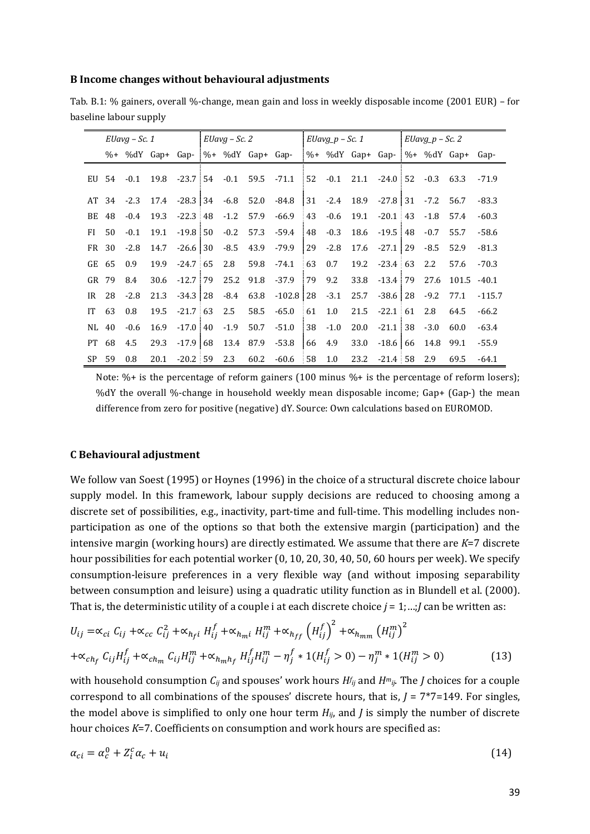#### **B Income changes without behavioural adjustments**

| Tab. B.1: % gainers, overall %-change, mean gain and loss in weekly disposable income (2001 EUR) – for |  |  |  |
|--------------------------------------------------------------------------------------------------------|--|--|--|
| baseline labour supply                                                                                 |  |  |  |

|           | $EUavg - Sc.1$ |        |      | $EUavg - Sc.2$                        |        |      |                                                                     | $E$ Uavg_p – Sc. 1 |              |      | $EUavg_p - Sc.2$       |  |        |                                      |          |
|-----------|----------------|--------|------|---------------------------------------|--------|------|---------------------------------------------------------------------|--------------------|--------------|------|------------------------|--|--------|--------------------------------------|----------|
|           |                |        |      | $\%$ + %dY Gap+ Gap- %+ %dY Gap+ Gap- |        |      |                                                                     |                    |              |      |                        |  |        | $\%+$ %dY Gap+ Gap- %+ %dY Gap+ Gap- |          |
|           | EU 54          | $-0.1$ | 19.8 |                                       |        |      | $-23.7$ 54 $-0.1$ 59.5 $-71.1$ 52 $-0.1$ 21.1                       |                    |              |      | $-24.0$ 52 $-0.3$ 63.3 |  |        |                                      | $-71.9$  |
|           |                |        |      |                                       |        |      | AT 34 -2.3 17.4 -28.3 34 -6.8 52.0 -84.8 31 -2.4 18.9 -27.8 31 -7.2 |                    |              |      |                        |  |        | 56.7                                 | $-83.3$  |
| BE 48     |                | $-0.4$ | 19.3 | $-22.3 \pm 48$ $-1.2$ 57.9            |        |      | $-66.9$                                                             | 43                 | -0.6         | 19.1 | $-20.1$ 43 $-1.8$      |  |        | 57.4                                 | $-60.3$  |
| FI.       | 50             | $-0.1$ | 19.1 | $-19.8$ 50                            | $-0.2$ |      | 57.3 - 59.4                                                         | 48                 | $-0.3$       | 18.6 | $-19.5$ 48             |  | $-0.7$ | 55.7                                 | $-58.6$  |
| FR 30     |                | $-2.8$ | 14.7 | -26.6   30                            |        |      | $-8.5$ 43.9 $-79.9$                                                 |                    | $ 29 - 2.8 $ | 17.6 | $-27.1$ 29             |  | $-8.5$ | 52.9                                 | $-81.3$  |
| GE        | -65            | 0.9    | 19.9 | $-24.7$ 65                            | 2.8    | 59.8 | $-74.1$                                                             | $\frac{1}{2}$ 63   | 0.7          | 19.2 | $-23.4$ 63             |  | 2.2    | 57.6                                 | $-70.3$  |
| GR 79     |                | 8.4    | 30.6 | $-12.7$ 79 25.2 91.8 $-37.9$          |        |      |                                                                     | 79                 | 9.2          | 33.8 | $-13.4$ 79             |  | 27.6   | 101.5                                | $-40.1$  |
| IR        | 28             | $-2.8$ | 21.3 |                                       |        |      | $-34.3$ 28 $-8.4$ 63.8 $-102.8$ 28 $-3.1$                           |                    |              | 25.7 | $-38.6$ 28             |  | $-9.2$ | 77.1                                 | $-115.7$ |
| IT        | 63             | 0.8    | 19.5 | $-21.7 \pm 63$                        | 2.5    | 58.5 | $-65.0$                                                             | $\frac{1}{2}$ 61   | 1.0          | 21.5 | $-22.1 \pm 61$         |  | 2.8    | 64.5                                 | $-66.2$  |
| NL 40     |                | $-0.6$ | 16.9 | $-17.0$ 40                            | $-1.9$ | 50.7 | $-51.0$                                                             | 38                 | $-1.0$       | 20.0 | $-21.1$ 38             |  | $-3.0$ | 60.0                                 | $-63.4$  |
| <b>PT</b> | 68             | 4.5    | 29.3 |                                       |        |      | $-17.9$ 68 13.4 87.9 -53.8 66                                       |                    | 4.9          | 33.0 | $-18.6 \mid 66$        |  | 14.8   | 99.1                                 | $-55.9$  |
| SP.       | 59             | 0.8    | 20.1 | $-20.2$ 59                            | 2.3    | 60.2 | -60.6                                                               | <b>58</b>          | 1.0          | 23.2 | $-21.4$ 58             |  | 2.9    | 69.5                                 | $-64.1$  |

Note:  $\%$ + is the percentage of reform gainers (100 minus  $\%$ + is the percentage of reform losers); %dY the overall %-change in household weekly mean disposable income; Gap+ (Gap-) the mean difference from zero for positive (negative) dY. Source: Own calculations based on EUROMOD.

#### **C Behavioural adjustment**

We follow van Soest (1995) or Hoynes (1996) in the choice of a structural discrete choice labour supply model. In this framework, labour supply decisions are reduced to choosing among a discrete set of possibilities, e.g., inactivity, part-time and full-time. This modelling includes nonparticipation as one of the options so that both the extensive margin (participation) and the intensive margin (working hours) are directly estimated. We assume that there are *K*=7 discrete hour possibilities for each potential worker (0, 10, 20, 30, 40, 50, 60 hours per week). We specify consumption-leisure preferences in a very flexible way (and without imposing separability between consumption and leisure) using a quadratic utility function as in Blundell et al. (2000). That is, the deterministic utility of a couple i at each discrete choice *j* = 1;…;*J* can be written as:

$$
U_{ij} = \alpha_{ci} C_{ij} + \alpha_{cc} C_{ij}^2 + \alpha_{hfi} H_{ij}^f + \alpha_{hmi} H_{ij}^m + \alpha_{hff} (H_{ij}^f)^2 + \alpha_{hmm} (H_{ij}^m)^2
$$
  
+
$$
\alpha_{ch_f} C_{ij} H_{ij}^f + \alpha_{ch_m} C_{ij} H_{ij}^m + \alpha_{h_m h_f} H_{ij}^f H_{ij}^m - \eta_j^f * 1(H_{ij}^f > 0) - \eta_j^m * 1(H_{ij}^m > 0)
$$
 (13)

with household consumption *Cij* and spouses' work hours *H<sup>f</sup> ij* and *Hmij*. The *J* choices for a couple correspond to all combinations of the spouses' discrete hours, that is, *J* = 7\*7=149. For singles, the model above is simplified to only one hour term  $H_{ij}$ , and  $J$  is simply the number of discrete hour choices *K*=7. Coefficients on consumption and work hours are specified as:

$$
\alpha_{ci} = \alpha_c^0 + Z_i^c \alpha_c + u_i \tag{14}
$$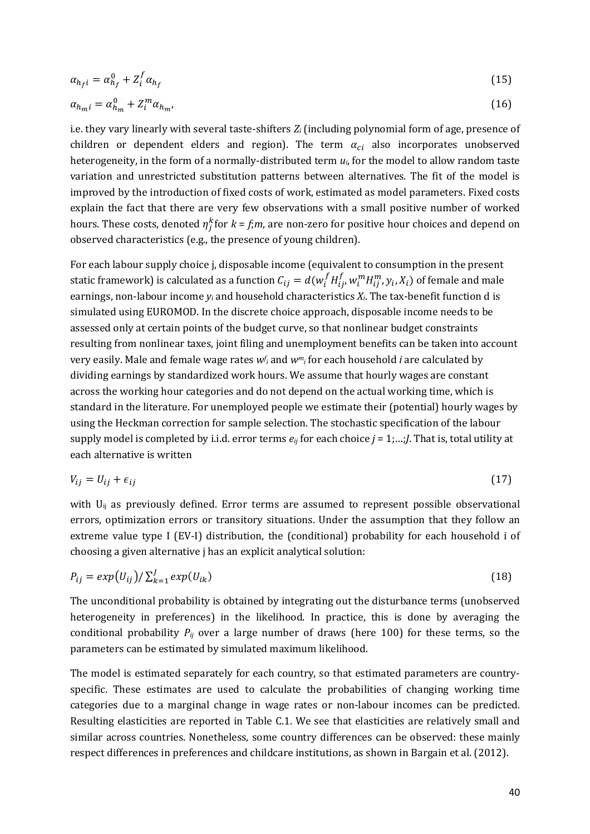$$
\alpha_{h_f i} = \alpha_{h_f}^0 + Z_i^f \alpha_{h_f} \tag{15}
$$

$$
\alpha_{h_m i} = \alpha_{h_m}^0 + Z_i^m \alpha_{h_m},\tag{16}
$$

i.e. they vary linearly with several taste-shifters *Zi* (including polynomial form of age, presence of children or dependent elders and region). The term  $\alpha_{ci}$  also incorporates unobserved heterogeneity, in the form of a normally-distributed term *ui*, for the model to allow random taste variation and unrestricted substitution patterns between alternatives. The fit of the model is improved by the introduction of fixed costs of work, estimated as model parameters. Fixed costs explain the fact that there are very few observations with a small positive number of worked hours. These costs, denoted  $\eta_j^k$  for  $k$  = *f;m*, are non-zero for positive hour choices and depend on observed characteristics (e.g., the presence of young children).

For each labour supply choice j, disposable income (equivalent to consumption in the present static framework) is calculated as a function  $\mathcal{C}_{ij} = d(w_i^f H_{ij}^f)$  $_{ij}^f$ ,  $w_i^mH_{ij}^m$ ,  $y_i$ ,  $X_i)$  of female and male earnings, non-labour income  $y_i$  and household characteristics  $X_i$ . The tax-benefit function d is simulated using EUROMOD. In the discrete choice approach, disposable income needs to be assessed only at certain points of the budget curve, so that nonlinear budget constraints resulting from nonlinear taxes, joint filing and unemployment benefits can be taken into account very easily. Male and female wage rates *w<sup>f</sup> <sup>i</sup>* and *wmi* for each household *i* are calculated by dividing earnings by standardized work hours. We assume that hourly wages are constant across the working hour categories and do not depend on the actual working time, which is standard in the literature. For unemployed people we estimate their (potential) hourly wages by using the Heckman correction for sample selection. The stochastic specification of the labour supply model is completed by i.i.d. error terms *eij* for each choice *j* = 1;…;*J*. That is, total utility at each alternative is written

$$
V_{ij} = U_{ij} + \epsilon_{ij} \tag{17}
$$

with  $U_{ii}$  as previously defined. Error terms are assumed to represent possible observational errors, optimization errors or transitory situations. Under the assumption that they follow an extreme value type I (EV-I) distribution, the (conditional) probability for each household i of choosing a given alternative j has an explicit analytical solution:

$$
P_{ij} = exp(U_{ij}) / \sum_{k=1}^{J} exp(U_{ik})
$$
\n(18)

The unconditional probability is obtained by integrating out the disturbance terms (unobserved heterogeneity in preferences) in the likelihood. In practice, this is done by averaging the conditional probability  $P_{ij}$  over a large number of draws (here 100) for these terms, so the parameters can be estimated by simulated maximum likelihood.

The model is estimated separately for each country, so that estimated parameters are countryspecific. These estimates are used to calculate the probabilities of changing working time categories due to a marginal change in wage rates or non-labour incomes can be predicted. Resulting elasticities are reported in Table C.1. We see that elasticities are relatively small and similar across countries. Nonetheless, some country differences can be observed: these mainly respect differences in preferences and childcare institutions, as shown in Bargain et al. (2012).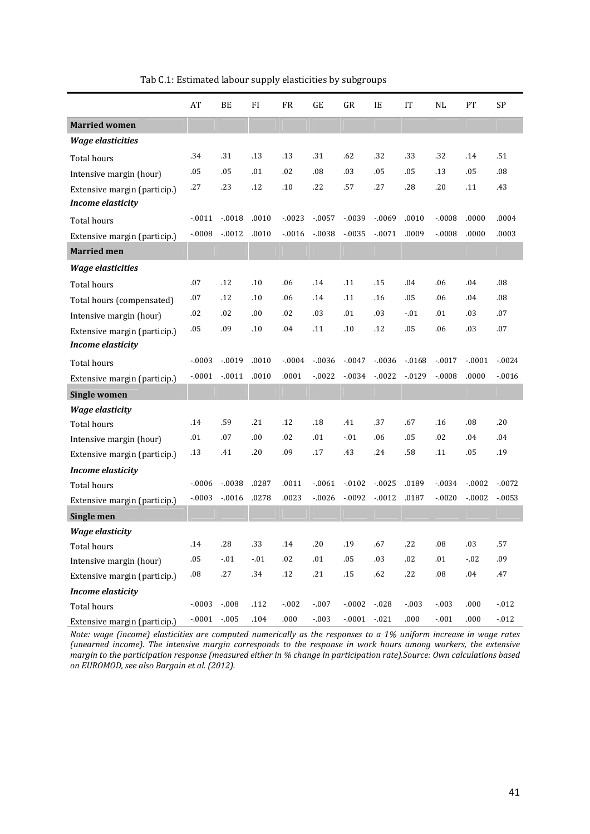|                                                          | AT        | BE              | FI       | <b>FR</b> | GE        | GR       | IE        | <b>IT</b> | <b>NL</b> | PT       | <b>SP</b> |
|----------------------------------------------------------|-----------|-----------------|----------|-----------|-----------|----------|-----------|-----------|-----------|----------|-----------|
| <b>Married women</b>                                     |           |                 |          |           |           |          |           |           |           |          |           |
| <b>Wage elasticities</b>                                 |           |                 |          |           |           |          |           |           |           |          |           |
| <b>Total hours</b>                                       | .34       | .31             | .13      | .13       | .31       | .62      | .32       | .33       | .32       | .14      | .51       |
| Intensive margin (hour)                                  | .05       | .05             | .01      | .02       | .08       | .03      | .05       | .05       | .13       | .05      | .08       |
| Extensive margin (particip.)<br><b>Income elasticity</b> | .27       | .23             | .12      | .10       | .22       | .57      | .27       | .28       | .20       | .11      | .43       |
| <b>Total hours</b>                                       | $-0011$   | $-0.018$        | .0010    | $-0.0023$ | $-0.057$  | $-0.039$ | $-0.069$  | .0010     | $-0.0008$ | .0000    | .0004     |
| Extensive margin (particip.)                             | $-0.0008$ | $-0012$         | .0010    | $-0.016$  | $-0.038$  | $-0.035$ | $-0071$   | .0009     | $-0.0008$ | .0000    | .0003     |
| <b>Married men</b>                                       |           |                 |          |           |           |          |           |           |           |          |           |
| <b>Wage elasticities</b>                                 |           |                 |          |           |           |          |           |           |           |          |           |
| Total hours                                              | .07       | .12             | .10      | .06       | .14       | .11      | .15       | .04       | .06       | .04      | .08       |
| Total hours (compensated)                                | .07       | .12             | .10      | .06       | .14       | .11      | .16       | .05       | .06       | .04      | .08       |
| Intensive margin (hour)                                  | .02       | .02             | .00      | .02       | .03       | .01      | .03       | $-.01$    | .01       | .03      | .07       |
| Extensive margin (particip.)                             | .05       | .09             | .10      | .04       | .11       | .10      | .12       | .05       | .06       | .03      | .07       |
| <b>Income elasticity</b>                                 |           |                 |          |           |           |          |           |           |           |          |           |
| Total hours                                              | $-0.003$  | $-0.019$        | .0010    | $-0.0004$ | $-0.036$  | $-0.047$ | $-0.036$  | $-0.0168$ | $-0017$   | $-.0001$ | $-0.024$  |
| Extensive margin (particip.)                             | $-.0001$  | $-0011$         | .0010    | .0001     | $-0.0022$ | $-0.034$ | $-0.0022$ | $-0.0129$ | $-0008$   | .0000    | $-0.016$  |
| <b>Single women</b>                                      |           |                 |          |           |           |          |           |           |           |          |           |
| <b>Wage elasticity</b>                                   |           |                 |          |           |           |          |           |           |           |          |           |
| <b>Total hours</b>                                       | .14       | .59             | .21      | .12       | .18       | .41      | .37       | .67       | .16       | .08      | .20       |
| Intensive margin (hour)                                  | .01       | .07             | .00      | .02       | .01       | $-01$    | .06       | .05       | .02       | .04      | .04       |
| Extensive margin (particip.)                             | .13       | .41             | .20      | .09       | .17       | .43      | .24       | .58       | .11       | .05      | .19       |
| <b>Income elasticity</b>                                 |           |                 |          |           |           |          |           |           |           |          |           |
| <b>Total hours</b>                                       | $-0.006$  | $-0.038$        | .0287    | .0011     | $-.0061$  | $-0102$  | $-0.025$  | .0189     | $-0.034$  | $-0.002$ | $-.0072$  |
| Extensive margin (particip.)                             | $-0.003$  | $-0.016$        | .0278    | .0023     | $-0.0026$ | $-0092$  | $-0.012$  | .0187     | $-0020$   | $-0.002$ | $-0.0053$ |
| Single men                                               |           |                 |          |           |           |          |           |           |           |          |           |
| <b>Wage elasticity</b>                                   |           |                 |          |           |           |          |           |           |           |          |           |
| Total hours                                              | .14       | $.28\,$         | .33      | .14       | .20       | .19      | .67       | .22       | .08       | .03      | .57       |
| Intensive margin (hour)                                  | $.05\,$   | $\textbf{-.01}$ | $-.01$   | $.02\,$   | .01       | $.05\,$  | .03       | $.02\,$   | .01       | $-.02$   | .09       |
| Extensive margin (particip.)                             | $.08\,$   | $.27\,$         | .34      | $.12\,$   | .21       | $.15\,$  | .62       | .22       | $.08\,$   | $.04\,$  | .47       |
| <b>Income elasticity</b>                                 |           |                 |          |           |           |          |           |           |           |          |           |
| Total hours                                              | $-.0003$  | $-.008$         | .112     | $-0.002$  | $-.007$   | $-.0002$ | $-0.028$  | $-.003$   | $-.003$   | .000     | $-012$    |
| Extensive margin (particip.)                             | $-.0001$  | $-.005$         | $.104\,$ | .000      | $-.003$   | $-.0001$ | $-021$    | .000      | $-.001$   | .000     | $-.012$   |

Tab C.1: Estimated labour supply elasticities by subgroups

*Note: wage (income) elasticities are computed numerically as the responses to a 1% uniform increase in wage rates (unearned income). The intensive margin corresponds to the response in work hours among workers, the extensive margin to the participation response (measured either in % change in participation rate).Source: Own calculations based on EUROMOD, see also Bargain et al. (2012).*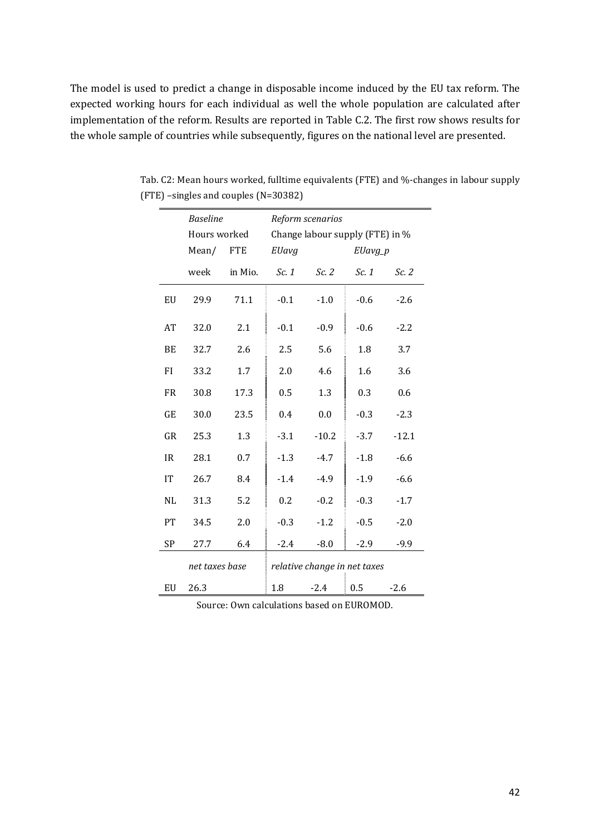The model is used to predict a change in disposable income induced by the EU tax reform. The expected working hours for each individual as well the whole population are calculated after implementation of the reform. Results are reported in Table C.2. The first row shows results for the whole sample of countries while subsequently, figures on the national level are presented.

|           | <b>Baseline</b> |            |                              | Reform scenarios                |         |         |
|-----------|-----------------|------------|------------------------------|---------------------------------|---------|---------|
|           | Hours worked    |            |                              | Change labour supply (FTE) in % |         |         |
|           | Mean/           | <b>FTE</b> | EUavg                        |                                 | EUavg_p |         |
|           | week            | in Mio.    | Sc. 1                        | Sc.2                            | Sc. 1   | Sc.2    |
| EU        | 29.9            | 71.1       | $-0.1$                       | $-1.0$                          | $-0.6$  | $-2.6$  |
| AT        | 32.0            | 2.1        | $-0.1$                       | $-0.9$                          | $-0.6$  | $-2.2$  |
| BE        | 32.7            | 2.6        | 2.5                          | 5.6                             | 1.8     | 3.7     |
| FI        | 33.2            | 1.7        | 2.0                          | 4.6                             | 1.6     | 3.6     |
| <b>FR</b> | 30.8            | 17.3       | 0.5                          | 1.3                             | 0.3     | 0.6     |
| GE        | 30.0            | 23.5       | 0.4                          | 0.0                             | $-0.3$  | $-2.3$  |
| GR        | 25.3            | 1.3        | $-3.1$                       | $-10.2$                         | $-3.7$  | $-12.1$ |
| <b>IR</b> | 28.1            | 0.7        | $-1.3$                       | $-4.7$                          | $-1.8$  | $-6.6$  |
| <b>IT</b> | 26.7            | 8.4        | $-1.4$                       | $-4.9$                          | $-1.9$  | $-6.6$  |
| NL        | 31.3            | 5.2        | 0.2                          | $-0.2$                          | $-0.3$  | $-1.7$  |
| PT        | 34.5            | 2.0        | $-0.3$                       | $-1.2$                          | $-0.5$  | $-2.0$  |
| SP        | 27.7            | 6.4        | $-2.4$                       | $-8.0$                          | $-2.9$  | $-9.9$  |
|           | net taxes base  |            | relative change in net taxes |                                 |         |         |
| EU        | 26.3            |            | 1.8                          | $-2.4$                          | 0.5     | $-2.6$  |

Tab. C2: Mean hours worked, fulltime equivalents (FTE) and %-changes in labour supply (FTE) –singles and couples (N=30382)

Source: Own calculations based on EUROMOD.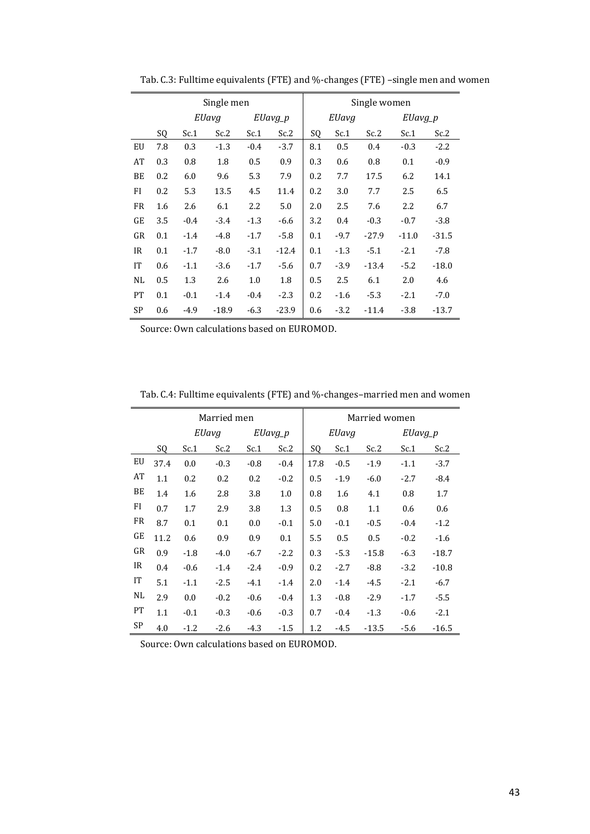|           |     |        | Single men |        |         | Single women |        |         |         |         |  |
|-----------|-----|--------|------------|--------|---------|--------------|--------|---------|---------|---------|--|
|           |     |        | EUavg      |        | EUavg_p |              | EUavg  |         | EUavg_p |         |  |
|           | SQ  | Sc.1   | Sc.2       | Sc.1   | Sc.2    |              | Sc.1   | Sc.2    | Sc.1    | Sc.2    |  |
| EU        | 7.8 | 0.3    | $-1.3$     | $-0.4$ | $-3.7$  | 8.1          | 0.5    | 0.4     | $-0.3$  | $-2.2$  |  |
| AT        | 0.3 | 0.8    | 1.8        | 0.5    | 0.9     | 0.3          | 0.6    | 0.8     | 0.1     | $-0.9$  |  |
| BE        | 0.2 | 6.0    | 9.6        | 5.3    | 7.9     | 0.2          | 7.7    | 17.5    | 6.2     | 14.1    |  |
| FI        | 0.2 | 5.3    | 13.5       | 4.5    | 11.4    | 0.2          | 3.0    | 7.7     | 2.5     | 6.5     |  |
| <b>FR</b> | 1.6 | 2.6    | 6.1        | 2.2    | 5.0     | 2.0          | 2.5    | 7.6     | 2.2     | 6.7     |  |
| GE        | 3.5 | $-0.4$ | $-3.4$     | $-1.3$ | $-6.6$  | 3.2          | 0.4    | $-0.3$  | $-0.7$  | $-3.8$  |  |
| GR        | 0.1 | $-1.4$ | $-4.8$     | $-1.7$ | $-5.8$  | 0.1          | $-9.7$ | $-27.9$ | $-11.0$ | $-31.5$ |  |
| IR        | 0.1 | $-1.7$ | $-8.0$     | $-3.1$ | $-12.4$ | 0.1          | $-1.3$ | $-5.1$  | $-2.1$  | $-7.8$  |  |
| <b>IT</b> | 0.6 | $-1.1$ | $-3.6$     | $-1.7$ | $-5.6$  | 0.7          | $-3.9$ | $-13.4$ | $-5.2$  | $-18.0$ |  |
| NL        | 0.5 | 1.3    | 2.6        | 1.0    | 1.8     | 0.5          | 2.5    | 6.1     | 2.0     | 4.6     |  |
| <b>PT</b> | 0.1 | $-0.1$ | $-1.4$     | $-0.4$ | $-2.3$  | 0.2          | $-1.6$ | $-5.3$  | $-2.1$  | $-7.0$  |  |
| <b>SP</b> | 0.6 | $-4.9$ | $-18.9$    | $-6.3$ | $-23.9$ | 0.6          | $-3.2$ | $-11.4$ | $-3.8$  | $-13.7$ |  |

Tab. C.3: Fulltime equivalents (FTE) and %-changes (FTE) –single men and women

Source: Own calculations based on EUROMOD.

Tab. C.4: Fulltime equivalents (FTE) and %-changes–married men and women

|           |      |        | Married men |        |         | Married women |        |         |         |         |  |
|-----------|------|--------|-------------|--------|---------|---------------|--------|---------|---------|---------|--|
|           |      |        | EUavg       |        | EUavg_p |               | EUavg  |         | EUavg_p |         |  |
|           | SQ   | Sc.1   | Sc.2        | Sc.1   | Sc.2    | SQ            | Sc.1   | Sc.2    | Sc.1    | Sc.2    |  |
| EU        | 37.4 | 0.0    | $-0.3$      | $-0.8$ | $-0.4$  | 17.8          | $-0.5$ | $-1.9$  | $-1.1$  | $-3.7$  |  |
| AT        | 1.1  | 0.2    | 0.2         | 0.2    | $-0.2$  | 0.5           | $-1.9$ | $-6.0$  | $-2.7$  | $-8.4$  |  |
| BE        | 1.4  | 1.6    | 2.8         | 3.8    | 1.0     | 0.8           | 1.6    | 4.1     | 0.8     | 1.7     |  |
| FI        | 0.7  | 1.7    | 2.9         | 3.8    | 1.3     | 0.5           | 0.8    | 1.1     | 0.6     | 0.6     |  |
| FR        | 8.7  | 0.1    | 0.1         | 0.0    | $-0.1$  | 5.0           | $-0.1$ | $-0.5$  | $-0.4$  | $-1.2$  |  |
| GE        | 11.2 | 0.6    | 0.9         | 0.9    | 0.1     | 5.5           | 0.5    | 0.5     | $-0.2$  | $-1.6$  |  |
| GR        | 0.9  | $-1.8$ | $-4.0$      | $-6.7$ | $-2.2$  | 0.3           | $-5.3$ | $-15.8$ | $-6.3$  | $-18.7$ |  |
| IR        | 0.4  | $-0.6$ | $-1.4$      | $-2.4$ | $-0.9$  | 0.2           | $-2.7$ | $-8.8$  | $-3.2$  | $-10.8$ |  |
| IT        | 5.1  | $-1.1$ | $-2.5$      | $-4.1$ | $-1.4$  | 2.0           | $-1.4$ | $-4.5$  | $-2.1$  | $-6.7$  |  |
| NL        | 2.9  | 0.0    | $-0.2$      | $-0.6$ | $-0.4$  | 1.3           | $-0.8$ | $-2.9$  | $-1.7$  | $-5.5$  |  |
| PT        | 1.1  | $-0.1$ | $-0.3$      | $-0.6$ | $-0.3$  | 0.7           | $-0.4$ | $-1.3$  | $-0.6$  | $-2.1$  |  |
| <b>SP</b> | 4.0  | $-1.2$ | $-2.6$      | $-4.3$ | $-1.5$  | 1.2           | $-4.5$ | $-13.5$ | $-5.6$  | $-16.5$ |  |

Source: Own calculations based on EUROMOD.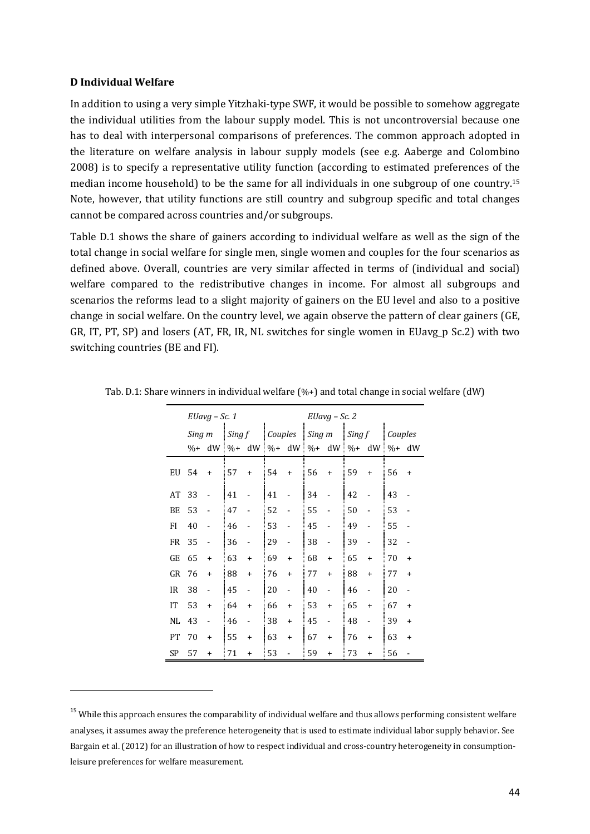#### **D Individual Welfare**

In addition to using a very simple Yitzhaki-type SWF, it would be possible to somehow aggregate the individual utilities from the labour supply model. This is not uncontroversial because one has to deal with interpersonal comparisons of preferences. The common approach adopted in the literature on welfare analysis in labour supply models (see e.g. Aaberge and Colombino 2008) is to specify a representative utility function (according to estimated preferences of the median income household) to be the same for all individuals in one subgroup of one country.<sup>15</sup> Note, however, that utility functions are still country and subgroup specific and total changes cannot be compared across countries and/or subgroups.

Table D.1 shows the share of gainers according to individual welfare as well as the sign of the total change in social welfare for single men, single women and couples for the four scenarios as defined above. Overall, countries are very similar affected in terms of (individual and social) welfare compared to the redistributive changes in income. For almost all subgroups and scenarios the reforms lead to a slight majority of gainers on the EU level and also to a positive change in social welfare. On the country level, we again observe the pattern of clear gainers (GE, GR, IT, PT, SP) and losers (AT, FR, IR, NL switches for single women in EUavg\_p Sc.2) with two switching countries (BE and FI).

|           |        | EUavg – Sc. 1 |                 |                          |                                   |           | $EUavg - Sc.2$ |                |                     |                          |         |           |  |
|-----------|--------|---------------|-----------------|--------------------------|-----------------------------------|-----------|----------------|----------------|---------------------|--------------------------|---------|-----------|--|
|           | Sing m |               | Sing f          |                          | Couples                           |           |                | $Sing \, m$    | Sing f              |                          | Couples |           |  |
|           | $%+$   |               | $dW \sim 6+ dW$ |                          | $\left  \frac{0}{0} + dW \right $ |           |                |                | $\% + dW$ $\% + dW$ | I                        | $%+$    | dW        |  |
| EU        | 54     | $\ddot{}$     | 57              | $\ddot{}$                | 54                                | $\ddot{}$ | 56             | $\ddot{}$      | 59                  | $+$                      | 56      | $\ddot{}$ |  |
| AT        | 33     |               | 41              |                          | 41                                |           | 34             |                | 42                  |                          | 43      |           |  |
| BE        | 53     |               | 47              |                          | 52                                |           | 55             |                | 50                  |                          | 53      |           |  |
| FI        | 40     |               | 46              |                          | 53                                |           | 45             |                | 49                  |                          | 55      |           |  |
| FR        | 35     |               | 36              |                          | 29                                |           | 38             |                | 39                  |                          | 32      |           |  |
| GE        | 65     | $\ddot{}$     | 63              | $\ddot{}$                | 69                                | $+$       | 68             | $\ddot{}$      | 65                  | $\ddot{}$                | 70      | $\ddot{}$ |  |
| GR        | 76     | $\ddot{}$     | 88              | $\ddot{}$                | 76                                | $\ddot{}$ | 77             | $+$            | 88                  | $\ddot{}$                | 77      | $\ddot{}$ |  |
| IR        | 38     |               | 45              | $\overline{\phantom{0}}$ | 20                                |           | 40             | $\overline{a}$ | 46                  | $\overline{a}$           | 20      |           |  |
| IT        | 53     | $\ddot{}$     | 64              | $\ddot{}$                | 66                                | $\ddot{}$ | 53             | $+$            | 65                  | $+$                      | 67      | $\ddot{}$ |  |
| NL        | 43     |               | 46              |                          | 38                                | $\ddot{}$ | 45             |                | 48                  | $\overline{\phantom{0}}$ | 39      | $\ddot{}$ |  |
| PT        | 70     | $\ddot{}$     | 55              | $\ddot{}$                | 63                                | $\ddot{}$ | 67             | $\ddot{}$      | 76                  | $\ddot{}$                | 63      | $\ddot{}$ |  |
| <b>SP</b> | 57     | $\ddot{}$     | 71              | $\ddot{}$                | 53                                |           | 59             | $\ddot{}$      | 73                  | $\ddot{}$                | 56      |           |  |

Tab. D.1: Share winners in individual welfare  $(\% +)$  and total change in social welfare (dW)

<sup>&</sup>lt;sup>15</sup> While this approach ensures the comparability of individual welfare and thus allows performing consistent welfare analyses, it assumes away the preference heterogeneity that is used to estimate individual labor supply behavior. See Bargain et al. (2012) for an illustration of how to respect individual and cross-country heterogeneity in consumptionleisure preferences for welfare measurement.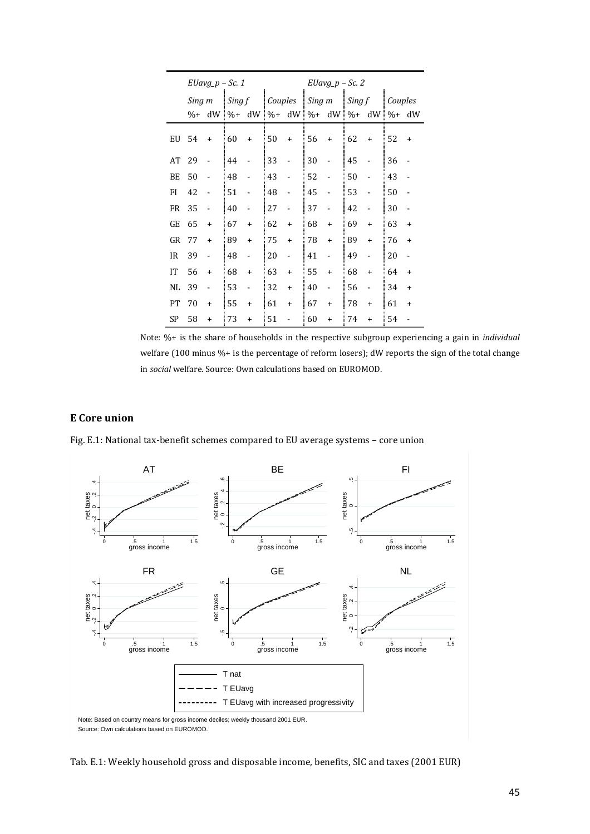|     |        | $EUavg_p - Sc. 1$                                 |        |                |         |           | $EUavg_p - Sc. 2$ |                |                                   |                          |         |                |  |
|-----|--------|---------------------------------------------------|--------|----------------|---------|-----------|-------------------|----------------|-----------------------------------|--------------------------|---------|----------------|--|
|     | Sing m |                                                   | Sing f |                | Couples |           |                   |                | $\left  Sing \, m \right $ Sing f |                          | Couples |                |  |
|     | $%+$   | $dW$ % + $dW$ % + $dW$ % + $dW$ % + $dW$ % + $dW$ |        |                |         |           |                   |                |                                   |                          |         | $%+$ dW        |  |
| EU  | -54    | $\ddot{}$                                         | 60     | $\ddot{}$      | : 50    | $\ddot{}$ | 56                | $\ddot{}$      | 62                                | $\ddot{}$                | 52      | $\ddot{}$      |  |
| AT  | - 29   |                                                   | 44     |                | 33      |           | 30                |                | 45                                |                          | 36      |                |  |
| BE  | 50     |                                                   | 48     |                | 43      |           | 52                |                | 50                                |                          | 43      |                |  |
| FI  | 42     |                                                   | 51     |                | 48      |           | 45                |                | 53                                |                          | 50      |                |  |
| FR  | 35     | $\overline{a}$                                    | 40     | $\frac{1}{2}$  | 27      |           | 37                |                | 42                                |                          | 30      |                |  |
| GE  | 65     | $\ddot{}$                                         | 67     | $\ddot{}$      | 62      | $\ddot{}$ | 68                | $\ddot{}$      | 69                                | $\ddot{}$                | 63      | $\ddot{}$      |  |
| GR  | 77     | $\ddot{}$                                         | 89     | $\ddot{}$      | 75      | $\ddot{}$ | 78                | $\ddot{}$      | 89                                | $\ddot{}$                | 76      | $\ddot{}$      |  |
| IR. | 39     | $\overline{a}$                                    | 48     | $\frac{1}{2}$  | 20      |           | 41                | $\overline{a}$ | 49                                | $\overline{\phantom{a}}$ | 20      | $\blacksquare$ |  |
| IT  | 56     | $\ddot{}$                                         | 68     | $+$            | 63      | $\ddot{}$ | 55                | $+$            | 68                                | $\ddot{}$                | 64      | $\ddot{}$      |  |
| NL  | 39     | $\overline{a}$                                    | 53     | $\overline{a}$ | 32      | $\ddot{}$ | 40                |                | 56                                | $\overline{a}$           | 34      | $\ddot{}$      |  |
| PT  | 70     | $\ddot{}$                                         | 55     | $\ddot{}$      | 61      | $\ddot{}$ | 67                | $\ddot{}$      | 78                                | $\ddot{}$                | 61      | $\ddot{}$      |  |
| SP  | 58     | $\ddot{}$                                         | 73     | $\ddot{}$      | 51      |           | 60                | $\ddot{}$      | 74                                | $\ddot{}$                | 54      |                |  |

Note: %+ is the share of households in the respective subgroup experiencing a gain in *individual* welfare (100 minus %+ is the percentage of reform losers); dW reports the sign of the total change in *social* welfare. Source: Own calculations based on EUROMOD.

#### **E Core union**

Fig. E.1: National tax-benefit schemes compared to EU average systems – core union

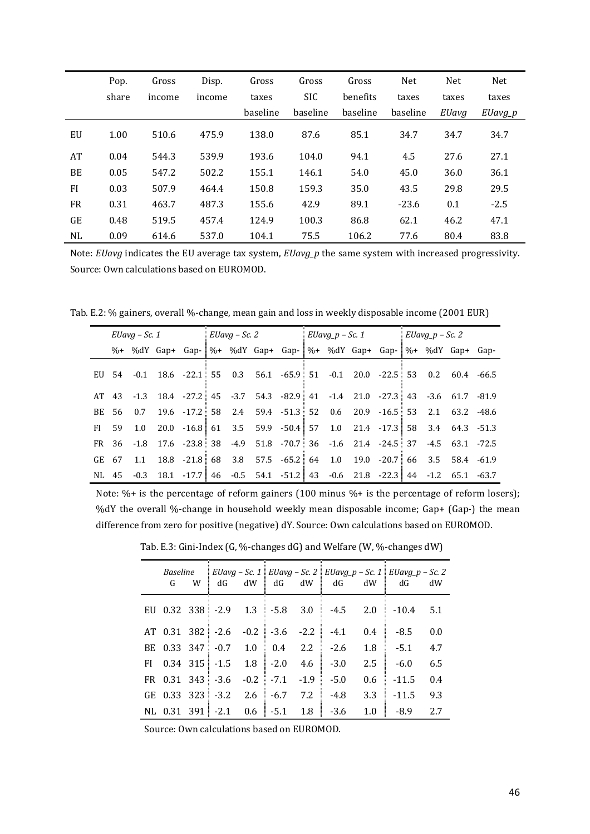|           | Pop.  | Gross  | Disp.  | Gross    | Gross      | Gross    | <b>Net</b> | <b>Net</b> | <b>Net</b> |
|-----------|-------|--------|--------|----------|------------|----------|------------|------------|------------|
|           | share | income | income | taxes    | <b>SIC</b> | benefits | taxes      | taxes      | taxes      |
|           |       |        |        | baseline | baseline   | baseline | baseline   | EUavg      | $EUavg_p$  |
| EU        | 1.00  | 510.6  | 475.9  | 138.0    | 87.6       | 85.1     | 34.7       | 34.7       | 34.7       |
| AT        | 0.04  | 544.3  | 539.9  | 193.6    | 104.0      | 94.1     | 4.5        | 27.6       | 27.1       |
| BE        | 0.05  | 547.2  | 502.2  | 155.1    | 146.1      | 54.0     | 45.0       | 36.0       | 36.1       |
| <b>FI</b> | 0.03  | 507.9  | 464.4  | 150.8    | 159.3      | 35.0     | 43.5       | 29.8       | 29.5       |
| <b>FR</b> | 0.31  | 463.7  | 487.3  | 155.6    | 42.9       | 89.1     | $-23.6$    | 0.1        | $-2.5$     |
| GE        | 0.48  | 519.5  | 457.4  | 124.9    | 100.3      | 86.8     | 62.1       | 46.2       | 47.1       |
| NL        | 0.09  | 614.6  | 537.0  | 104.1    | 75.5       | 106.2    | 77.6       | 80.4       | 83.8       |

Note: *EUavg* indicates the EU average tax system, *EUavg\_p* the same system with increased progressivity. Source: Own calculations based on EUROMOD.

Tab. E.2: % gainers, overall %-change, mean gain and loss in weekly disposable income (2001 EUR)

| EUavg – Sc. 1 |  |  |  | $EUavg - Sc.$ 2 |  |  | $EUavg_p - Sc.1$ |  |  |  | $EUavg_p - Sc.$ 2                                                              |  |  |  |  |
|---------------|--|--|--|-----------------|--|--|------------------|--|--|--|--------------------------------------------------------------------------------|--|--|--|--|
|               |  |  |  |                 |  |  |                  |  |  |  | %+ %dY Gap+ Gap-  %+ %dY Gap+ Gap-  %+ %dY Gap+ Gap-  %+ %dY Gap+ Gap-         |  |  |  |  |
|               |  |  |  |                 |  |  |                  |  |  |  | EU 54 -0.1 18.6 -22.1 55 0.3 56.1 -65.9 51 -0.1 20.0 -22.5 53 0.2 60.4 -66.5   |  |  |  |  |
|               |  |  |  |                 |  |  |                  |  |  |  | AT 43 -1.3 18.4 -27.2 45 -3.7 54.3 -82.9 41 -1.4 21.0 -27.3 43 -3.6 61.7 -81.9 |  |  |  |  |
|               |  |  |  |                 |  |  |                  |  |  |  | BE 56 0.7 19.6 -17.2 58 2.4 59.4 -51.3 52 0.6 20.9 -16.5 53 2.1 63.2 -48.6     |  |  |  |  |
|               |  |  |  |                 |  |  |                  |  |  |  | FI 59 1.0 20.0 -16.8 61 3.5 59.9 -50.4 57 1.0 21.4 -17.3 58 3.4 64.3 -51.3     |  |  |  |  |
|               |  |  |  |                 |  |  |                  |  |  |  | FR 36 -1.8 17.6 -23.8 38 -4.9 51.8 -70.7 36 -1.6 21.4 -24.5 37 -4.5 63.1 -72.5 |  |  |  |  |
|               |  |  |  |                 |  |  |                  |  |  |  | GE 67 1.1 18.8 -21.8 68 3.8 57.5 -65.2 64 1.0 19.0 -20.7 66 3.5 58.4 -61.9     |  |  |  |  |
|               |  |  |  |                 |  |  |                  |  |  |  | NL 45 -0.3 18.1 -17.7 46 -0.5 54.1 -51.2 43 -0.6 21.8 -22.3 44 -1.2 65.1 -63.7 |  |  |  |  |

Note: %+ is the percentage of reform gainers (100 minus %+ is the percentage of reform losers); %dY the overall %-change in household weekly mean disposable income; Gap+ (Gap-) the mean difference from zero for positive (negative) dY. Source: Own calculations based on EUROMOD.

Tab. E.3: Gini-Index (G, %-changes dG) and Welfare (W, %-changes dW)

| G | W |                               |  | dG dW dG dW dG                                     | dW      | Baseline EUavg - Sc. 1   EUavg - Sc. 2   EUavg p - Sc. 1   EUavg p - Sc. 2<br>l dG | dW  |
|---|---|-------------------------------|--|----------------------------------------------------|---------|------------------------------------------------------------------------------------|-----|
|   |   |                               |  | EU 0.32 338 -2.9 1.3 -5.8 3.0 -4.5 2.0 -10.4       |         |                                                                                    | 5.1 |
|   |   |                               |  | AT $0.31$ $382$ $-2.6$ $-0.2$ $-3.6$ $-2.2$ $-4.1$ | 0.4     | $\vert$ -8.5                                                                       | 0.0 |
|   |   |                               |  | BE 0.33 347 -0.7 1.0 0.4 2.2 -2.6                  | 1.8     | $-5.1$                                                                             | 4.7 |
|   |   |                               |  | FI $0.34$ 315 $-1.5$ 1.8 $-2.0$ 4.6 $-3.0$         | 2.5     | $-6.0$                                                                             | 6.5 |
|   |   |                               |  | FR $0.31$ 343 - 3.6 - 0.2 - 7.1 - 1.9 - 5.0        | $0.6\,$ | $-11.5$                                                                            | 0.4 |
|   |   | GE 0.33 323 -3.2 2.6 -6.7 7.2 |  | -4.8                                               | 3.3     | $\vert$ -11.5                                                                      | 9.3 |
|   |   |                               |  | NL $0.31$ 391 -2.1 0.6 -5.1 1.8 -3.6               | 1.0     | $-8.9$                                                                             | 2.7 |

Source: Own calculations based on EUROMOD.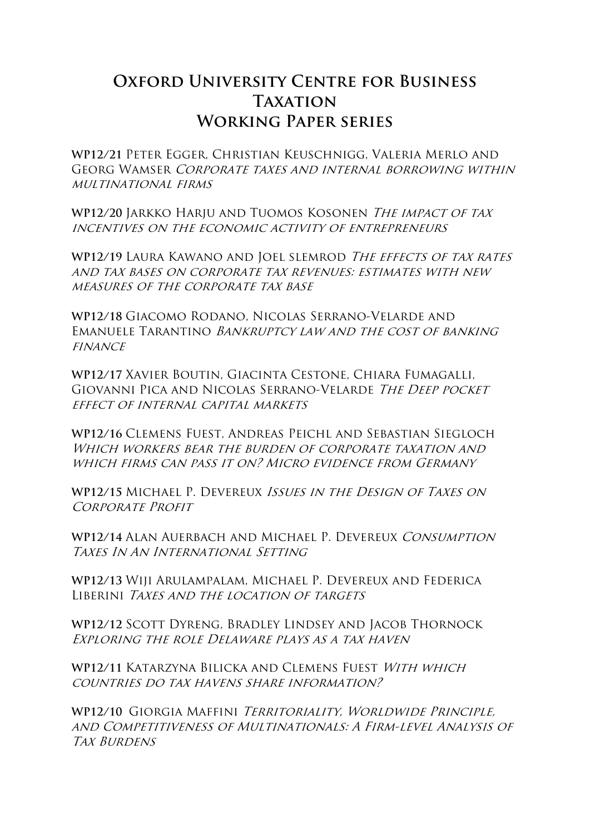# **Oxford University Centre for Business TAXATION Working Paper series**

**WP12/21** Peter Egger, Christian Keuschnigg, Valeria Merlo and Georg Wamser Corporate taxes and internal borrowing within multinational firms

**WP12/20** Jarkko Harju and Tuomos Kosonen The impact of tax incentives on the economic activity of entrepreneurs

**WP12/19** Laura Kawano and Joel slemrod The effects of tax rates and tax bases on corporate tax revenues: estimates with new measures of the corporate tax base

**WP12/18** Giacomo Rodano, Nicolas Serrano-Velarde and Emanuele Tarantino Bankruptcy law and the cost of banking **FINANCE** 

**WP12/17** Xavier Boutin, Giacinta Cestone, Chiara Fumagalli, Giovanni Pica and Nicolas Serrano-Velarde The Deep pocket effect of internal capital markets

**WP12/16** Clemens Fuest, Andreas Peichl and Sebastian Siegloch WHICH WORKERS BEAR THE BURDEN OF CORPORATE TAXATION AND which firms can pass it on? Micro evidence from Germany

**WP12/15** Michael P. Devereux Issues in the Design of Taxes on CORPORATE PROFIT

**WP12/14** Alan Auerbach and Michael P. Devereux Consumption Taxes In An International Setting

**WP12/13** Wiji Arulampalam, Michael P. Devereux and Federica LIBERINI TAXES AND THE LOCATION OF TARGETS

**WP12/12** Scott Dyreng, Bradley Lindsey and Jacob Thornock Exploring the role Delaware plays as a tax haven

**WP12/11** Katarzyna Bilicka and Clemens Fuest With which countries do tax havens share information?

**WP12/10** Giorgia Maffini Territoriality, Worldwide Principle, and Competitiveness of Multinationals: A Firm-level Analysis of TAX BURDENS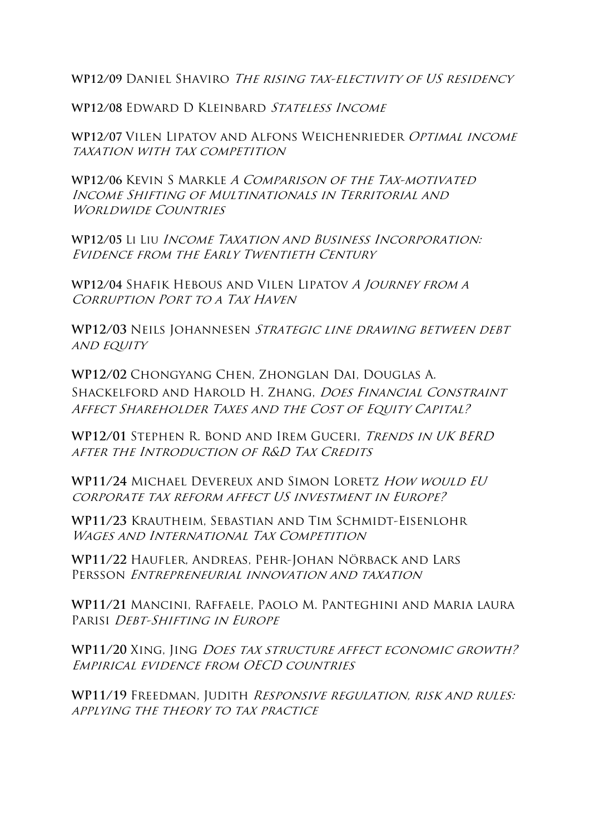**WP12/09** Daniel Shaviro The rising tax-electivity of US residency

**WP12/08** Edward D Kleinbard Stateless Income

**WP12/07** Vilen Lipatov and Alfons Weichenrieder Optimal income taxation with tax competition

**WP12/06** Kevin S Markle A Comparison of the Tax-motivated Income Shifting of Multinationals in Territorial and WORLDWIDE COUNTRIES

**WP12/05** Li Liu Income Taxation and Business Incorporation: Evidence from the Early Twentieth Century

**WP12/04** Shafik Hebous and Vilen Lipatov A Journey from a CORRUPTION PORT TO A TAX HAVEN

**WP12/03** Neils Johannesen Strategic line drawing between debt AND EQUITY

**WP12/02** Chongyang Chen, Zhonglan Dai, Douglas A. SHACKELFORD AND HAROLD H. ZHANG, *DOES FINANCIAL CONSTRAINT* AFFECT SHAREHOLDER TAXES AND THE COST OF EQUITY CAPITAL?

**WP12/01** Stephen R. Bond and Irem Guceri, Trends in UK BERD after the Introduction of R&D Tax Credits

**WP11/24** Michael Devereux and Simon Loretz How would EU corporate tax reform affect US investment in Europe?

**WP11/23** Krautheim, Sebastian and Tim Schmidt-Eisenlohr WAGES AND INTERNATIONAL TAX COMPETITION

**WP11/22** Haufler, Andreas, Pehr-Johan Nörback and Lars Persson Entrepreneurial innovation and taxation

**WP11/21** Mancini, Raffaele, Paolo M. Panteghini and Maria laura Parisi Debt-Shifting in Europe

WP11/20 XING, JING DOES TAX STRUCTURE AFFECT ECONOMIC GROWTH? Empirical evidence from OECD countries

**WP11/19** Freedman, Judith Responsive regulation, risk and rules: applying the theory to tax practice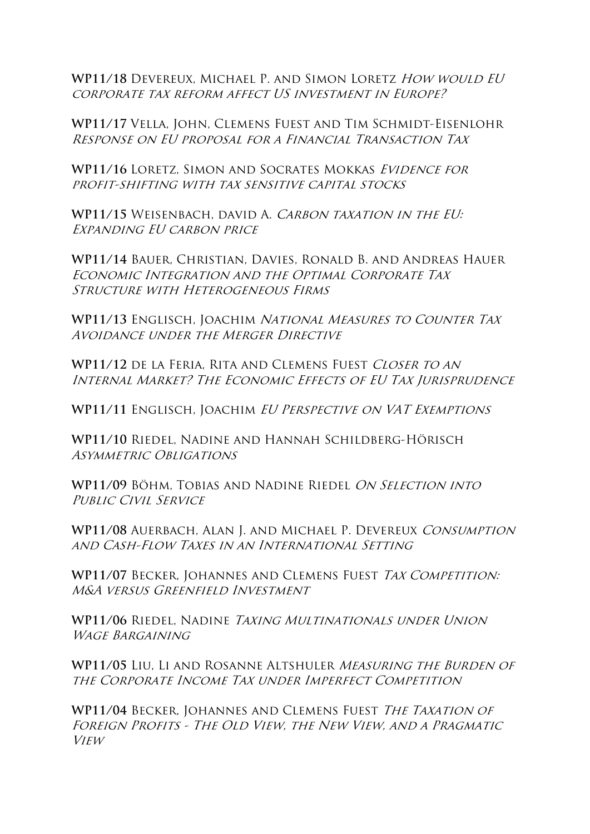**WP11/18** Devereux, Michael P. and Simon Loretz How would EU corporate tax reform affect US investment in Europe?

**WP11/17** Vella, John, Clemens Fuest and Tim Schmidt-Eisenlohr Response on EU proposal for a Financial Transaction Tax

**WP11/16** Loretz, Simon and Socrates Mokkas Evidence for profit-shifting with tax sensitive capital stocks

**WP11/15** Weisenbach, david A. Carbon taxation in the EU: Expanding EU carbon price

**WP11/14** Bauer, Christian, Davies, Ronald B. and Andreas Hauer Economic Integration and the Optimal Corporate Tax Structure with Heterogeneous Firms

**WP11/13** Englisch, Joachim National Measures to Counter Tax Avoidance under the Merger Directive

WP11/12 DE LA FERIA, RITA AND CLEMENS FUEST CLOSER TO AN Internal Market? The Economic Effects of EU Tax Jurisprudence

**WP11/11** Englisch, Joachim EU Perspective on VAT Exemptions

**WP11/10** Riedel, Nadine and Hannah Schildberg-Hörisch Asymmetric Obligations

**WP11/09** Böhm, Tobias and Nadine Riedel On Selection into PUBLIC CIVIL SERVICE

**WP11/08** Auerbach, Alan J. and Michael P. Devereux Consumption and Cash-Flow Taxes in an International Setting

WP11/07 BECKER, JOHANNES AND CLEMENS FUEST TAX COMPETITION: M&A versus Greenfield Investment

**WP11/06** Riedel, Nadine Taxing Multinationals under Union WAGE BARGAINING

**WP11/05** Liu, Li and Rosanne Altshuler Measuring the Burden of the Corporate Income Tax under Imperfect Competition

**WP11/04** Becker, Johannes and Clemens Fuest The Taxation of Foreign Profits - The Old View, the New View, and a Pragmatic View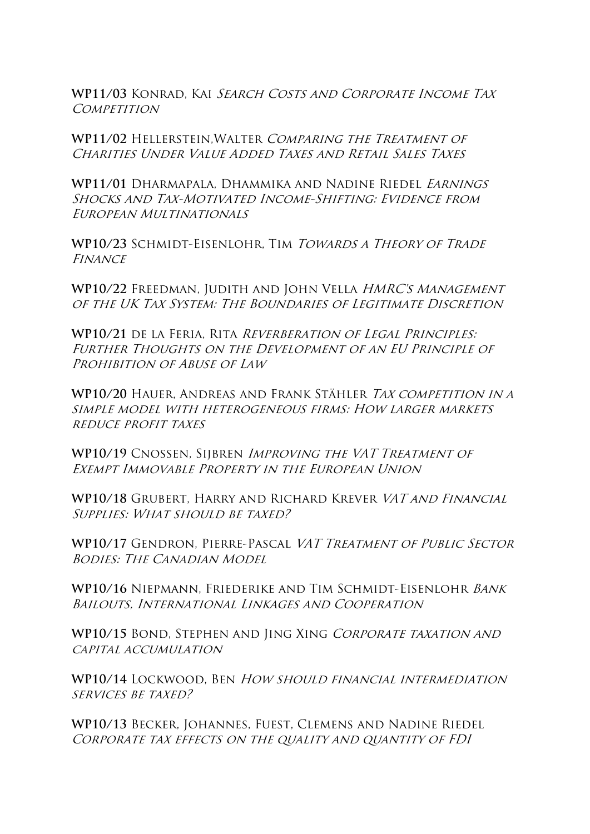WP11/03 KONRAD. KAI SEARCH COSTS AND CORPORATE INCOME TAX **COMPETITION** 

**WP11/02** Hellerstein,Walter Comparing the Treatment of CHARITIES UNDER VALUE ADDED TAXES AND RETAIL SALES TAXES

**WP11/01** Dharmapala, Dhammika and Nadine Riedel Earnings SHOCKS AND TAX-MOTIVATED INCOME-SHIFTING: EVIDENCE FROM European Multinationals

WP10/23 SCHMIDT-EISENLOHR, TIM TOWARDS A THEORY OF TRADE **FINANCE** 

**WP10/22** Freedman, Judith and John Vella HMRC's Management of the UK Tax System: The Boundaries of Legitimate Discretion

**WP10/21** de la Feria, Rita Reverberation of Legal Principles: Further Thoughts on the Development of an EU Principle of PROHIBITION OF ABUSE OF LAW

**WP10/20** Hauer, Andreas and Frank Stähler Tax competition in a simple model with heterogeneous firms: How larger markets reduce profit taxes

**WP10/19** Cnossen, Sijbren Improving the VAT Treatment of Exempt Immovable Property in the European Union

**WP10/18** Grubert, Harry and Richard Krever VAT and Financial Supplies: What should be taxed?

**WP10/17** Gendron, Pierre-Pascal VAT Treatment of Public Sector Bodies: The Canadian Model

**WP10/16** Niepmann, Friederike and Tim Schmidt-Eisenlohr Bank Bailouts, International Linkages and Cooperation

WP10/15 BOND, STEPHEN AND JING XING CORPORATE TAXATION AND capital accumulation

**WP10/14** Lockwood, Ben How should financial intermediation SERVICES BE TAXED?

**WP10/13** Becker, Johannes, Fuest, Clemens and Nadine Riedel Corporate tax effects on the quality and quantity of FDI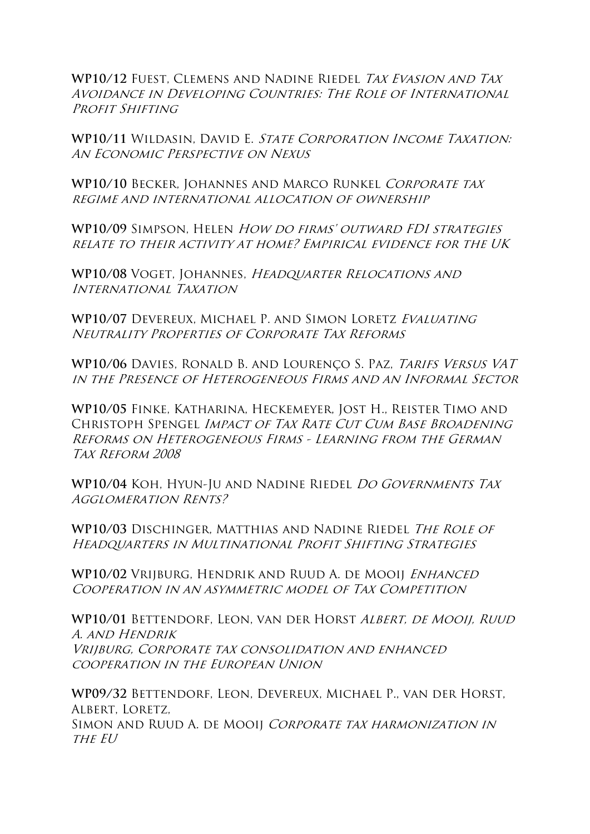**WP10/12** Fuest, Clemens and Nadine Riedel Tax Evasion and Tax Avoidance in Developing Countries: The Role of International PROFIT SHIFTING

WP10/11 WILDASIN. DAVID E. STATE CORPORATION INCOME TAXATION: An Economic Perspective on Nexus

WP10/10 BECKER, JOHANNES AND MARCO RUNKEL CORPORATE TAX regime and international allocation of ownership

**WP10/09** Simpson, Helen How do firms' outward FDI strategies relate to their activity at home? Empirical evidence for the UK

**WP10/08** Voget, Johannes, Headquarter Relocations and International Taxation

**WP10/07** Devereux, Michael P. and Simon Loretz Evaluating Neutrality Properties of Corporate Tax Reforms

**WP10/06** Davies, Ronald B. and Lourenço S. Paz, Tarifs Versus VAT in the Presence of Heterogeneous Firms and an Informal Sector

**WP10/05** Finke, Katharina, Heckemeyer, Jost H., Reister Timo and CHRISTOPH SPENGEL IMPACT OF TAX RATE CUT CUM BASE BROADENING Reforms on Heterogeneous Firms - Learning from the German Tax Reform 2008

**WP10/04** Koh, Hyun-Ju and Nadine Riedel Do Governments Tax Agglomeration Rents?

**WP10/03** Dischinger, Matthias and Nadine Riedel The Role of Headquarters in Multinational Profit Shifting Strategies

WP10/02 VRIJBURG, HENDRIK AND RUUD A. DE MOOIJ ENHANCED Cooperation in an asymmetric model of Tax Competition

**WP10/01** Bettendorf, Leon, van der Horst Albert, de Mooij, Ruud A. and Hendrik Vrijburg, Corporate tax consolidation and enhanced cooperation in the European Union

**WP09/32** Bettendorf, Leon, Devereux, Michael P., van der Horst, ALBERT, LORETZ, SIMON AND RUUD A. DE MOOIJ CORPORATE TAX HARMONIZATION IN THE EU